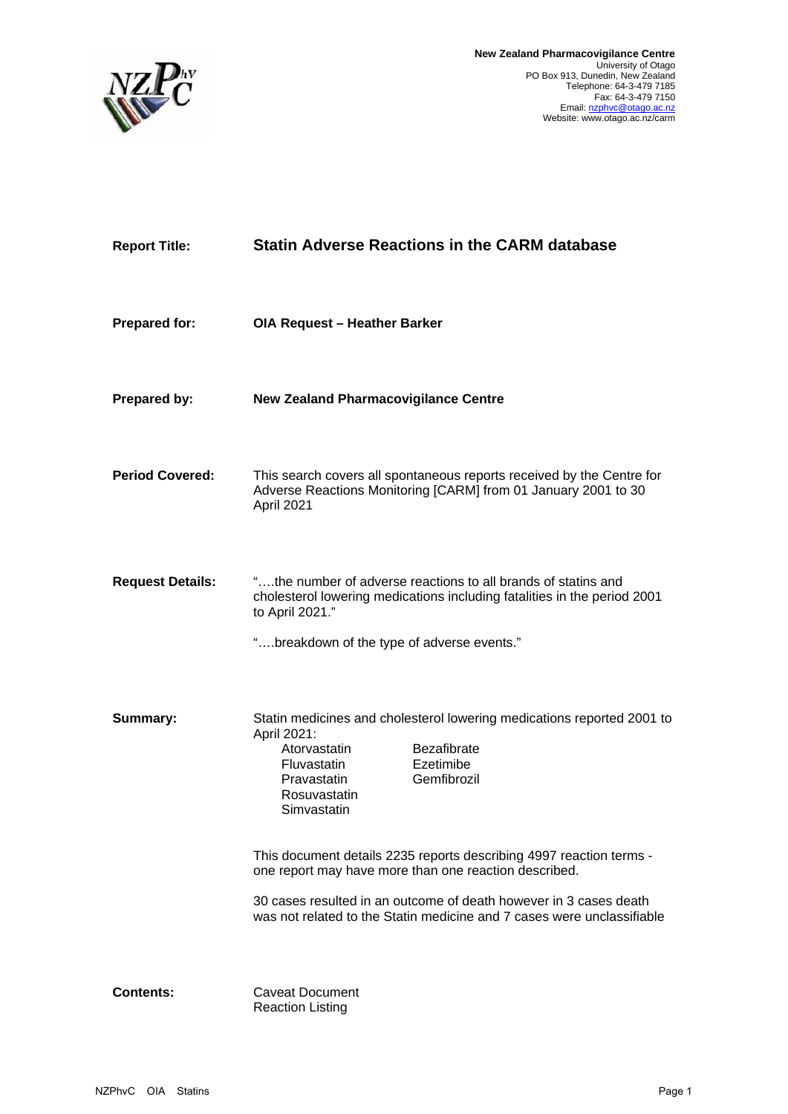

| <b>Report Title:</b>    | <b>Statin Adverse Reactions in the CARM database</b>                                                                                                                                                                                                                                                                                                                                                                                                                                                |
|-------------------------|-----------------------------------------------------------------------------------------------------------------------------------------------------------------------------------------------------------------------------------------------------------------------------------------------------------------------------------------------------------------------------------------------------------------------------------------------------------------------------------------------------|
| <b>Prepared for:</b>    | OIA Request - Heather Barker                                                                                                                                                                                                                                                                                                                                                                                                                                                                        |
| Prepared by:            | <b>New Zealand Pharmacovigilance Centre</b>                                                                                                                                                                                                                                                                                                                                                                                                                                                         |
| <b>Period Covered:</b>  | This search covers all spontaneous reports received by the Centre for<br>Adverse Reactions Monitoring [CARM] from 01 January 2001 to 30<br>April 2021                                                                                                                                                                                                                                                                                                                                               |
| <b>Request Details:</b> | "the number of adverse reactions to all brands of statins and<br>cholesterol lowering medications including fatalities in the period 2001<br>to April 2021."<br>"breakdown of the type of adverse events."                                                                                                                                                                                                                                                                                          |
| Summary:                | Statin medicines and cholesterol lowering medications reported 2001 to<br>April 2021:<br>Atorvastatin<br><b>Bezafibrate</b><br>Ezetimibe<br>Fluvastatin<br>Gemfibrozil<br>Pravastatin<br>Rosuvastatin<br>Simvastatin<br>This document details 2235 reports describing 4997 reaction terms -<br>one report may have more than one reaction described.<br>30 cases resulted in an outcome of death however in 3 cases death<br>was not related to the Statin medicine and 7 cases were unclassifiable |
| <b>Contents:</b>        | <b>Caveat Document</b><br><b>Reaction Listing</b>                                                                                                                                                                                                                                                                                                                                                                                                                                                   |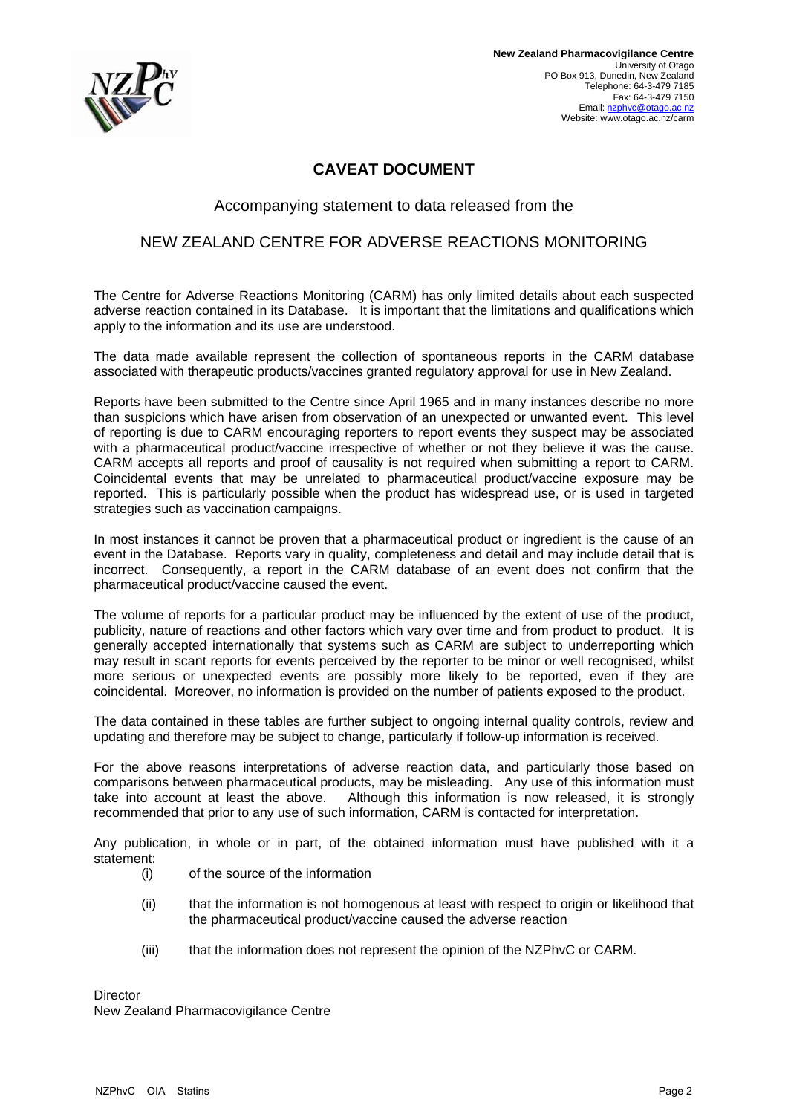

# **CAVEAT DOCUMENT**

## Accompanying statement to data released from the

## NEW ZEALAND CENTRE FOR ADVERSE REACTIONS MONITORING

The Centre for Adverse Reactions Monitoring (CARM) has only limited details about each suspected adverse reaction contained in its Database. It is important that the limitations and qualifications which apply to the information and its use are understood.

The data made available represent the collection of spontaneous reports in the CARM database associated with therapeutic products/vaccines granted regulatory approval for use in New Zealand.

Reports have been submitted to the Centre since April 1965 and in many instances describe no more than suspicions which have arisen from observation of an unexpected or unwanted event. This level of reporting is due to CARM encouraging reporters to report events they suspect may be associated with a pharmaceutical product/vaccine irrespective of whether or not they believe it was the cause. CARM accepts all reports and proof of causality is not required when submitting a report to CARM. Coincidental events that may be unrelated to pharmaceutical product/vaccine exposure may be reported. This is particularly possible when the product has widespread use, or is used in targeted strategies such as vaccination campaigns.

In most instances it cannot be proven that a pharmaceutical product or ingredient is the cause of an event in the Database. Reports vary in quality, completeness and detail and may include detail that is incorrect. Consequently, a report in the CARM database of an event does not confirm that the pharmaceutical product/vaccine caused the event.

The volume of reports for a particular product may be influenced by the extent of use of the product, publicity, nature of reactions and other factors which vary over time and from product to product. It is generally accepted internationally that systems such as CARM are subject to underreporting which may result in scant reports for events perceived by the reporter to be minor or well recognised, whilst more serious or unexpected events are possibly more likely to be reported, even if they are coincidental. Moreover, no information is provided on the number of patients exposed to the product.

The data contained in these tables are further subject to ongoing internal quality controls, review and updating and therefore may be subject to change, particularly if follow-up information is received.

For the above reasons interpretations of adverse reaction data, and particularly those based on comparisons between pharmaceutical products, may be misleading. Any use of this information must take into account at least the above. Although this information is now released, it is strongly recommended that prior to any use of such information, CARM is contacted for interpretation.

Any publication, in whole or in part, of the obtained information must have published with it a statement:

- (i) of the source of the information
- (ii) that the information is not homogenous at least with respect to origin or likelihood that the pharmaceutical product/vaccine caused the adverse reaction
- (iii) that the information does not represent the opinion of the NZPhvC or CARM.

Director New Zealand Pharmacovigilance Centre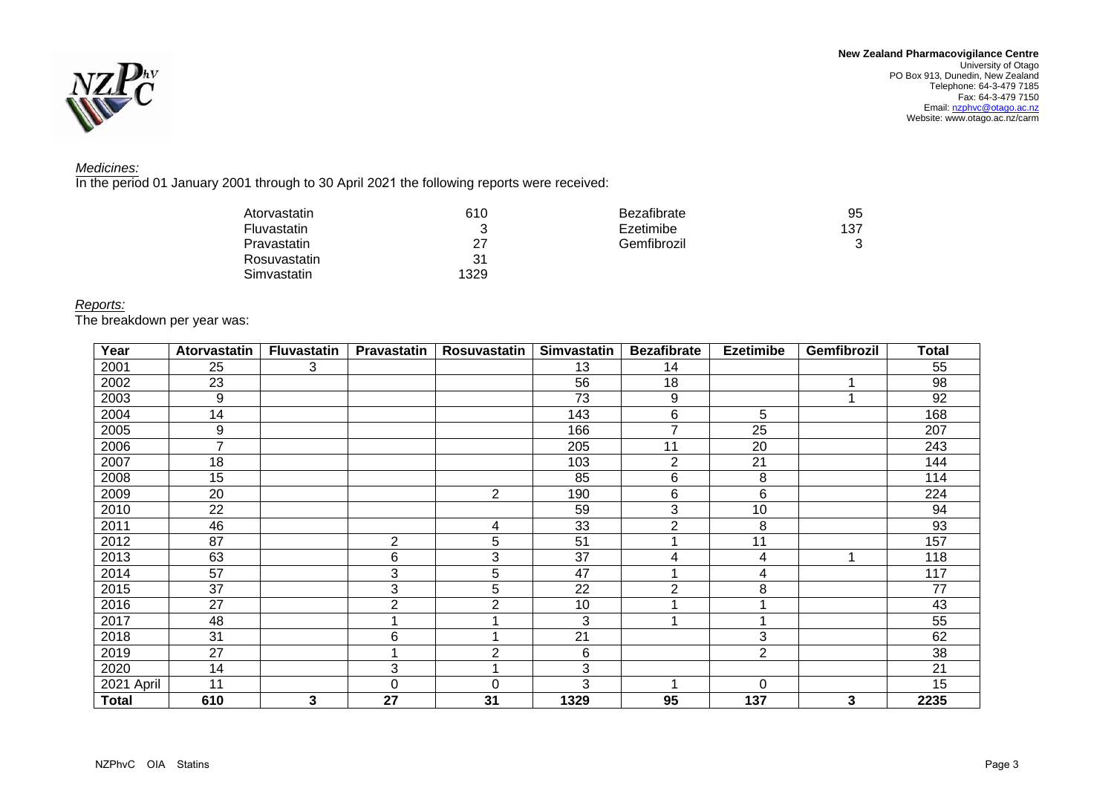



### *Medicines:*

In the period 01 January 2001 through to 30 April 2021 the following reports were received:

| Atorvastatin | 610  | Bezafibrate | 95  |
|--------------|------|-------------|-----|
| Fluvastatin  |      | Ezetimibe   | 137 |
| Pravastatin  | 27   | Gemfibrozil | 3   |
| Rosuvastatin | 31   |             |     |
| Simvastatin  | 1329 |             |     |

### *Reports:*

The breakdown per year was:

| Year         | Atorvastatin   | <b>Fluvastatin</b> | Pravastatin    | Rosuvastatin    | <b>Simvastatin</b> | <b>Bezafibrate</b> | <b>Ezetimibe</b> | Gemfibrozil | Total |
|--------------|----------------|--------------------|----------------|-----------------|--------------------|--------------------|------------------|-------------|-------|
| 2001         | 25             | 3                  |                |                 | 13                 | 14                 |                  |             | 55    |
| 2002         | 23             |                    |                |                 | 56                 | 18                 |                  |             | 98    |
| 2003         | 9              |                    |                |                 | 73                 | 9                  |                  |             | 92    |
| 2004         | 14             |                    |                |                 | 143                | 6                  | 5                |             | 168   |
| 2005         | 9              |                    |                |                 | 166                | ⇁                  | 25               |             | 207   |
| 2006         | $\overline{7}$ |                    |                |                 | 205                | 11                 | 20               |             | 243   |
| 2007         | 18             |                    |                |                 | 103                | $\overline{2}$     | 21               |             | 144   |
| 2008         | 15             |                    |                |                 | 85                 | 6                  | 8                |             | 114   |
| 2009         | 20             |                    |                | $\overline{2}$  | 190                | 6                  | 6                |             | 224   |
| 2010         | 22             |                    |                |                 | 59                 | 3                  | 10               |             | 94    |
| 2011         | 46             |                    |                | 4               | 33                 | $\overline{2}$     | 8                |             | 93    |
| 2012         | 87             |                    | 2              | 5               | 51                 |                    | 11               |             | 157   |
| 2013         | 63             |                    | 6              | 3               | 37                 | 4                  | 4                |             | 118   |
| 2014         | 57             |                    | 3              | 5               | 47                 |                    | 4                |             | 117   |
| 2015         | 37             |                    | 3              | $5\phantom{.0}$ | 22                 | $\overline{2}$     | 8                |             | 77    |
| 2016         | 27             |                    | $\overline{2}$ | $\overline{2}$  | 10                 |                    | 4                |             | 43    |
| 2017         | 48             |                    |                |                 | 3                  |                    | 4                |             | 55    |
| 2018         | 31             |                    | 6              |                 | 21                 |                    | 3                |             | 62    |
| 2019         | 27             |                    |                | $\overline{2}$  | 6                  |                    | $\overline{2}$   |             | 38    |
| 2020         | 14             |                    | 3              |                 | 3                  |                    |                  |             | 21    |
| 2021 April   | 11             |                    | $\Omega$       | $\Omega$        | 3                  |                    | $\Omega$         |             | 15    |
| <b>Total</b> | 610            | 3                  | 27             | 31              | 1329               | 95                 | 137              | 3           | 2235  |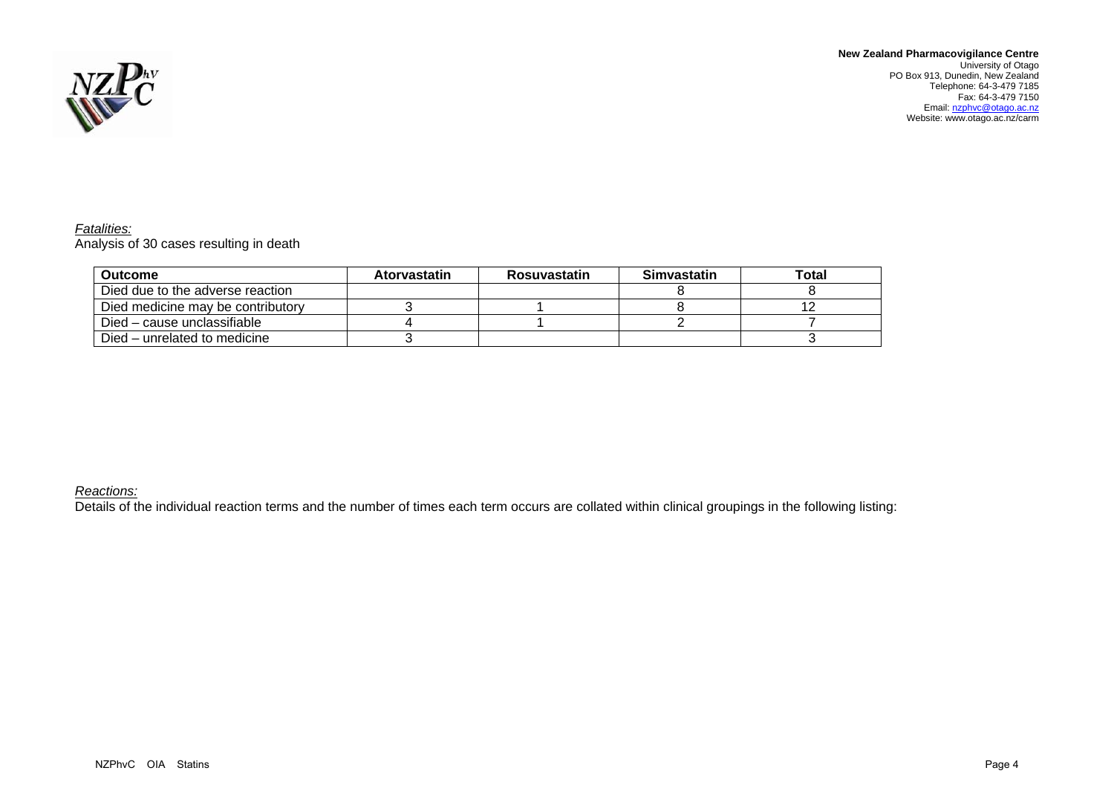

**New Zealand Pharmacovigilance Centre**  University of Otago PO Box 913, Dunedin, New Zealand Telephone: 64-3-479 7185<br>Fax: 64-3-479 7150<br>Email: <u>nzphvc@otago.ac.nz</u> Website: www.otago.ac.nz/carm

*Fatalities:*  Analysis of 30 cases resulting in death

| <b>Outcome</b>                    | <b>Atorvastatin</b> | <b>Rosuvastatin</b> | <b>Simvastatin</b> | Total |
|-----------------------------------|---------------------|---------------------|--------------------|-------|
| Died due to the adverse reaction  |                     |                     |                    |       |
| Died medicine may be contributory |                     |                     |                    |       |
| Died – cause unclassifiable       |                     |                     |                    |       |
| Died – unrelated to medicine      |                     |                     |                    |       |

### *Reactions:*

Details of the individual reaction terms and the number of times each term occurs are collated within clinical groupings in the following listing: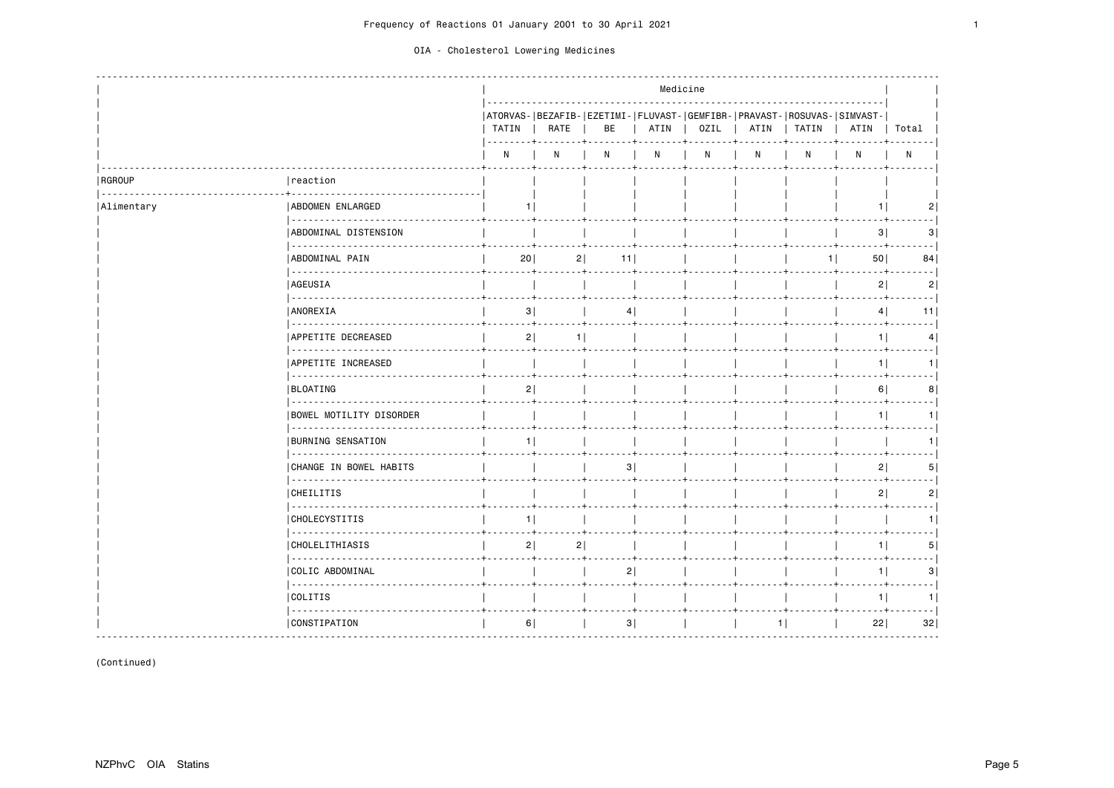|                    |                                     |                               |      |                                                                                                                 | Medicine |      |      |                                                                                  |                |                           |
|--------------------|-------------------------------------|-------------------------------|------|-----------------------------------------------------------------------------------------------------------------|----------|------|------|----------------------------------------------------------------------------------|----------------|---------------------------|
|                    |                                     | TATIN  <br>-----+             | RATE | BE                                                                                                              | ATIN     | OZIL | ATIN | ATORVAS- BEZAFIB- EZETIMI- FLUVAST- GEMFIBR- PRAVAST- ROSUVAS- SIMVAST-<br>TATIN | ATIN           | Total                     |
|                    |                                     | N                             | N    | $\mathsf{N}$                                                                                                    | N        | N    | N    | N                                                                                | N              | $\mathsf{N}$              |
| RGROUP<br><u>.</u> | reaction                            |                               |      |                                                                                                                 |          |      |      |                                                                                  |                |                           |
| Alimentary         | ABDOMEN ENLARGED                    | 11                            |      |                                                                                                                 |          |      |      |                                                                                  | 1.             | 2                         |
|                    | ABDOMINAL DISTENSION                |                               |      |                                                                                                                 |          |      |      |                                                                                  | 3              | 3                         |
|                    | ABDOMINAL PAIN                      | 20                            | 2    | 11                                                                                                              |          |      |      | 11                                                                               | 50             | 84                        |
|                    | <u>.</u><br>  AGEUSIA               |                               |      |                                                                                                                 |          |      |      |                                                                                  | 2              | 2                         |
|                    | .<br><b>ANOREXIA</b>                | 3                             |      | 4 <sup>1</sup>                                                                                                  |          |      |      |                                                                                  | 4              | - - - 1<br>11             |
|                    | APPETITE DECREASED                  | $\pm$ . The set of $\pm$<br>2 | 1    | the contract of the contract of the contract of the contract of the contract of the contract of the contract of |          |      |      |                                                                                  | 1              | 4                         |
|                    | APPETITE INCREASED                  |                               |      |                                                                                                                 |          |      |      |                                                                                  | 1              | . I<br>1                  |
|                    | .<br><b>BLOATING</b>                | 2                             |      |                                                                                                                 |          |      |      |                                                                                  | 6              | 8                         |
|                    | BOWEL MOTILITY DISORDER             |                               |      |                                                                                                                 |          |      |      |                                                                                  | 1.             | 1                         |
|                    | ______________<br>BURNING SENSATION | 11                            |      |                                                                                                                 |          |      |      |                                                                                  |                | 1                         |
|                    | CHANGE IN BOWEL HABITS              |                               |      | 3                                                                                                               |          |      |      |                                                                                  | 2              | 5                         |
|                    | CHEILITIS                           |                               |      |                                                                                                                 |          |      |      |                                                                                  | 2              | $\sim$ $\sim$ $\sim$<br>2 |
|                    | CHOLECYSTITIS                       | 1                             |      |                                                                                                                 |          |      |      |                                                                                  |                | 1                         |
|                    | -----------<br>  CHOLELITHIASIS     | 2                             | 2    |                                                                                                                 |          |      |      |                                                                                  | 1 <sup>1</sup> | 5                         |
|                    | .<br>  COLIC ABDOMINAL              |                               |      | 2                                                                                                               |          |      |      |                                                                                  | 1              | 3                         |
|                    | COLITIS                             |                               |      |                                                                                                                 |          |      |      |                                                                                  | 1              | $- - - 1$<br>1            |
|                    | .<br>  CONSTIPATION                 | 6                             |      | 3                                                                                                               |          |      |      | 1                                                                                | 22             | 32                        |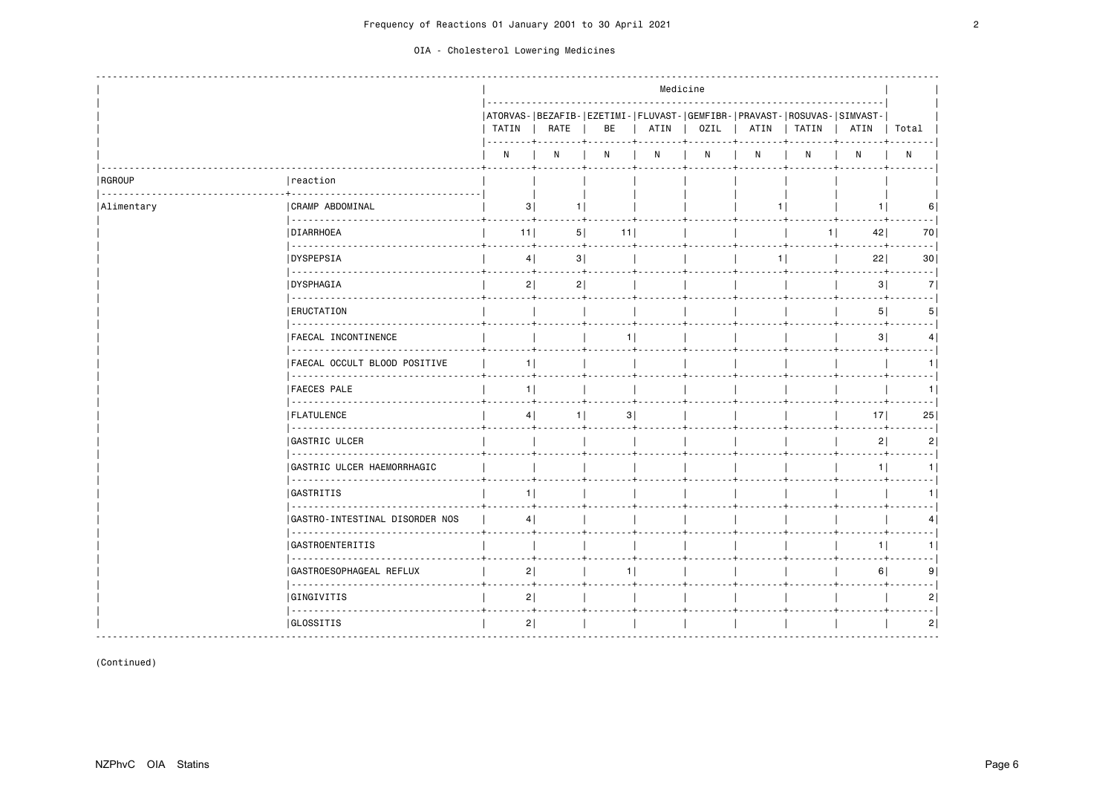|                    |                                     |                |                                  |                  |                   | Medicine     |      |                                                                                         |                 |                                                                                                                                 |
|--------------------|-------------------------------------|----------------|----------------------------------|------------------|-------------------|--------------|------|-----------------------------------------------------------------------------------------|-----------------|---------------------------------------------------------------------------------------------------------------------------------|
|                    |                                     | TATIN          | RATE                             | BE               | $ $ ATIN<br>. + 4 | OZIL         |      | ATORVAS- BEZAFIB- EZETIMI- FLUVAST- GEMFIBR- PRAVAST- ROSUVAS- SIMVAST-<br>ATIN   TATIN | ATIN            | Total                                                                                                                           |
|                    |                                     | N              | N                                | N                | N                 | $\mathsf{N}$ | N    | N                                                                                       | N               | $\mathsf{N}$                                                                                                                    |
| RGROUP<br><u>.</u> | reaction                            |                |                                  |                  |                   |              |      |                                                                                         |                 |                                                                                                                                 |
| Alimentary         | <b>CRAMP ABDOMINAL</b>              | 3              | 1.                               |                  |                   |              | -1 I |                                                                                         | 11              | 6                                                                                                                               |
|                    | DIARRHOEA                           | $11$           | 5                                | 11               |                   |              |      | 11                                                                                      | 42              | 70                                                                                                                              |
|                    | <u>.</u><br><b>IDYSPEPSIA</b>       | 4              | 3 <br>$- + +$<br><b>Table 19</b> |                  |                   |              | 11   |                                                                                         | 22              | $\frac{1}{2} \left( \frac{1}{2} \right) \left( \frac{1}{2} \right) \left( \frac{1}{2} \right) \left( \frac{1}{2} \right)$<br>30 |
|                    | <b>DYSPHAGIA</b>                    | 2              | 2                                |                  |                   |              |      |                                                                                         | 3               | 7                                                                                                                               |
|                    | .<br><b>ERUCTATION</b>              |                |                                  |                  |                   |              |      |                                                                                         | 5 <sup>1</sup>  | 5                                                                                                                               |
|                    | <b>FAECAL INCONTINENCE</b>          |                |                                  | 1                |                   |              |      |                                                                                         | 3               | 4                                                                                                                               |
|                    | FAECAL OCCULT BLOOD POSITIVE        | 1              |                                  |                  |                   |              |      |                                                                                         |                 |                                                                                                                                 |
|                    | <b>FAECES PALE</b>                  | 1              |                                  | . <del>.</del> 4 |                   |              |      |                                                                                         |                 |                                                                                                                                 |
|                    | FLATULENCE                          | 4              | 11                               | 31               |                   |              |      |                                                                                         | 17 <sup>1</sup> | 25                                                                                                                              |
|                    | <b>GASTRIC ULCER</b>                |                |                                  |                  |                   |              |      |                                                                                         | 2 <sup>1</sup>  | 2 <sup>1</sup>                                                                                                                  |
|                    | GASTRIC ULCER HAEMORRHAGIC          |                |                                  |                  |                   |              |      |                                                                                         | $1 \mid$        | 1 I                                                                                                                             |
|                    | .<br><b>GASTRITIS</b>               | 1 <sup>1</sup> |                                  |                  |                   |              |      |                                                                                         |                 | 11                                                                                                                              |
|                    | .<br>GASTRO-INTESTINAL DISORDER NOS | 4 <sup>1</sup> |                                  |                  |                   |              |      |                                                                                         |                 |                                                                                                                                 |
|                    | <b>GASTROENTERITIS</b>              |                |                                  |                  |                   |              |      |                                                                                         | 1 <sup>1</sup>  | 1 I                                                                                                                             |
|                    | GASTROESOPHAGEAL REFLUX             | 2              |                                  | 1                |                   |              |      |                                                                                         | 6               | 9                                                                                                                               |
|                    | <b>GINGIVITIS</b><br>.              | 2              |                                  |                  |                   |              |      |                                                                                         |                 |                                                                                                                                 |
|                    | <b>GLOSSITIS</b>                    | 2              |                                  |                  |                   |              |      |                                                                                         |                 | $\overline{2}$                                                                                                                  |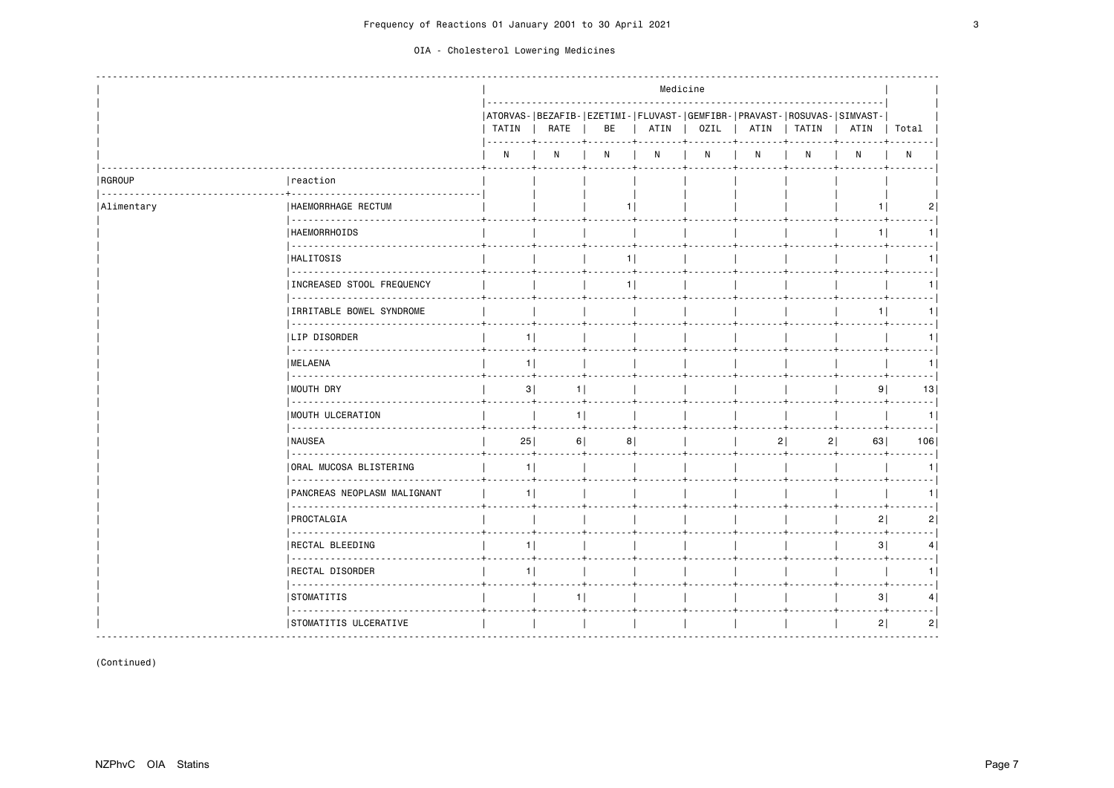|                    |                                                      |                |                                               |    | Medicine |                    |                |                                                                                  |                |                |
|--------------------|------------------------------------------------------|----------------|-----------------------------------------------|----|----------|--------------------|----------------|----------------------------------------------------------------------------------|----------------|----------------|
|                    |                                                      | TATIN<br>. +   | RATE                                          | BE |          | ATIN   OZIL   ATIN |                | ATORVAS- BEZAFIB- EZETIMI- FLUVAST- GEMFIBR- PRAVAST- ROSUVAS- SIMVAST-<br>TATIN | ATIN           | Total          |
|                    |                                                      | N              | N                                             | N  | N        | $\mathsf{N}$       | N              | N                                                                                | N              | N              |
| RGROUP<br><b>.</b> | reaction                                             |                |                                               |    |          |                    |                |                                                                                  |                |                |
| Alimentary         | HAEMORRHAGE RECTUM                                   |                |                                               | 11 |          |                    |                |                                                                                  | 1.             | 2              |
|                    | HAEMORRHOIDS                                         |                |                                               |    |          |                    |                |                                                                                  | 1              | 1              |
|                    | .<br><b>HALITOSIS</b>                                |                |                                               | 1  |          |                    |                |                                                                                  |                | --- 1<br>1     |
|                    | INCREASED STOOL FREQUENCY                            |                |                                               | 1  |          |                    |                |                                                                                  |                | 1              |
|                    | .<br>IRRITABLE BOWEL SYNDROME                        |                |                                               |    |          |                    |                |                                                                                  | 1              | 1              |
|                    | <b>LIP DISORDER</b>                                  | 1              |                                               |    |          |                    |                |                                                                                  |                | $- - - -$<br>1 |
|                    | .<br><b>IMELAENA</b>                                 | 1              |                                               |    |          |                    |                |                                                                                  |                | --- 1<br>1     |
|                    | <u>.</u><br>  MOUTH DRY                              | 3              | 1                                             |    |          |                    |                |                                                                                  | 9 <sub>1</sub> | 13             |
|                    | MOUTH ULCERATION                                     |                | $- - - + -$<br>$-1 + - - -$<br>1 <sup>1</sup> |    |          |                    |                |                                                                                  |                | .  <br>1       |
|                    | <b>INAUSEA</b>                                       | 25             | 6                                             | 8  |          |                    | 2 <sup>1</sup> | 21                                                                               | 63             | . 1<br>106     |
|                    | ORAL MUCOSA BLISTERING                               | 1              |                                               |    |          |                    |                |                                                                                  |                | - - - - 1<br>1 |
|                    | .<br>PANCREAS NEOPLASM MALIGNANT                     | 1 <sup>1</sup> |                                               |    |          |                    |                |                                                                                  |                | .  <br>1       |
|                    | PROCTALGIA                                           |                |                                               |    |          |                    |                |                                                                                  | 2              | 2              |
|                    | .<br>RECTAL BLEEDING                                 | 1              |                                               |    |          |                    |                |                                                                                  | 3              | - - - - 1<br>4 |
|                    | .<br>RECTAL DISORDER                                 | 1              |                                               |    |          |                    |                |                                                                                  |                | 1              |
|                    | STOMATITIS                                           |                | 11                                            |    |          |                    |                |                                                                                  | 3              | $- - 1$<br>4   |
|                    | ---------------------------<br>STOMATITIS ULCERATIVE |                |                                               |    |          |                    |                |                                                                                  | 2              | 2              |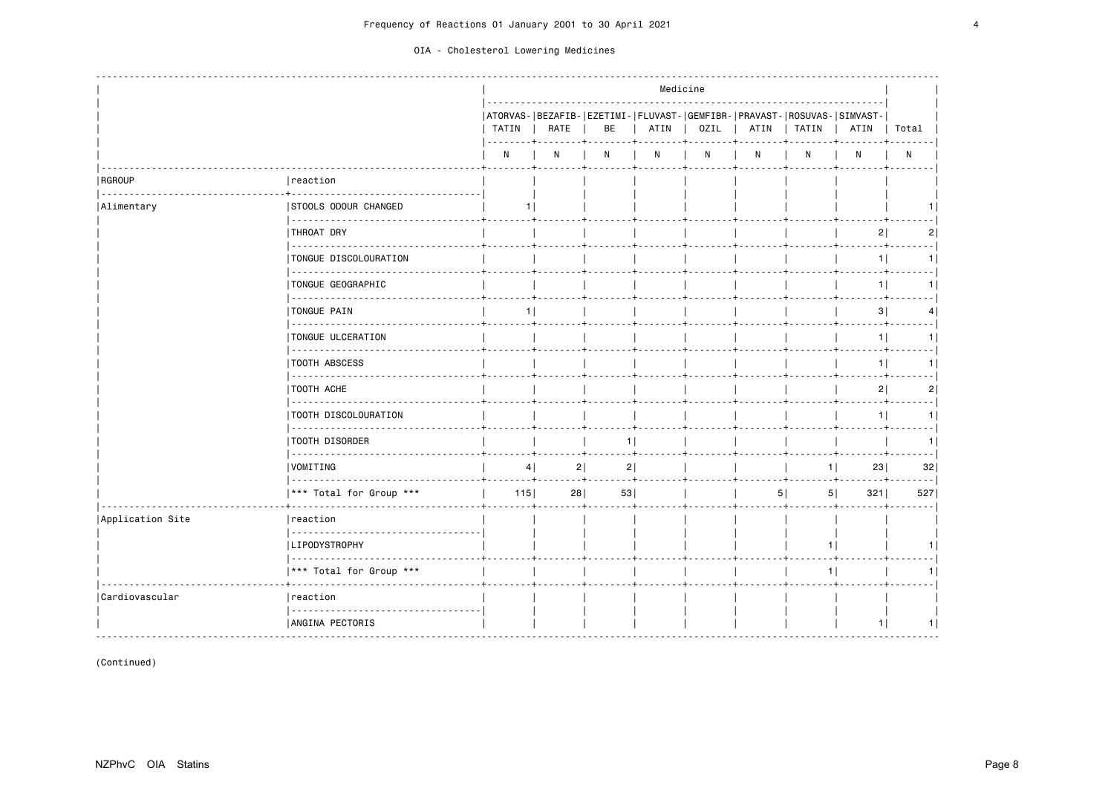|                           |                                     |                |                              |                |      | Medicine     |   |                                                                                         |                |            |
|---------------------------|-------------------------------------|----------------|------------------------------|----------------|------|--------------|---|-----------------------------------------------------------------------------------------|----------------|------------|
|                           |                                     | TATIN          | RATE                         | BE             | ATIN | OZIL         |   | ATORVAS- BEZAFIB- EZETIMI- FLUVAST- GEMFIBR- PRAVAST- ROSUVAS- SIMVAST-<br>ATIN   TATIN | ATIN           | Total      |
|                           |                                     | N              | N                            | N              | N    | $\mathsf{N}$ | N | N                                                                                       | N              | N          |
| <b>RGROUP</b><br><u>.</u> | reaction                            |                |                              |                |      |              |   |                                                                                         |                |            |
| Alimentary                | <b>STOOLS ODOUR CHANGED</b>         | 1 I            |                              |                |      |              |   |                                                                                         |                |            |
|                           | THROAT DRY                          |                |                              |                |      |              |   |                                                                                         | 2              | 2          |
|                           | TONGUE DISCOLOURATION               |                |                              |                |      |              |   |                                                                                         | 1              | 1          |
|                           | TONGUE GEOGRAPHIC                   |                |                              |                |      |              |   |                                                                                         | $1$            | 1          |
|                           | TONGUE PAIN                         | 1 <sup>1</sup> |                              |                |      |              |   |                                                                                         | 3              | ----1<br>4 |
|                           | .<br>TONGUE ULCERATION              |                |                              |                |      |              |   |                                                                                         | 1              | ---- <br>1 |
|                           | .<br><b>TOOTH ABSCESS</b>           |                |                              |                |      |              |   |                                                                                         | 1 <sup>1</sup> | . 1<br>1   |
|                           | .<br>TOOTH ACHE                     |                |                              |                |      |              |   |                                                                                         | 2              | . 1<br>2   |
|                           | .<br>TOOTH DISCOLOURATION           |                |                              |                |      |              |   |                                                                                         | 1              | 1          |
|                           | .<br><b>TOOTH DISORDER</b>          |                |                              | 1 <sup>1</sup> |      |              |   |                                                                                         |                | 1          |
|                           | <u>.</u><br>VOMITING                | 4              | 2 <br>$- + - -$<br>$- + + -$ | 2              |      |              |   | 1 <sup>1</sup>                                                                          | 23             | 32         |
|                           | <u>.</u><br>*** Total for Group *** | $115$          | 28                           | 53             |      |              |   | 5 <br>5                                                                                 | 321            | 527        |
| Application Site          | reaction                            |                |                              |                |      |              |   |                                                                                         |                |            |
|                           | LIPODYSTROPHY                       |                |                              |                |      |              |   | 1                                                                                       |                | 1.         |
|                           | *** Total for Group ***             |                |                              |                |      |              |   | 1                                                                                       |                | 1          |
| Cardiovascular            | reaction                            |                |                              |                |      |              |   |                                                                                         |                |            |
|                           | ANGINA PECTORIS                     |                |                              |                |      |              |   |                                                                                         | 1              | 1          |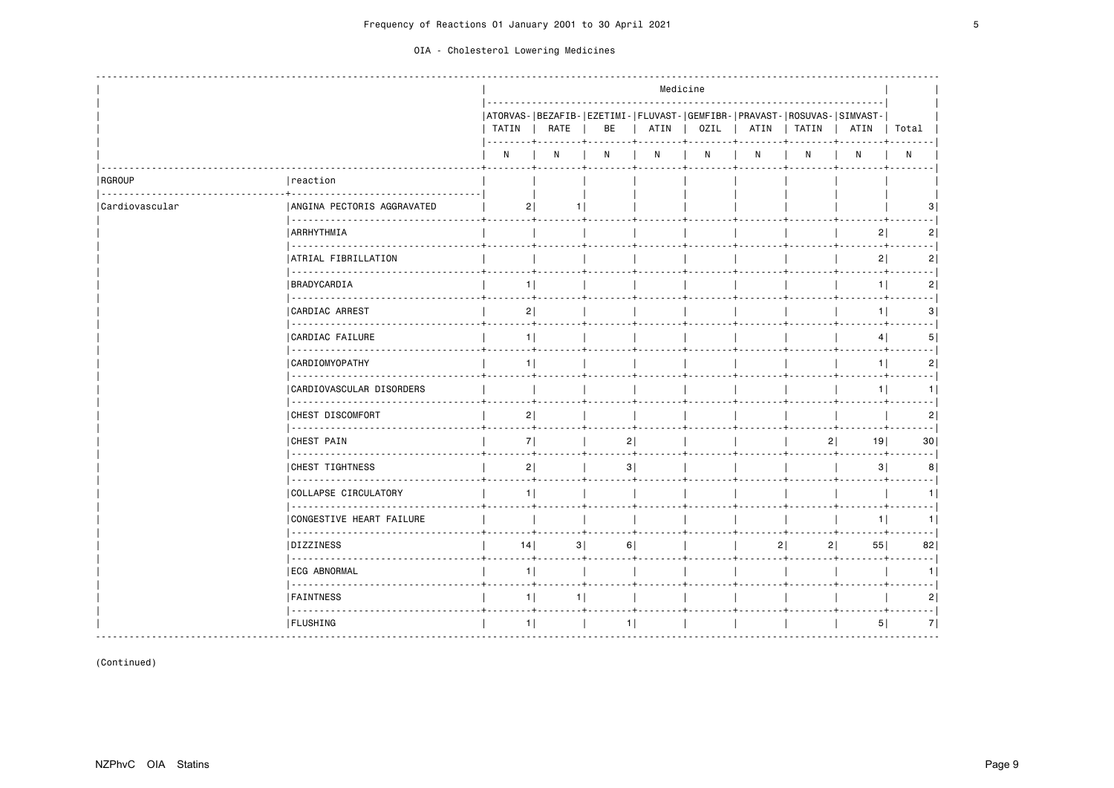|                    |                                 |                  |                   |    |      | Medicine |      |                                                                                    |                        |                |
|--------------------|---------------------------------|------------------|-------------------|----|------|----------|------|------------------------------------------------------------------------------------|------------------------|----------------|
|                    |                                 | TATIN  <br>----- | RATE              | BE | ATIN | OZIL     | ATIN | ATORVAS- BEZAFIB- EZETIMI- FLUVAST- GEMFIBR- PRAVAST- ROSUVAS- SIMVAST-<br>  TATIN | ATIN                   | Total          |
|                    |                                 | N                | N                 | N  | N    | N        | N    | N                                                                                  | N                      | $\mathsf{N}$   |
| RGROUP<br><u>.</u> | reaction                        |                  |                   |    |      |          |      |                                                                                    |                        |                |
| Cardiovascular     | ANGINA PECTORIS AGGRAVATED      | 21               |                   |    |      |          |      |                                                                                    |                        |                |
|                    | <b>ARRHYTHMIA</b>               |                  |                   |    |      |          |      |                                                                                    | 2                      | 2              |
|                    | .<br>ATRIAL FIBRILLATION        |                  |                   |    |      |          |      |                                                                                    | 2                      | 2 <sup>1</sup> |
|                    | BRADYCARDIA                     | 1                |                   |    |      |          |      |                                                                                    | 1                      | 2              |
|                    | .<br>CARDIAC ARREST             | 2                |                   |    |      |          |      |                                                                                    | 1 <sup>1</sup>         | 3              |
|                    | .<br>.<br>CARDIAC FAILURE       | 1                |                   |    |      |          |      |                                                                                    | 4                      | 5              |
|                    | .<br><b>CARDIOMYOPATHY</b>      | 1                |                   |    |      |          |      |                                                                                    | 1                      | $\overline{2}$ |
|                    | .<br>CARDIOVASCULAR DISORDERS   |                  | <b>Simulation</b> |    |      |          |      |                                                                                    | 1                      | 1.             |
|                    | .<br><b>CHEST DISCOMFORT</b>    | 2                |                   |    |      |          |      |                                                                                    |                        | 2              |
|                    | .<br><b>CHEST PAIN</b>          | 7                |                   | 2  |      |          |      | 21                                                                                 | . <del>.</del> .<br>19 | 30             |
|                    | <b>CHEST TIGHTNESS</b>          | 2                |                   | 3  |      |          |      |                                                                                    | 3                      | 8              |
|                    | .<br>COLLAPSE CIRCULATORY       | 1 <sup>1</sup>   |                   |    |      |          |      |                                                                                    |                        |                |
|                    | .<br>CONGESTIVE HEART FAILURE   |                  |                   |    |      |          |      |                                                                                    | 1                      | 1 I            |
|                    | <b>DIZZINESS</b>                | 14               | 3                 | 6  |      |          |      | 2 <sup>1</sup><br>2                                                                | 55                     | 82             |
|                    | <u>.</u><br><b>ECG ABNORMAL</b> | 1                |                   |    |      |          |      |                                                                                    |                        |                |
|                    | .<br><b>FAINTNESS</b>           | 1 <sup>1</sup>   | <b>TAL</b><br>11  |    |      |          |      |                                                                                    |                        | 2              |
|                    | .<br><b>FLUSHING</b>            | 1                |                   | 1  |      |          |      |                                                                                    | 5                      | 7              |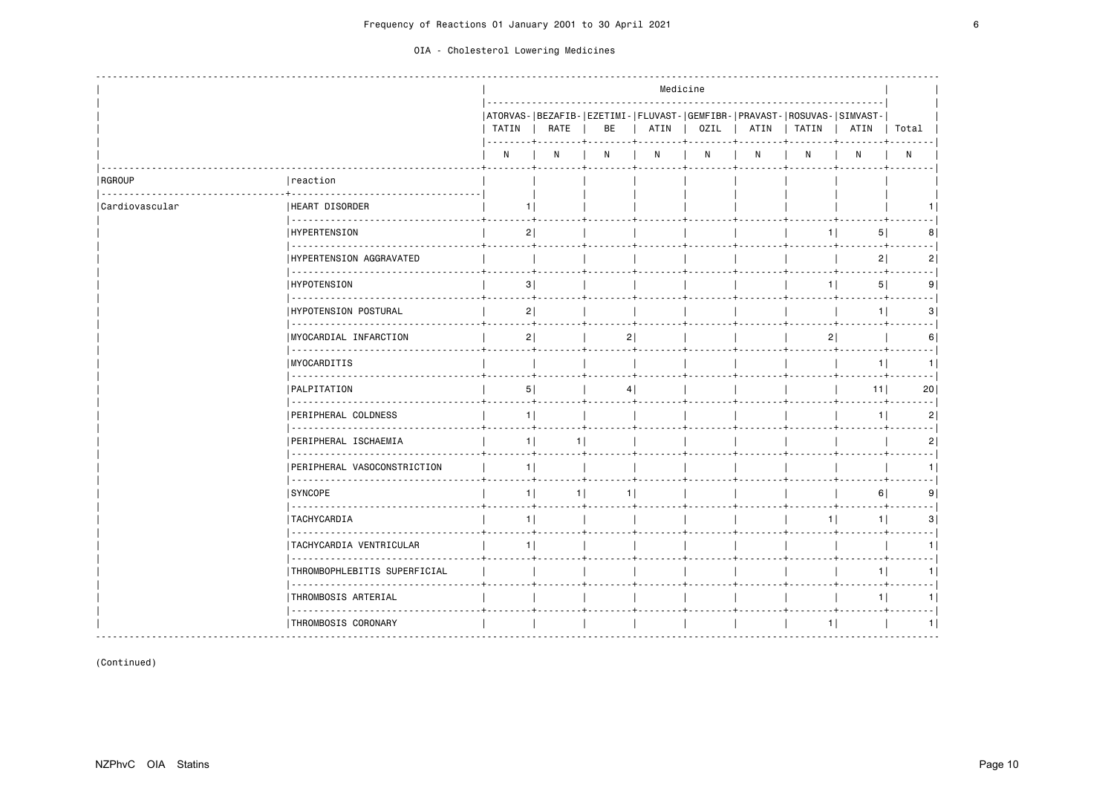|                    |                                  |                |                |            | Medicine |              |              |                                                                                    |                |                |
|--------------------|----------------------------------|----------------|----------------|------------|----------|--------------|--------------|------------------------------------------------------------------------------------|----------------|----------------|
|                    |                                  | TATIN          | RATE           | BE         | ATIN     | OZIL         | ATIN         | ATORVAS- BEZAFIB- EZETIMI- FLUVAST- GEMFIBR- PRAVAST- ROSUVAS- SIMVAST-<br>  TATIN | ATIN           | Total          |
|                    |                                  | N              | N              | N          | N        | $\mathsf{N}$ | $\mathsf{N}$ | N                                                                                  | N              | N              |
| RGROUP<br><u>.</u> | reaction                         |                |                |            |          |              |              |                                                                                    |                |                |
| Cardiovascular     | HEART DISORDER                   |                |                |            |          |              |              |                                                                                    |                |                |
|                    | <b>HYPERTENSION</b>              | 2              |                |            |          |              |              | 11                                                                                 | 5              | 8              |
|                    | HYPERTENSION AGGRAVATED          |                |                |            |          |              |              |                                                                                    | 2              | 2              |
|                    | <b>HYPOTENSION</b>               | 3              |                |            |          |              |              | 1                                                                                  | 5 <sup>1</sup> | - - - 1<br>9   |
|                    | <u>.</u><br>HYPOTENSION POSTURAL | 2              |                |            |          |              |              |                                                                                    | 1 <sup>1</sup> | 3              |
|                    | MYOCARDIAL INFARCTION            | 2              |                | 2          |          |              |              | 2                                                                                  |                | 6              |
|                    | <b>MYOCARDITIS</b>               |                |                |            |          |              |              |                                                                                    | 1              | 1              |
|                    | .<br>PALPITATION                 | 5              |                | 4          |          |              |              |                                                                                    | 11             | 20             |
|                    | PERIPHERAL COLDNESS              | 1 <sup>1</sup> |                | <u>. 4</u> |          |              |              |                                                                                    | 1.             | 2              |
|                    | <u>.</u><br>PERIPHERAL ISCHAEMIA | 1              | 1 <sup>1</sup> |            |          |              |              |                                                                                    |                | 2              |
|                    | PERIPHERAL VASOCONSTRICTION      | 1              |                |            |          |              |              |                                                                                    |                | 1              |
|                    | <b>SYNCOPE</b>                   | 1 <sup>1</sup> | 1 <sup>1</sup> | 11         |          |              |              |                                                                                    | 6              | 9              |
|                    | TACHYCARDIA                      | 1              |                |            |          |              |              | 11                                                                                 | 1              | 3              |
|                    | TACHYCARDIA VENTRICULAR          | 11             |                |            |          |              |              |                                                                                    |                | . 1<br>1       |
|                    | THROMBOPHLEBITIS SUPERFICIAL     |                |                |            |          |              |              |                                                                                    | 1              | 1              |
|                    | <u>.</u><br>THROMBOSIS ARTERIAL  |                |                |            |          |              |              |                                                                                    | 11             | $- - - 1$<br>1 |
|                    | .<br>THROMBOSIS CORONARY         |                |                |            |          |              |              | 1                                                                                  |                | 1              |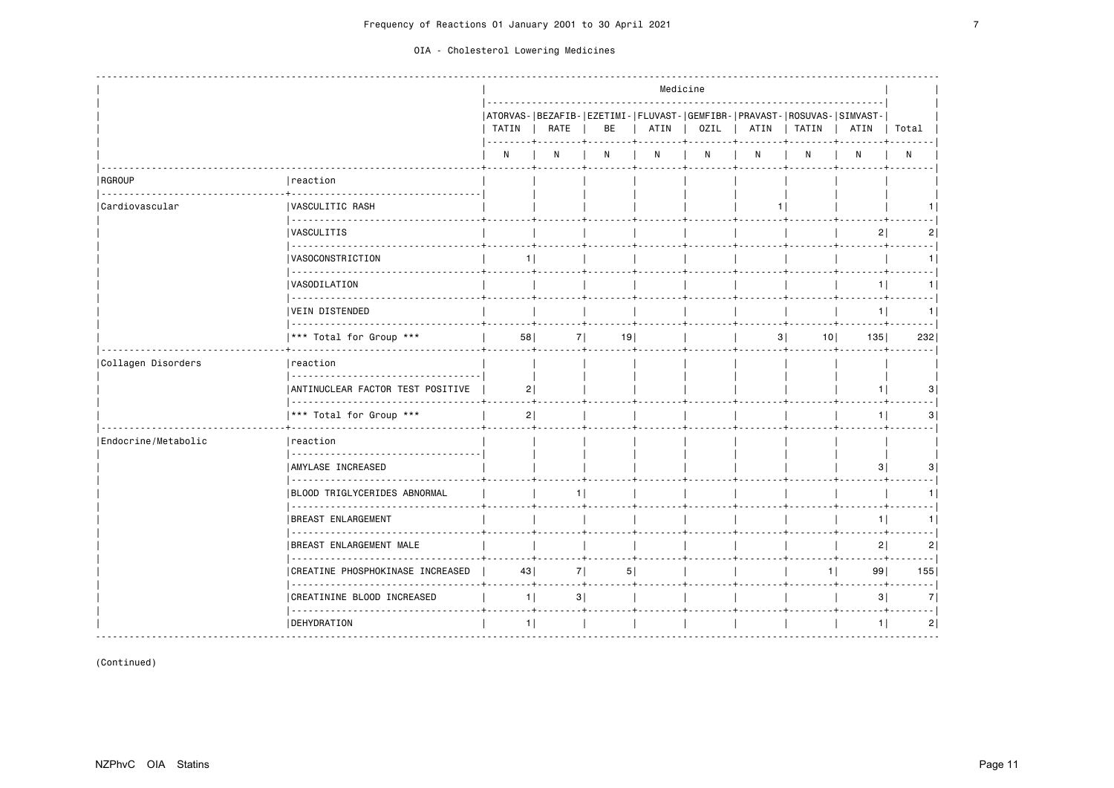|                       |                                                 |       |            |    |           | Medicine                                                                        |   |              |                |                  |
|-----------------------|-------------------------------------------------|-------|------------|----|-----------|---------------------------------------------------------------------------------|---|--------------|----------------|------------------|
|                       |                                                 | TATIN | RATE       | BE | ATIN<br>. | ATORVAS- BEZAFIB- EZETIMI- FLUVAST- GEMFIBR- PRAVAST- ROSUVAS- SIMVAST-<br>OZIL |   | ATIN   TATIN | ATIN           | Total            |
|                       |                                                 | N     | N          | N  | N         | N                                                                               | N | N            | N              | N                |
| <b>RGROUP</b>         | reaction                                        |       |            |    |           |                                                                                 |   |              |                |                  |
| <b>Cardiovascular</b> | VASCULITIC RASH                                 |       |            |    |           |                                                                                 |   |              |                |                  |
|                       | <b>IVASCULITIS</b>                              |       |            |    |           |                                                                                 |   |              | 2 <sup>1</sup> | 2                |
|                       | .<br> VASOCONSTRICTION                          | 11    |            |    |           |                                                                                 |   |              |                | 1                |
|                       | VASODILATION                                    |       |            |    |           |                                                                                 |   |              | $1$            | 1                |
|                       | VEIN DISTENDED                                  |       |            |    |           |                                                                                 |   |              | $1 \mid$       | - - - - 1<br>1   |
|                       | *** Total for Group ***                         | 58    | 7          | 19 |           |                                                                                 |   | 3 <br>101    | 135            | - - - - 1<br>232 |
| Collagen Disorders    | reaction                                        |       |            |    |           |                                                                                 |   |              |                |                  |
|                       | ANTINUCLEAR FACTOR TEST POSITIVE                | 2     |            |    |           |                                                                                 |   |              | 11             | 3                |
|                       | *** Total for Group ***                         | 2     |            |    |           |                                                                                 |   |              | 11             | 3                |
| Endocrine/Metabolic   | Ireaction                                       |       |            |    |           |                                                                                 |   |              |                |                  |
|                       | AMYLASE INCREASED                               |       |            |    |           |                                                                                 |   |              | 3              | 3                |
|                       | <u>.</u><br><b>BLOOD TRIGLYCERIDES ABNORMAL</b> |       | 11         |    |           |                                                                                 |   |              |                | 1                |
|                       | <b>BREAST ENLARGEMENT</b>                       |       |            |    |           |                                                                                 |   |              | 1              | 1                |
|                       | <b>BREAST ENLARGEMENT MALE</b>                  |       |            |    |           |                                                                                 |   |              | 2              | 2                |
|                       | .<br>CREATINE PHOSPHOKINASE INCREASED           | 43    | 7          | 5  |           |                                                                                 |   | 1            | 99             | - - - - 1<br>155 |
|                       | CREATININE BLOOD INCREASED                      |       | $1$  <br>3 |    |           |                                                                                 |   |              | 3              | . 1<br>7         |
|                       | <b>DEHYDRATION</b><br><u>.</u>                  | 1     |            |    |           |                                                                                 |   |              | 1              | . 1<br>2         |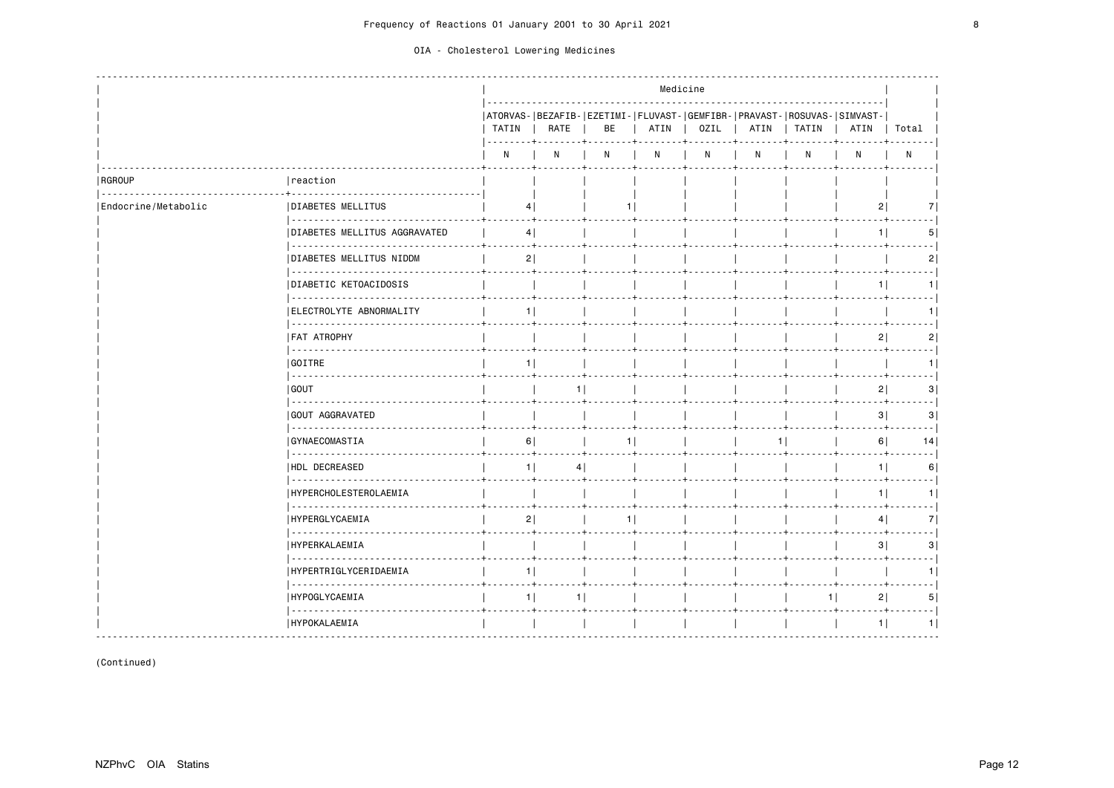|                     |                                                                   |                |                |                |      | Medicine |   |                                                                                         |                |                           |
|---------------------|-------------------------------------------------------------------|----------------|----------------|----------------|------|----------|---|-----------------------------------------------------------------------------------------|----------------|---------------------------|
|                     |                                                                   | TATIN          | RATE           | BE             | ATIN | OZIL     |   | ATORVAS- BEZAFIB- EZETIMI- FLUVAST- GEMFIBR- PRAVAST- ROSUVAS- SIMVAST-<br>ATIN   TATIN | ATIN           | Total                     |
|                     |                                                                   | N              | N              | N              | N    | N        | N | N                                                                                       | N              | N                         |
| <b>RGROUP</b>       | reaction                                                          |                |                |                |      |          |   |                                                                                         |                |                           |
| Endocrine/Metabolic | <b>DIABETES MELLITUS</b>                                          | 4              |                | 1 <sup>1</sup> |      |          |   |                                                                                         | 2              | 7                         |
|                     | _ _ _ _ _ _ _ _ _ _ _ _ _ _ _ _ _<br>DIABETES MELLITUS AGGRAVATED |                | 4              |                |      |          |   |                                                                                         | 11             | 5                         |
|                     | <b> DIABETES MELLITUS NIDDM</b>                                   | 2              |                |                |      |          |   |                                                                                         |                | 2                         |
|                     | .<br> DIABETIC KETOACIDOSIS                                       |                |                |                |      |          |   |                                                                                         | 1              | 1                         |
|                     | .<br>ELECTROLYTE ABNORMALITY                                      | 11             |                |                |      |          |   |                                                                                         |                | 1                         |
|                     | <b>FAT ATROPHY</b>                                                |                |                |                |      |          |   |                                                                                         | 2              | 2                         |
|                     | GOITRE                                                            | 1 <sup>1</sup> |                |                |      |          |   |                                                                                         |                | 1                         |
|                     | <u>.</u><br>  GOUT                                                |                | 1 <sup>1</sup> |                |      |          |   |                                                                                         | 2 <sup>1</sup> | 3                         |
|                     | .<br>GOUT AGGRAVATED                                              |                |                |                |      |          |   |                                                                                         | 3              | 3                         |
|                     | .<br><b>GYNAECOMASTIA</b>                                         | 6              |                | 1              |      |          |   |                                                                                         | 6              | 14                        |
|                     | .<br><b>HDL DECREASED</b>                                         | 1 <sup>1</sup> | 4              |                |      |          |   |                                                                                         | 1              | 6                         |
|                     | .<br> HYPERCHOLESTEROLAEMIA                                       |                |                |                |      |          |   |                                                                                         | 1 <sup>1</sup> | $\sim$ $\sim$ $\sim$<br>1 |
|                     | .<br><b>HYPERGLYCAEMIA</b>                                        | 2              |                | 1              |      |          |   |                                                                                         | 4              | 7                         |
|                     | .<br><b>HYPERKALAEMIA</b>                                         |                |                |                |      |          |   |                                                                                         | 3              | 3                         |
|                     | .<br> HYPERTRIGLYCERIDAEMIA                                       | $1$            |                |                |      |          |   |                                                                                         |                | 1                         |
|                     | .<br><b>HYPOGLYCAEMIA</b>                                         | 1              | 11             |                |      |          |   | 1 I                                                                                     | 2              | 5                         |
|                     | .<br>  HYPOKALAEMIA                                               |                |                |                |      |          |   |                                                                                         | 1              | 1                         |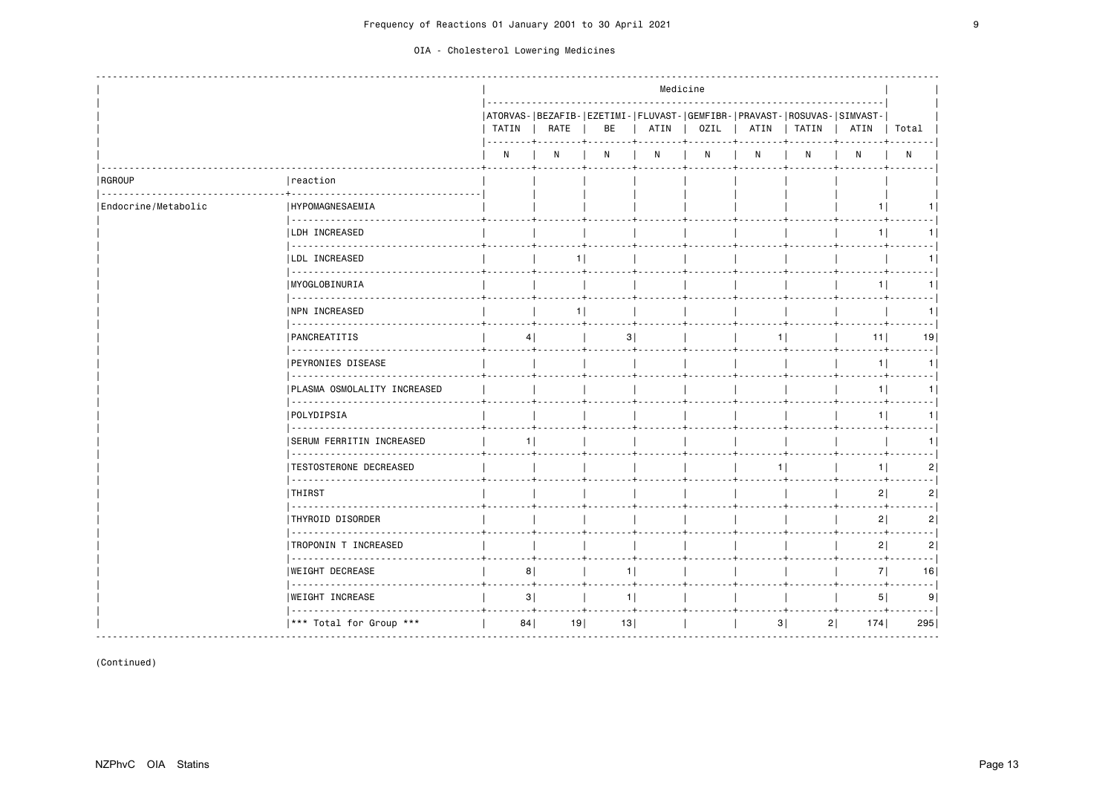|                     |                                    |              |                                                                                                                 |    | Medicine |      |      |                                                                                  |                |                  |
|---------------------|------------------------------------|--------------|-----------------------------------------------------------------------------------------------------------------|----|----------|------|------|----------------------------------------------------------------------------------|----------------|------------------|
|                     |                                    | TATIN        | RATE                                                                                                            | BE | ATIN     | OZIL | ATIN | ATORVAS- BEZAFIB- EZETIMI- FLUVAST- GEMFIBR- PRAVAST- ROSUVAS- SIMVAST-<br>TATIN | ATIN           | Total            |
|                     |                                    | $\mathsf{N}$ | N                                                                                                               | N  | N        | N    | N    | N                                                                                | N              | ${\sf N}$        |
| RGROUP              | reaction                           |              |                                                                                                                 |    |          |      |      |                                                                                  |                |                  |
| Endocrine/Metabolic | <b>HYPOMAGNESAEMIA</b><br><u>.</u> |              |                                                                                                                 |    |          |      |      |                                                                                  |                | 1 I              |
|                     | <b>LDH INCREASED</b>               |              |                                                                                                                 |    |          |      |      |                                                                                  | 11             | 1                |
|                     | LDL INCREASED                      |              | 11                                                                                                              |    |          |      |      |                                                                                  |                | 1                |
|                     | MYOGLOBINURIA                      |              |                                                                                                                 |    |          |      |      |                                                                                  | 1              | 1                |
|                     | .<br><b>INPN INCREASED</b>         |              | 11                                                                                                              |    |          |      |      |                                                                                  |                | 1                |
|                     | .<br><b>PANCREATITIS</b>           | 4            |                                                                                                                 | 3  |          |      | 1 I  |                                                                                  | 11             | 19               |
|                     | <b>PEYRONIES DISEASE</b>           |              |                                                                                                                 |    |          |      |      |                                                                                  | 1              | $- - -$<br>1     |
|                     | .<br>PLASMA OSMOLALITY INCREASED   |              |                                                                                                                 |    |          |      |      |                                                                                  | 11             | --- 1<br>1       |
|                     | POLYDIPSIA                         |              |                                                                                                                 |    |          |      |      |                                                                                  |                | - - - - 1<br>1   |
|                     | <b>SERUM FERRITIN INCREASED</b>    | 11           |                                                                                                                 |    |          |      |      |                                                                                  |                | 1                |
|                     | <b>TESTOSTERONE DECREASED</b>      |              |                                                                                                                 |    |          |      | 1    |                                                                                  | 1              | 2                |
|                     | THIRST                             |              |                                                                                                                 |    |          |      |      |                                                                                  | 2              | 2                |
|                     | THYROID DISORDER                   |              |                                                                                                                 |    |          |      |      |                                                                                  | 2              | 2                |
|                     | <b>TROPONIN T INCREASED</b>        |              |                                                                                                                 |    |          |      |      |                                                                                  | 2              | 2                |
|                     | .<br><b>WEIGHT DECREASE</b>        | 8            |                                                                                                                 | 1  |          |      |      |                                                                                  | 7 <sup>1</sup> | 16               |
|                     | .<br><b>WEIGHT INCREASE</b>        | 3            | the contract of the contract of the contract of the contract of the contract of the contract of the contract of | 1  |          |      |      |                                                                                  | 5              | $- - - -$<br>9   |
|                     | *** Total for Group ***            | 84           | <u>. 4</u><br>19                                                                                                | 13 |          |      | 3    | 2                                                                                | 174            | $- - - -$<br>295 |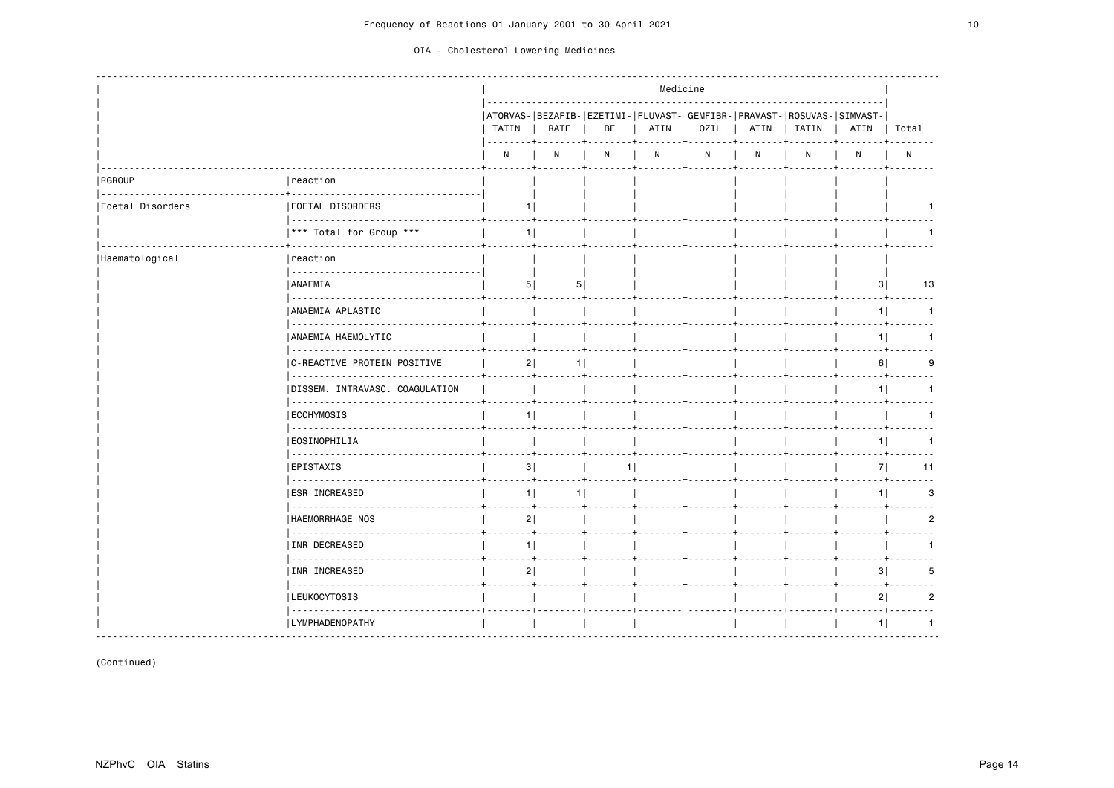|                  |                                     |             |                      |    |      | Medicine |      |                                                                                    |                |              |
|------------------|-------------------------------------|-------------|----------------------|----|------|----------|------|------------------------------------------------------------------------------------|----------------|--------------|
|                  |                                     | TATIN       | RATE                 | BE | ATIN | OZIL     | ATIN | ATORVAS- BEZAFIB- EZETIMI- FLUVAST- GEMFIBR- PRAVAST- ROSUVAS- SIMVAST-<br>  TATIN | ATIN           | Total        |
|                  |                                     | N           | N                    | N  | N    | N        | N    | N                                                                                  | N              | $\mathsf{N}$ |
| RGROUP           | reaction<br>.                       |             |                      |    |      |          |      |                                                                                    |                |              |
| Foetal Disorders | <b> FOETAL DISORDERS</b>            |             | 11                   |    |      |          |      |                                                                                    |                |              |
|                  | *** Total for Group ***             |             | 1                    |    |      |          |      |                                                                                    |                |              |
| Haematological   | reaction                            |             |                      |    |      |          |      |                                                                                    |                |              |
|                  | <b>ANAEMIA</b>                      |             | 5 <br>5              |    |      |          |      |                                                                                    | 3              | 13           |
|                  | .<br>ANAEMIA APLASTIC               |             |                      |    |      |          |      |                                                                                    | 1              |              |
|                  | .<br>ANAEMIA HAEMOLYTIC<br><u>.</u> |             |                      |    |      |          |      |                                                                                    | 1 <sup>1</sup> |              |
|                  | C-REACTIVE PROTEIN POSITIVE<br>.    |             | 2 <br>1              |    |      |          |      |                                                                                    | 6              | 9            |
|                  | DISSEM. INTRAVASC. COAGULATION      |             |                      |    |      |          |      |                                                                                    | 1 <sup>1</sup> |              |
|                  | ECCHYMOSIS                          |             | 1 <sup>1</sup>       |    |      |          |      |                                                                                    |                |              |
|                  | .<br><b>EOSINOPHILIA</b>            |             |                      |    |      |          |      |                                                                                    | 1 <sup>1</sup> | 1 I          |
|                  | EPISTAXIS                           |             | 3                    | 1  |      |          |      |                                                                                    | 7              | 11           |
|                  | .<br><b>ESR INCREASED</b>           |             | 1 <sup>1</sup><br>11 |    |      |          |      |                                                                                    | 1 <sup>1</sup> | 3            |
|                  | .<br>HAEMORRHAGE NOS                |             | 2                    |    |      |          |      |                                                                                    |                |              |
|                  | .<br>INR DECREASED                  |             | 1 <sup>1</sup>       |    |      |          |      |                                                                                    |                |              |
|                  | <u>.</u><br>INR INCREASED           | 2 <br>$- +$ |                      |    |      |          |      |                                                                                    | 3              | 5            |
|                  | .<br><b>LEUKOCYTOSIS</b>            |             |                      |    |      |          |      |                                                                                    | 2              | 2            |
|                  | .<br>  LYMPHADENOPATHY              |             |                      |    |      |          |      |                                                                                    | 1 <sup>1</sup> |              |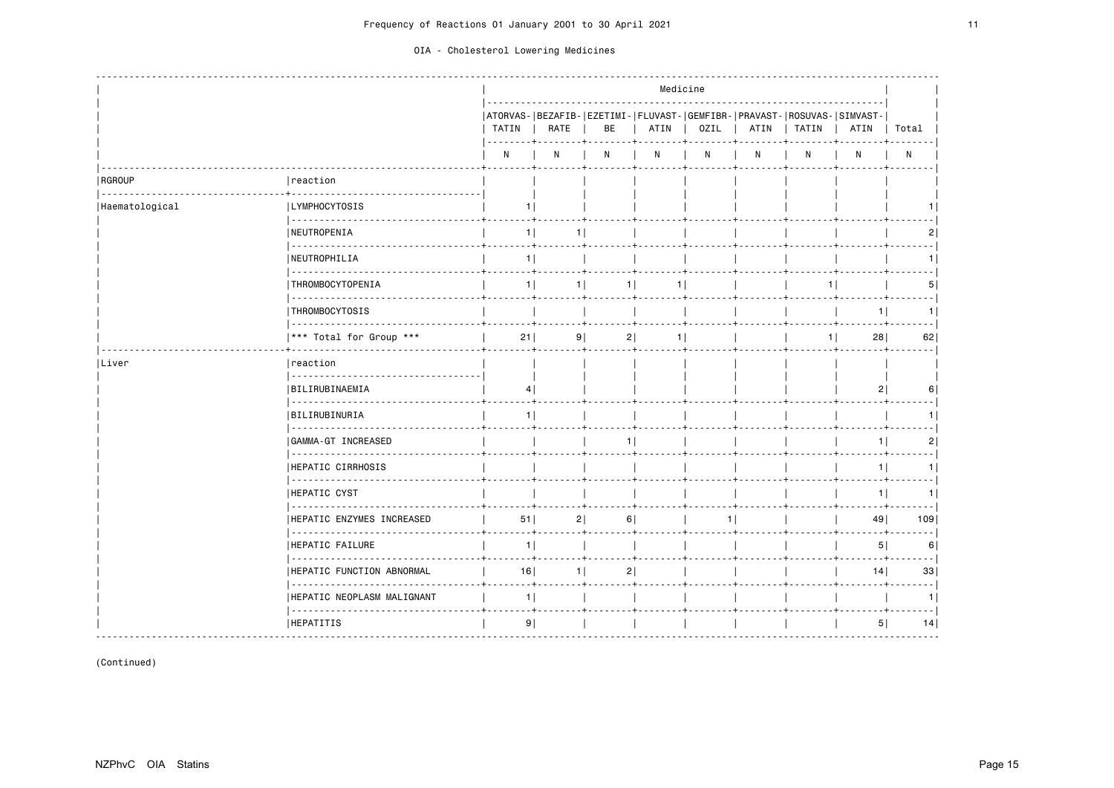|                |                                        |                |                |                | Medicine       |      |      |                                                                                    |                |                |
|----------------|----------------------------------------|----------------|----------------|----------------|----------------|------|------|------------------------------------------------------------------------------------|----------------|----------------|
|                |                                        | TATIN          | RATE           | BE             | ATIN           | 0ZIL | ATIN | ATORVAS- BEZAFIB- EZETIMI- FLUVAST- GEMFIBR- PRAVAST- ROSUVAS- SIMVAST-<br>  TATIN | ATIN           | Total          |
|                |                                        | N              | N              | N              | N              | N    | N    | N                                                                                  | N              | $\mathsf{N}$   |
| RGROUP<br>.    | reaction                               |                |                |                |                |      |      |                                                                                    |                |                |
| Haematological | LYMPHOCYTOSIS                          | 11             |                |                |                |      |      |                                                                                    |                |                |
|                | <b>INEUTROPENIA</b>                    | $1 \mid$       | 11             |                |                |      |      |                                                                                    |                |                |
|                | .<br>  NEUTROPHILIA                    | 1 <sup>1</sup> |                |                |                |      |      |                                                                                    |                |                |
|                | <u>.</u><br>THROMBOCYTOPENIA           | 1 <sup>1</sup> | 1              | 1              | 1              |      |      | 1                                                                                  |                | 5 <sup>1</sup> |
|                | .<br>THROMBOCYTOSIS                    |                |                |                |                |      |      |                                                                                    | 11             | 1 I            |
|                | .<br> *** Total for Group ***          | $21$           | 9              | 2              | 1 <sup>1</sup> |      |      | $1 \mid$                                                                           | 28             | 62             |
| Liver          | Ireaction                              |                |                |                |                |      |      |                                                                                    |                |                |
|                | BILIRUBINAEMIA                         | 4              |                |                |                |      |      |                                                                                    | 2              |                |
|                | BILIRUBINURIA                          | 11             |                |                |                |      |      |                                                                                    |                |                |
|                | GAMMA-GT INCREASED                     |                |                | 1 <sup>1</sup> |                |      |      |                                                                                    | 1 <sup>1</sup> | $\overline{2}$ |
|                | HEPATIC CIRRHOSIS                      |                |                |                |                |      |      |                                                                                    | 1 <sup>1</sup> | 11             |
|                | <u>.</u><br>HEPATIC CYST               |                |                |                |                |      |      |                                                                                    | 1 <sup>1</sup> | 11             |
|                | <b>HEPATIC ENZYMES INCREASED</b>       | 51             | 2              | 6              |                |      |      |                                                                                    | 49             | 109            |
|                | .<br><b>HEPATIC FAILURE</b>            | 1 <sup>1</sup> |                |                |                |      |      |                                                                                    | 5 <sup>1</sup> | 6              |
|                | <u>.</u><br> HEPATIC FUNCTION ABNORMAL | 16             | 1 <sup>1</sup> | 2              |                |      |      |                                                                                    | 14             | 33             |
|                | HEPATIC NEOPLASM MALIGNANT             | 1              |                | . + +          |                |      |      |                                                                                    |                |                |
|                | <b>HEPATITIS</b>                       | 9              |                |                |                |      |      |                                                                                    | 5              | 14             |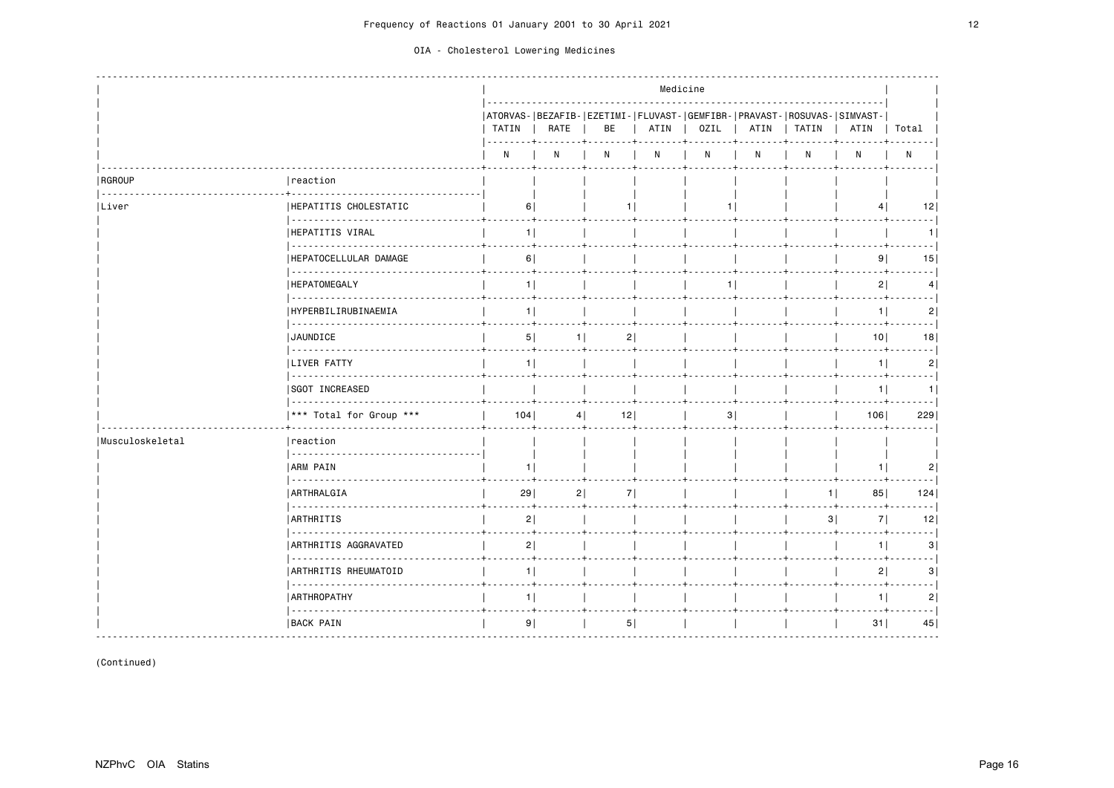|                    |                                           |                           |                     |                              | Medicine |      |   |              |                                                                                 |                  |
|--------------------|-------------------------------------------|---------------------------|---------------------|------------------------------|----------|------|---|--------------|---------------------------------------------------------------------------------|------------------|
|                    |                                           | TATIN  <br>. <b>. 4</b> . | RATE                | BE                           | ATIN     | OZIL |   | ATIN   TATIN | ATORVAS- BEZAFIB- EZETIMI- FLUVAST- GEMFIBR- PRAVAST- ROSUVAS- SIMVAST-<br>ATIN | Total            |
|                    |                                           | N                         | N                   | N                            | N        | N    | N | N            | N                                                                               | N                |
| RGROUP<br><u>.</u> | reaction                                  |                           |                     |                              |          |      |   |              |                                                                                 |                  |
| Liver              | HEPATITIS CHOLESTATIC                     | 6                         |                     | 11                           |          |      |   |              |                                                                                 | 12               |
|                    | HEPATITIS VIRAL                           | $1 \mid$                  |                     |                              |          |      |   |              |                                                                                 | 1                |
|                    | HEPATOCELLULAR DAMAGE<br>.                | 6                         |                     |                              |          |      |   |              | 9 <sub>1</sub>                                                                  | 15               |
|                    | <b>HEPATOMEGALY</b>                       | 1                         |                     |                              |          | 1    |   |              | 2                                                                               | 4                |
|                    | <b>HYPERBILIRUBINAEMIA</b>                | 1 <sup>1</sup>            |                     |                              |          |      |   |              | 1                                                                               | 2 <br>المحمد     |
|                    | <b>JAUNDICE</b>                           |                           | 5 <sup>1</sup><br>1 | 2                            |          |      |   |              | 10 <sup>1</sup>                                                                 | 18<br>--- 1      |
|                    | <b>LIVER FATTY</b><br>.                   | 11                        |                     |                              |          |      |   |              | 1                                                                               | 2 <br>- - - - 1  |
|                    | SGOT INCREASED                            |                           |                     |                              |          |      |   |              | 1                                                                               | 1<br>$- - - - 1$ |
|                    | *** Total for Group ***                   | 104                       | 4                   | 12                           |          | 3    |   |              | 106                                                                             | 229              |
| Musculoskeletal    | reaction                                  |                           |                     |                              |          |      |   |              |                                                                                 |                  |
|                    | <b>ARM PAIN</b><br>.                      | 11                        |                     |                              |          |      |   |              | 11                                                                              | 2                |
|                    | ARTHRALGIA                                | 29                        | 2                   | 7<br>$- + + - - - - - - - +$ |          |      |   | $1 \mid$     | 85                                                                              | 124              |
|                    | <b>ARTHRITIS</b>                          | 2                         |                     |                              |          |      |   | 3            | 7                                                                               | 12               |
|                    | ------------<br>ARTHRITIS AGGRAVATED<br>. | 2                         |                     |                              |          |      |   |              | 1                                                                               | .  <br>3         |
|                    | ARTHRITIS RHEUMATOID                      | $1$                       |                     |                              |          |      |   |              | 2                                                                               | 3                |
|                    | <b>ARTHROPATHY</b>                        |                           | 1 <sup>1</sup>      |                              |          |      |   |              | 1 <sup>1</sup>                                                                  | .  <br>2         |
|                    | BACK PAIN                                 | 9                         |                     | 5                            |          |      |   |              | 31                                                                              | 45               |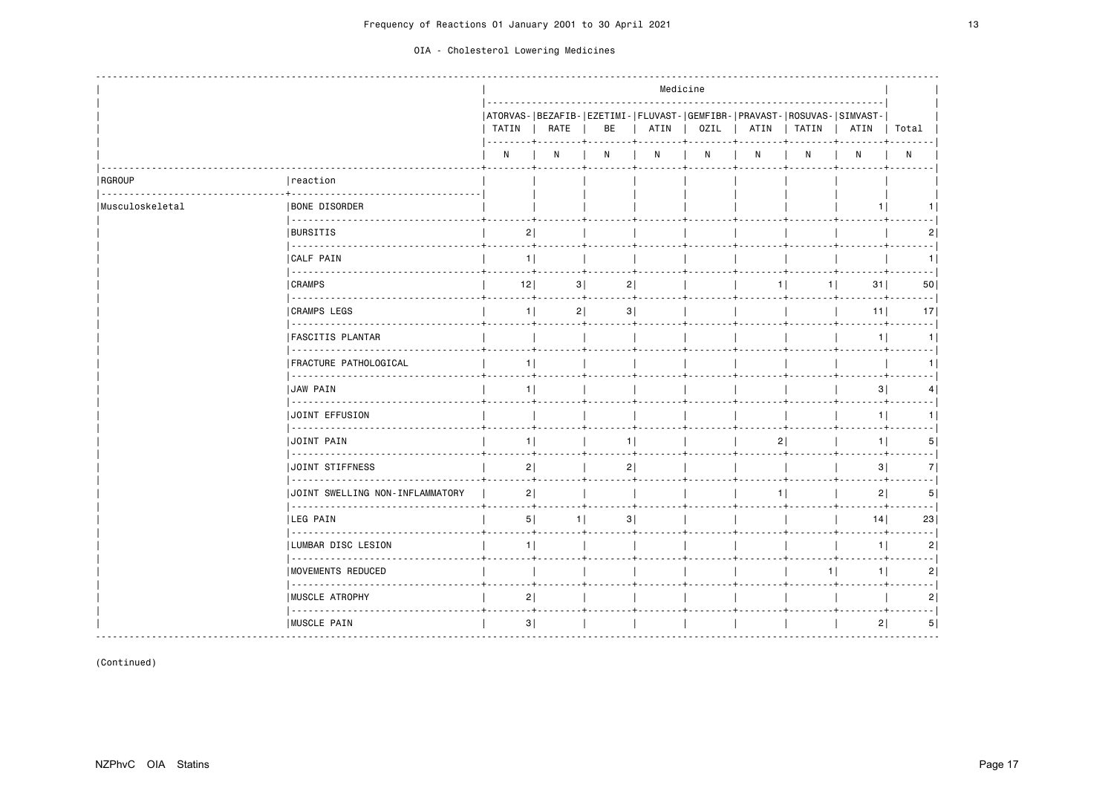|                 |                                                                                                                                                                                                                                                                                                                                                                                                                                                                                                                  |                |      |                                                                               |      | Medicine     |      |       |                |                 |
|-----------------|------------------------------------------------------------------------------------------------------------------------------------------------------------------------------------------------------------------------------------------------------------------------------------------------------------------------------------------------------------------------------------------------------------------------------------------------------------------------------------------------------------------|----------------|------|-------------------------------------------------------------------------------|------|--------------|------|-------|----------------|-----------------|
|                 |                                                                                                                                                                                                                                                                                                                                                                                                                                                                                                                  | TATIN          | RATE | ATORVAS- BEZAFIB- EZETIMI- FLUVAST- GEMFIBR- PRAVAST- ROSUVAS- SIMVAST-<br>BE | ATIN | OZIL         | ATIN | TATIN | ATIN           | Total           |
|                 |                                                                                                                                                                                                                                                                                                                                                                                                                                                                                                                  | N              | N    | N                                                                             | N    | $\mathsf{N}$ | N    | N     | N              | $\mathsf{N}$    |
| RGROUP          | reaction                                                                                                                                                                                                                                                                                                                                                                                                                                                                                                         |                |      |                                                                               |      |              |      |       |                |                 |
| Musculoskeletal | <b>BONE DISORDER</b>                                                                                                                                                                                                                                                                                                                                                                                                                                                                                             |                |      |                                                                               |      |              |      |       | 1.             |                 |
|                 | 22222222222222<br><b>BURSITIS</b>                                                                                                                                                                                                                                                                                                                                                                                                                                                                                | 2              |      |                                                                               |      |              |      |       |                | $\mathsf{2}$    |
|                 | <b>CALF PAIN</b><br><u>.</u>                                                                                                                                                                                                                                                                                                                                                                                                                                                                                     | 1              |      |                                                                               |      |              |      |       |                | 11              |
|                 | <b>CRAMPS</b>                                                                                                                                                                                                                                                                                                                                                                                                                                                                                                    | 12             | 3    | 2                                                                             |      |              | 1    | 1     | 31             | 50              |
|                 | 2000 2000 2000 2<br><b>CRAMPS LEGS</b>                                                                                                                                                                                                                                                                                                                                                                                                                                                                           | 1 <sup>1</sup> | 2    | 3                                                                             |      |              |      |       | 11             | 17              |
|                 | 2222222222<br><b> FASCITIS PLANTAR</b><br><u>.</u>                                                                                                                                                                                                                                                                                                                                                                                                                                                               |                |      |                                                                               |      |              |      |       | 1 <sup>1</sup> | 1               |
|                 | <b> FRACTURE PATHOLOGICAL</b><br>.                                                                                                                                                                                                                                                                                                                                                                                                                                                                               | 1              |      |                                                                               |      |              |      |       |                |                 |
|                 | <b>JAW PAIN</b><br>  2222222222222222222                                                                                                                                                                                                                                                                                                                                                                                                                                                                         | 11             |      |                                                                               |      |              |      |       | 3              | $\vert 4 \vert$ |
|                 | <b>JOINT EFFUSION</b>                                                                                                                                                                                                                                                                                                                                                                                                                                                                                            |                |      |                                                                               |      |              |      |       | 1 <sup>1</sup> |                 |
|                 | .<br>JOINT PAIN<br><u>.</u>                                                                                                                                                                                                                                                                                                                                                                                                                                                                                      | 11             |      | 11                                                                            |      |              | 21   |       | 1 <sup>1</sup> | 5               |
|                 | <b>JOINT STIFFNESS</b><br>.                                                                                                                                                                                                                                                                                                                                                                                                                                                                                      | 2              |      | 2                                                                             |      |              |      |       | 3              | 7               |
|                 | JUOINT SWELLING NON-INFLAMMATORY                                                                                                                                                                                                                                                                                                                                                                                                                                                                                 | 2              |      |                                                                               |      |              | 11   |       | 2              | 5               |
|                 | <b>LEG PAIN</b>                                                                                                                                                                                                                                                                                                                                                                                                                                                                                                  | 5              |      | 3 <br>1                                                                       |      |              |      |       | 14             | 23              |
|                 | $\omega$ is a second<br> LUMBAR DISC LESION<br><u>.</u>                                                                                                                                                                                                                                                                                                                                                                                                                                                          | 11             |      |                                                                               |      |              |      |       | 1 <sup>1</sup> | 2               |
|                 | <b>MOVEMENTS REDUCED</b>                                                                                                                                                                                                                                                                                                                                                                                                                                                                                         |                |      |                                                                               |      |              |      | 1     | 1              | 2               |
|                 | <b>IMUSCLE ATROPHY</b><br>$\begin{array}{cccccccccccccc} \multicolumn{2}{c}{} & \multicolumn{2}{c}{} & \multicolumn{2}{c}{} & \multicolumn{2}{c}{} & \multicolumn{2}{c}{} & \multicolumn{2}{c}{} & \multicolumn{2}{c}{} & \multicolumn{2}{c}{} & \multicolumn{2}{c}{} & \multicolumn{2}{c}{} & \multicolumn{2}{c}{} & \multicolumn{2}{c}{} & \multicolumn{2}{c}{} & \multicolumn{2}{c}{} & \multicolumn{2}{c}{} & \multicolumn{2}{c}{} & \multicolumn{2}{c}{} & \multicolumn{2}{c}{} & \multicolumn{2}{c}{} & \$ | 2              |      |                                                                               |      |              |      |       |                | 2               |
|                 | MUSCLE PAIN                                                                                                                                                                                                                                                                                                                                                                                                                                                                                                      | 3              |      |                                                                               |      |              |      |       | 2              | 5               |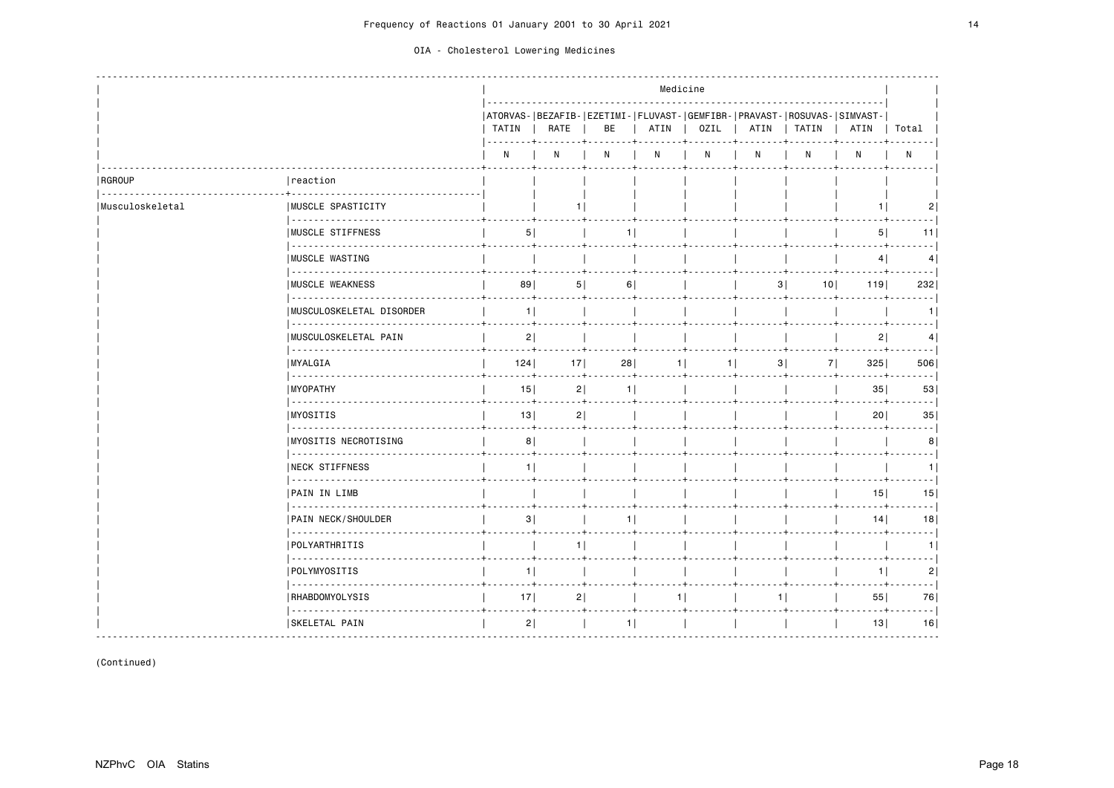|                 |                                      |                |                     |                                                                                                     |      | Medicine |    |                       |                |                            |
|-----------------|--------------------------------------|----------------|---------------------|-----------------------------------------------------------------------------------------------------|------|----------|----|-----------------------|----------------|----------------------------|
|                 |                                      | TATIN          | RATE                | ATORVAS -   BEZAFIB -   EZETIMI -   FLUVAST -   GEMFIBR -   PRAVAST -   ROSUVAS -   SIMVAST -<br>BE | ATIN | OZIL     |    | ATIN   TATIN          | ATIN           | Total                      |
|                 |                                      | N              | N                   | N                                                                                                   | N    | N        | N  | N                     | N              | $\mathsf{N}$               |
| RGROUP          | reaction                             |                |                     |                                                                                                     |      |          |    |                       |                |                            |
| Musculoskeletal | <b>IMUSCLE SPASTICITY</b><br>.       |                |                     |                                                                                                     |      |          |    |                       | 1 <sup>1</sup> | 2                          |
|                 | <b>IMUSCLE STIFFNESS</b>             | 5              |                     | 1                                                                                                   |      |          |    |                       | 5              | 11                         |
|                 | <b>IMUSCLE WASTING</b><br>.          |                |                     |                                                                                                     |      |          |    |                       | 4              | 4                          |
|                 | <b>IMUSCLE WEAKNESS</b><br>.         | 89             | 5                   | 6                                                                                                   |      |          |    | 3 <br>10 <sup>1</sup> | 119            | 232                        |
|                 | MUSCULOSKELETAL DISORDER<br><u>.</u> | 1 <sup>1</sup> |                     |                                                                                                     |      |          |    |                       |                | 1.                         |
|                 | MUSCULOSKELETAL PAIN                 | 2              |                     |                                                                                                     |      |          |    |                       | 2              | 4                          |
|                 | <b>MYALGIA</b><br><u>.</u>           | 124            | 17                  | 28                                                                                                  | $1$  | $1$      | 3  | 7                     | 325            | 506                        |
|                 | <b>MYOPATHY</b>                      | 15<br>$\dots$  | 2 <br>$- - - - + -$ | 1 <sup>1</sup><br>$- - - - +$                                                                       |      |          |    |                       | 35             | 53                         |
|                 | .<br><b>MYOSITIS</b>                 | 13             | 2                   |                                                                                                     |      |          |    |                       | 20             | 35                         |
|                 | .<br><b>MYOSITIS NECROTISING</b>     | 8              |                     |                                                                                                     |      |          |    |                       |                | 8                          |
|                 | NECK STIFFNESS                       | 1              |                     |                                                                                                     |      |          |    |                       |                | 1                          |
|                 | .<br><b>PAIN IN LIMB</b>             |                |                     |                                                                                                     |      |          |    |                       | 15             | 15                         |
|                 | .<br><b>PAIN NECK/SHOULDER</b>       | 3              |                     | 1 <sup>1</sup>                                                                                      |      |          |    |                       | 14             | $\sim$ $\sim$ $\sim$<br>18 |
|                 | POLYARTHRITIS                        |                | 1 <sup>1</sup>      |                                                                                                     |      |          |    |                       |                | 1.                         |
|                 | POLYMYOSITIS                         | 1 <sup>1</sup> |                     |                                                                                                     |      |          |    |                       | 1              | 2                          |
|                 | .<br>RHABDOMYOLYSIS                  | 17             | 2                   |                                                                                                     |      |          | 11 |                       | 55             | 76                         |
|                 | .<br><b>SKELETAL PAIN</b>            | 2              |                     | 1                                                                                                   |      |          |    |                       | 13             | $\sim 100$<br>16           |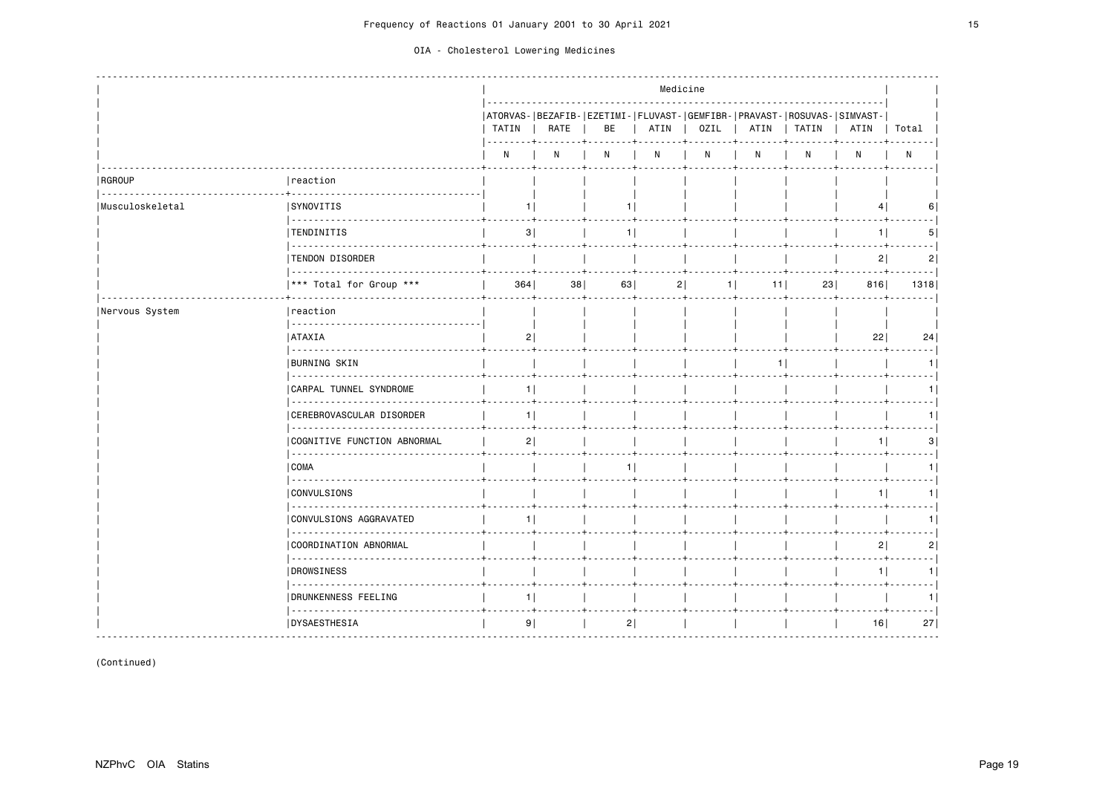|                 |                                         |                |      |                                                                               | Medicine |             |          |       |                |                |
|-----------------|-----------------------------------------|----------------|------|-------------------------------------------------------------------------------|----------|-------------|----------|-------|----------------|----------------|
|                 |                                         | TATIN          | RATE | ATORVAS- BEZAFIB- EZETIMI- FLUVAST- GEMFIBR- PRAVAST- ROSUVAS- SIMVAST-<br>BE | ATIN     | <b>OZIL</b> | ATIN     | TATIN | ATIN           | Total          |
|                 |                                         | N              | N    | N                                                                             | N        | N           | N        | N     | N              | $\mathsf{N}$   |
| RGROUP          | reaction                                |                |      |                                                                               |          |             |          |       |                |                |
| Musculoskeletal | <b>SYNOVITIS</b>                        | 11             |      | 1.                                                                            |          |             |          |       | 4              |                |
|                 | <b>TENDINITIS</b>                       | 3              |      | 1                                                                             |          |             |          |       | 1              | 5              |
|                 | TENDON DISORDER                         |                |      |                                                                               |          |             |          |       | 2              | $\overline{2}$ |
|                 | .<br>*** Total for Group ***            | 364            | 38   | 63                                                                            | 2        | 1           | 11       | 23    | 816            | 1318           |
| Nervous System  | reaction                                |                |      |                                                                               |          |             |          |       |                |                |
|                 | <b>ATAXIA</b>                           | 2              |      |                                                                               |          |             |          |       | 22             | 24             |
|                 | <b>BURNING SKIN</b>                     |                |      |                                                                               |          |             | $1 \mid$ |       |                |                |
|                 | .<br><b>CARPAL TUNNEL SYNDROME</b><br>. | 1 <sup>1</sup> |      |                                                                               |          |             |          |       |                |                |
|                 | CEREBROVASCULAR DISORDER                | 11             |      |                                                                               |          |             |          |       |                |                |
|                 | COGNITIVE FUNCTION ABNORMAL             | 2              |      |                                                                               |          |             |          |       | 11             | 31             |
|                 | COMA                                    |                |      | 1                                                                             |          |             |          |       |                |                |
|                 | .<br><b>CONVULSIONS</b>                 |                |      |                                                                               |          |             |          |       | 11             |                |
|                 | .<br>CONVULSIONS AGGRAVATED             | 11             |      |                                                                               |          |             |          |       |                |                |
|                 | COORDINATION ABNORMAL                   |                |      |                                                                               |          |             |          |       | 2              | 2              |
|                 | .<br><b>DROWSINESS</b>                  |                |      |                                                                               |          |             |          |       | 1 <sup>1</sup> | 1.             |
|                 | .<br>DRUNKENNESS FEELING                | 1              |      |                                                                               |          |             |          |       |                |                |
|                 | .<br><b>DYSAESTHESIA</b>                | 9              |      | 2                                                                             |          |             |          |       | 16             | 27             |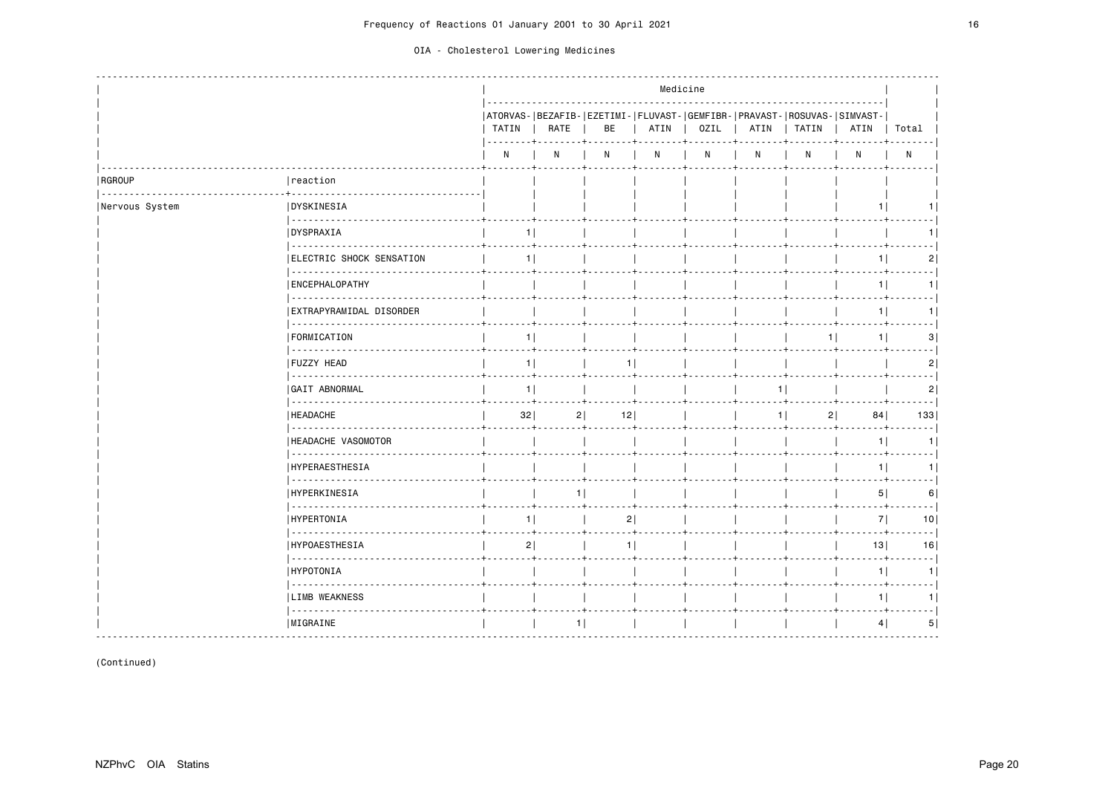|                |                                       |                |      |                                                                               |      | Medicine |      |                |      |                |
|----------------|---------------------------------------|----------------|------|-------------------------------------------------------------------------------|------|----------|------|----------------|------|----------------|
|                |                                       | TATIN          | RATE | ATORVAS- BEZAFIB- EZETIMI- FLUVAST- GEMFIBR- PRAVAST- ROSUVAS- SIMVAST-<br>BE | ATIN | OZIL     | ATIN | TATIN          | ATIN | Total          |
|                |                                       | N              | N    | N                                                                             | N    | N        | N    | N              | N    | $\mathsf{N}$   |
| RGROUP         | reaction                              |                |      |                                                                               |      |          |      |                |      |                |
| Nervous System | <b>DYSKINESIA</b><br>  22222222222222 |                |      |                                                                               |      |          |      |                | 1.   |                |
|                | <b>IDYSPRAXIA</b>                     | 11             |      |                                                                               |      |          |      |                |      |                |
|                | .<br>  ELECTRIC SHOCK SENSATION       | 1 <sup>1</sup> |      |                                                                               |      |          |      |                | 1    | 2              |
|                | <b>ENCEPHALOPATHY</b>                 |                |      |                                                                               |      |          |      |                | 1    | 1              |
|                | .<br>  EXTRAPYRAMIDAL DISORDER        |                |      |                                                                               |      |          |      |                | 11   | 1 <sup>1</sup> |
|                | .<br><b>FORMICATION</b>               | 1              |      |                                                                               |      |          |      | 1 <sup>1</sup> | 1    | 3              |
|                | .<br><b>FUZZY HEAD</b>                | 1 <sup>1</sup> |      | 1 <sup>1</sup>                                                                |      |          |      |                |      | 2              |
|                | .<br><b>GAIT ABNORMAL</b>             | 1              |      |                                                                               |      |          | 11   |                |      | 2              |
|                | .<br><b>I HEADACHE</b>                | 32             |      | 12 <br>2                                                                      |      |          | 11   | 2              | 84   | 133            |
|                | .<br>  HEADACHE VASOMOTOR             |                |      |                                                                               |      |          |      |                | 1    | 1              |
|                | <u>.</u><br><b>HYPERAESTHESIA</b>     |                |      |                                                                               |      |          |      |                | $1$  | 1 <sup>1</sup> |
|                | .<br><b>HYPERKINESIA</b>              |                | 11   |                                                                               |      |          |      |                | 5    | 6              |
|                | .<br><b>IHYPERTONIA</b>               | 11             |      | 2                                                                             |      |          |      |                | 7    | - - - 1<br>10  |
|                | <b>HYPOAESTHESIA</b>                  | 2              |      | 1 <sup>1</sup>                                                                |      |          |      |                | 13   | 16             |
|                | .<br> HYPOTONIA                       |                |      |                                                                               |      |          |      |                | 1    | 1              |
|                | 222222222<br><b>LIMB WEAKNESS</b>     |                |      |                                                                               |      |          |      |                | 1    |                |
|                | .<br> MIGRAINE                        |                | 1    |                                                                               |      |          |      |                | 4    | 5              |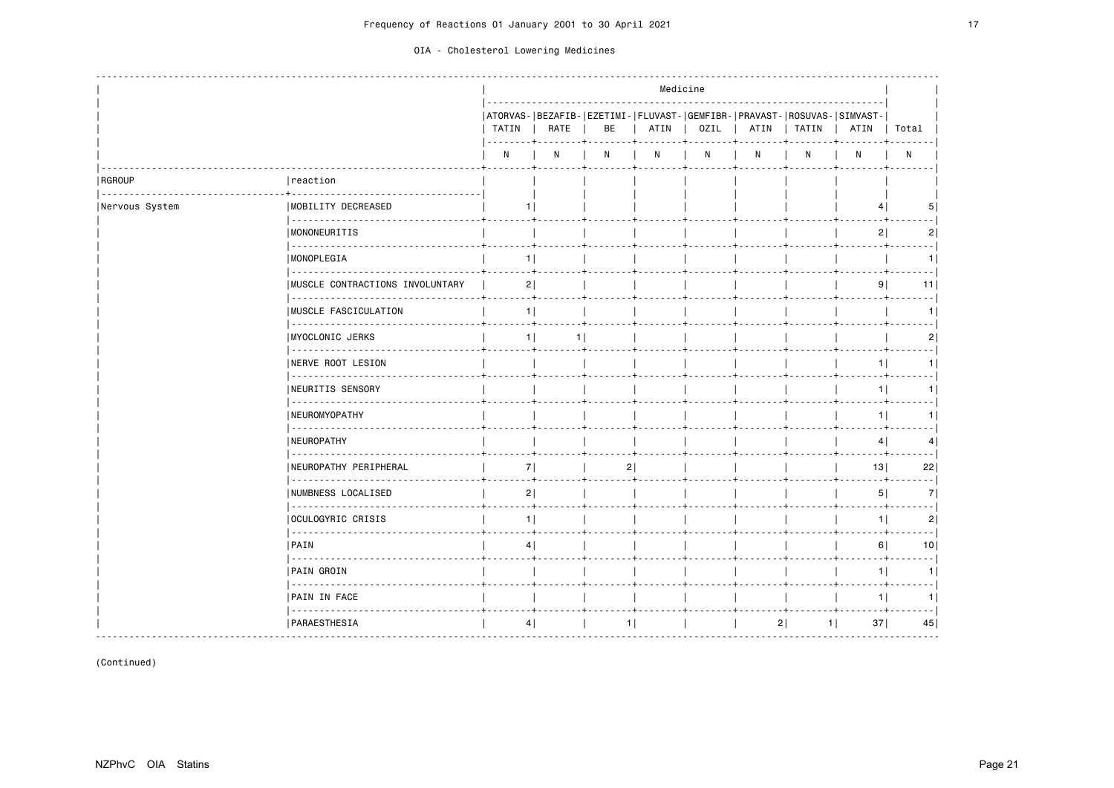|                |                                                                                                                                                                                                                                                                                                                                                                                                                                                                                                               |                |      |                                                                               |      | Medicine |      |       |                |                 |
|----------------|---------------------------------------------------------------------------------------------------------------------------------------------------------------------------------------------------------------------------------------------------------------------------------------------------------------------------------------------------------------------------------------------------------------------------------------------------------------------------------------------------------------|----------------|------|-------------------------------------------------------------------------------|------|----------|------|-------|----------------|-----------------|
|                |                                                                                                                                                                                                                                                                                                                                                                                                                                                                                                               | TATIN          | RATE | ATORVAS- BEZAFIB- EZETIMI- FLUVAST- GEMFIBR- PRAVAST- ROSUVAS- SIMVAST-<br>BE | ATIN | OZIL     | ATIN | TATIN | ATIN           | Total           |
|                |                                                                                                                                                                                                                                                                                                                                                                                                                                                                                                               | N              | N    | N                                                                             | N    | N        | N    | N     | N              | $\mathsf{N}$    |
| RGROUP         | reaction                                                                                                                                                                                                                                                                                                                                                                                                                                                                                                      |                |      |                                                                               |      |          |      |       |                |                 |
| Nervous System | <b>IMOBILITY DECREASED</b>                                                                                                                                                                                                                                                                                                                                                                                                                                                                                    |                |      |                                                                               |      |          |      |       | 4              | 5.              |
|                | <b>MONONEURITIS</b>                                                                                                                                                                                                                                                                                                                                                                                                                                                                                           |                |      |                                                                               |      |          |      |       | 2              | 21              |
|                | MONOPLEGIA                                                                                                                                                                                                                                                                                                                                                                                                                                                                                                    | 1              |      |                                                                               |      |          |      |       |                | 1.              |
|                | IMUSCLE CONTRACTIONS INVOLUNTARY                                                                                                                                                                                                                                                                                                                                                                                                                                                                              | 2              |      |                                                                               |      |          |      |       | 9              | 11              |
|                | .<br><b>IMUSCLE FASCICULATION</b>                                                                                                                                                                                                                                                                                                                                                                                                                                                                             | 11             |      |                                                                               |      |          |      |       |                |                 |
|                | <b>IMYOCLONIC JERKS</b>                                                                                                                                                                                                                                                                                                                                                                                                                                                                                       | 1              | 1    |                                                                               |      |          |      |       |                | 2               |
|                | .<br><b>INERVE ROOT LESION</b>                                                                                                                                                                                                                                                                                                                                                                                                                                                                                |                |      |                                                                               |      |          |      |       | 1              | 1.              |
|                | <u>.</u><br><b>NEURITIS SENSORY</b>                                                                                                                                                                                                                                                                                                                                                                                                                                                                           |                |      |                                                                               |      |          |      |       | 11             |                 |
|                | .<br>  NEUROMYOPATHY                                                                                                                                                                                                                                                                                                                                                                                                                                                                                          |                |      |                                                                               |      |          |      |       | 1 <sup>1</sup> |                 |
|                | .<br><b>NEUROPATHY</b>                                                                                                                                                                                                                                                                                                                                                                                                                                                                                        |                |      |                                                                               |      |          |      |       | 4              | 4               |
|                | NEUROPATHY PERIPHERAL                                                                                                                                                                                                                                                                                                                                                                                                                                                                                         | 7              |      | 2                                                                             |      |          |      |       | 13             | 22              |
|                | .<br>  NUMBNESS LOCALISED                                                                                                                                                                                                                                                                                                                                                                                                                                                                                     | 2              |      |                                                                               |      |          |      |       | 5              | 7               |
|                | .<br> OCULOGYRIC CRISIS                                                                                                                                                                                                                                                                                                                                                                                                                                                                                       | 1              |      |                                                                               |      |          |      |       | 1              | 2               |
|                | $\sim$ $\sim$ $\sim$ $\sim$ $\sim$ $\sim$<br><b>PAIN</b>                                                                                                                                                                                                                                                                                                                                                                                                                                                      | 4 <sup>1</sup> |      |                                                                               |      |          |      |       | 6              | 10 <sub>1</sub> |
|                | <u>.</u><br><b>PAIN GROIN</b>                                                                                                                                                                                                                                                                                                                                                                                                                                                                                 |                |      |                                                                               |      |          |      |       | 1              | 1               |
|                | 2000 2000 2000 2<br>PAIN IN FACE                                                                                                                                                                                                                                                                                                                                                                                                                                                                              |                |      |                                                                               |      |          |      |       | 11             |                 |
|                | $\begin{array}{cccccccccccccc} \multicolumn{2}{c}{} & \multicolumn{2}{c}{} & \multicolumn{2}{c}{} & \multicolumn{2}{c}{} & \multicolumn{2}{c}{} & \multicolumn{2}{c}{} & \multicolumn{2}{c}{} & \multicolumn{2}{c}{} & \multicolumn{2}{c}{} & \multicolumn{2}{c}{} & \multicolumn{2}{c}{} & \multicolumn{2}{c}{} & \multicolumn{2}{c}{} & \multicolumn{2}{c}{} & \multicolumn{2}{c}{} & \multicolumn{2}{c}{} & \multicolumn{2}{c}{} & \multicolumn{2}{c}{} & \multicolumn{2}{c}{} & \$<br><b>PARAESTHESIA</b> | 4              |      | 1                                                                             |      |          | 2    | $1$   | 37             | 45              |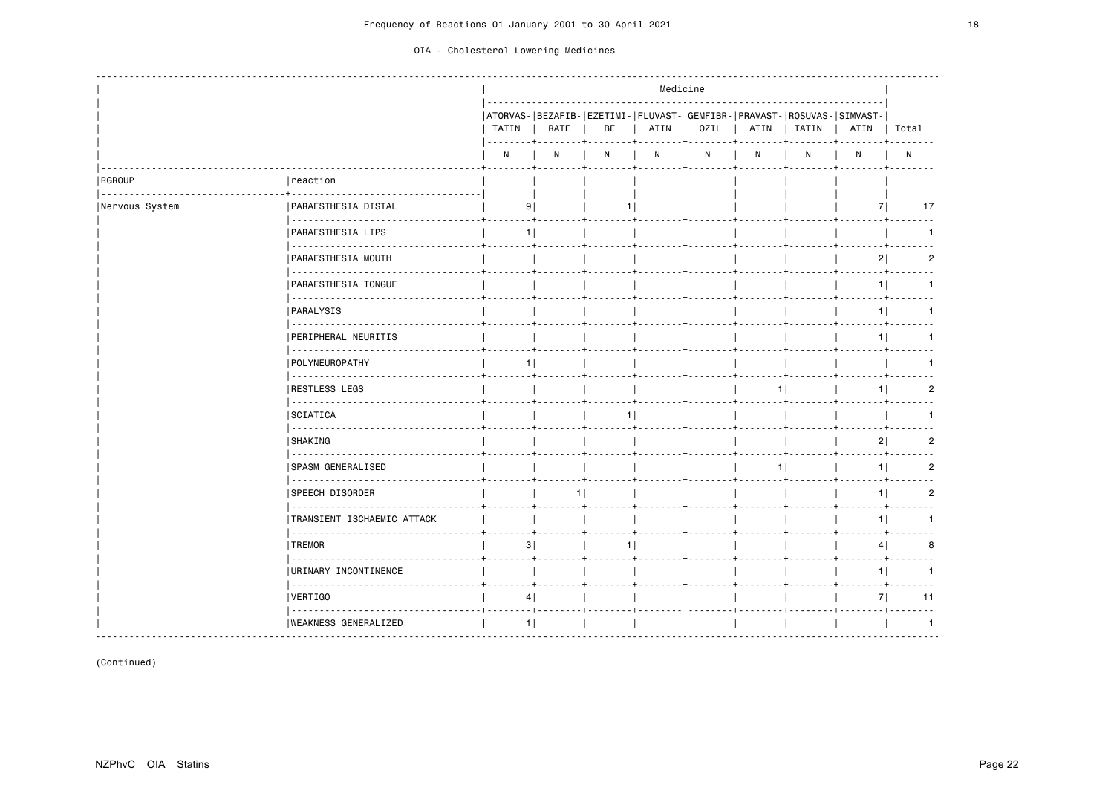|                |                                              |       |      |     | Medicine |      |      |                                                                                    |                |                 |
|----------------|----------------------------------------------|-------|------|-----|----------|------|------|------------------------------------------------------------------------------------|----------------|-----------------|
|                |                                              | TATIN | RATE | BE  | ATIN     | OZIL | ATIN | ATORVAS- BEZAFIB- EZETIMI- FLUVAST- GEMFIBR- PRAVAST- ROSUVAS- SIMVAST-<br>  TATIN | ATIN           | Total           |
|                |                                              | N     | N    | N   | N        | N    | N    | N                                                                                  | N              | N               |
| RGROUP<br>.    | reaction                                     |       |      |     |          |      |      |                                                                                    |                |                 |
| Nervous System | PARAESTHESIA DISTAL                          | 9     |      |     |          |      |      |                                                                                    | 7              | 17 <sup>1</sup> |
|                | PARAESTHESIA LIPS                            | 1     |      |     |          |      |      |                                                                                    |                |                 |
|                | <b>PARAESTHESIA MOUTH</b>                    |       |      |     |          |      |      |                                                                                    | 2              | 2               |
|                | PARAESTHESIA TONGUE                          |       |      |     |          |      |      |                                                                                    | 1              | 11              |
|                | .<br>PARALYSIS                               |       |      |     |          |      |      |                                                                                    | 1              | 1 I             |
|                | .<br>PERIPHERAL NEURITIS                     |       |      |     |          |      |      |                                                                                    | 11             |                 |
|                | POLYNEUROPATHY                               | 1     |      |     |          |      |      |                                                                                    |                |                 |
|                | <u>.</u><br> RESTLESS LEGS                   |       |      |     |          |      | 11   |                                                                                    | 11             | 2               |
|                | SCIATICA                                     |       |      | 1 I |          |      |      |                                                                                    |                |                 |
|                | .<br><b>SHAKING</b>                          |       |      |     |          |      |      |                                                                                    | 2              | 2               |
|                | <b>SPASM GENERALISED</b>                     |       |      |     |          |      | 1    |                                                                                    | $1$            | 2               |
|                | <u>.</u><br><b>SPEECH DISORDER</b>           |       | 11   |     |          |      |      |                                                                                    | 1 <sup>1</sup> | 2               |
|                | --------------<br>TRANSIENT ISCHAEMIC ATTACK |       |      |     |          |      |      |                                                                                    | $1$            | 1 I             |
|                | -----<br><b>TREMOR</b>                       | 3     |      | 1   |          |      |      |                                                                                    | 4              | 8               |
|                | <u>.</u><br>URINARY INCONTINENCE             |       |      |     |          |      |      |                                                                                    | 1 <sup>1</sup> | 11              |
|                | VERTIGO                                      | 4     |      |     |          |      |      |                                                                                    | 7              | 11              |
|                | .<br> WEAKNESS GENERALIZED                   | $1$   |      |     |          |      |      |                                                                                    |                | 1               |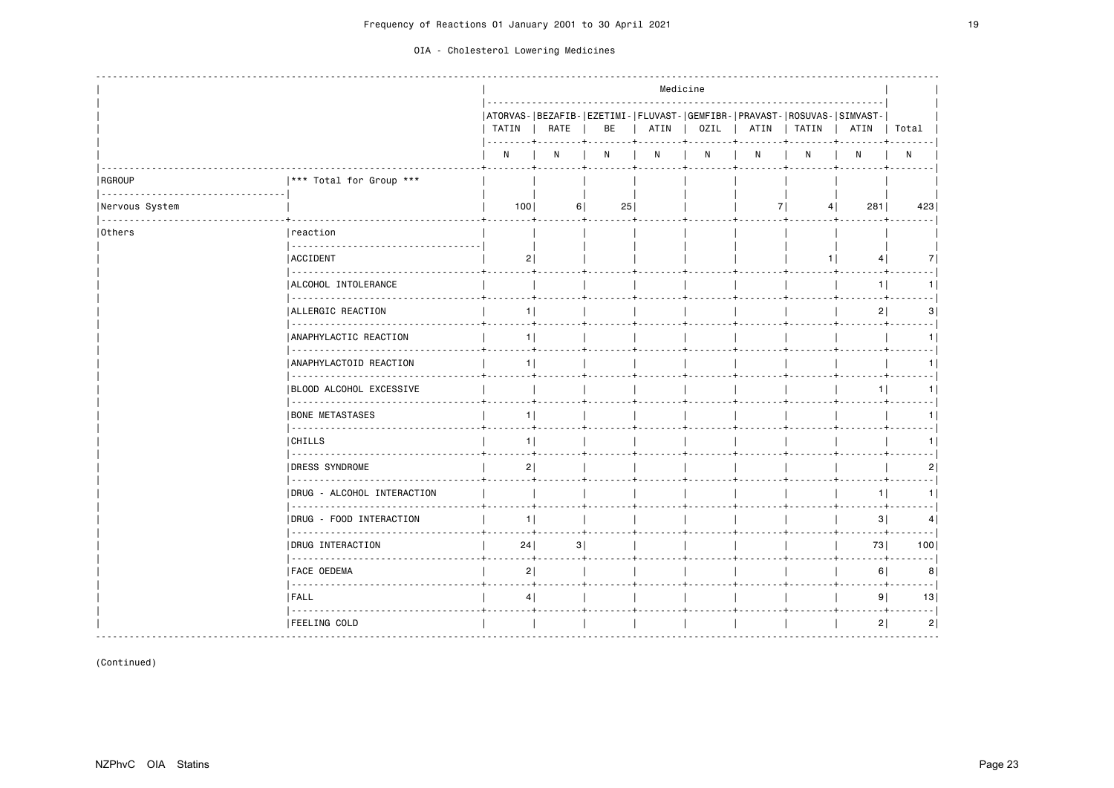|                |                                                                                                                                                                                                                                                                                                                                                                                                                                                                                                                  |                |      |              |      | Medicine |                                                                                 |       |                 |       |
|----------------|------------------------------------------------------------------------------------------------------------------------------------------------------------------------------------------------------------------------------------------------------------------------------------------------------------------------------------------------------------------------------------------------------------------------------------------------------------------------------------------------------------------|----------------|------|--------------|------|----------|---------------------------------------------------------------------------------|-------|-----------------|-------|
|                |                                                                                                                                                                                                                                                                                                                                                                                                                                                                                                                  | TATIN          | RATE | BE           | ATIN | OZIL     | ATORVAS- BEZAFIB- EZETIMI- FLUVAST- GEMFIBR- PRAVAST- ROSUVAS- SIMVAST-<br>ATIN | TATIN | ATIN            | Total |
|                |                                                                                                                                                                                                                                                                                                                                                                                                                                                                                                                  | N              | N    | $\mathsf{N}$ | N    | N        | N                                                                               | Ν     | N               | N     |
| RGROUP         | *** Total for Group ***                                                                                                                                                                                                                                                                                                                                                                                                                                                                                          |                |      |              |      |          |                                                                                 |       |                 |       |
| Nervous System |                                                                                                                                                                                                                                                                                                                                                                                                                                                                                                                  | 100            | 6    | 25           |      |          | 71                                                                              | 4     | 281             | 423   |
| Others         | reaction                                                                                                                                                                                                                                                                                                                                                                                                                                                                                                         |                |      |              |      |          |                                                                                 |       |                 |       |
|                | ACCIDENT<br>.                                                                                                                                                                                                                                                                                                                                                                                                                                                                                                    | 2              |      |              |      |          |                                                                                 | 11    | $\vert 4 \vert$ | 7     |
|                | ALCOHOL INTOLERANCE<br>.                                                                                                                                                                                                                                                                                                                                                                                                                                                                                         |                |      |              |      |          |                                                                                 |       | 11              |       |
|                | ALLERGIC REACTION<br>------------                                                                                                                                                                                                                                                                                                                                                                                                                                                                                | 1              |      |              |      |          |                                                                                 |       | 2 <sup>1</sup>  | 31    |
|                | ANAPHYLACTIC REACTION                                                                                                                                                                                                                                                                                                                                                                                                                                                                                            | 11             |      |              |      |          |                                                                                 |       |                 |       |
|                | ANAPHYLACTOID REACTION<br><u>.</u>                                                                                                                                                                                                                                                                                                                                                                                                                                                                               | 1              |      |              |      |          |                                                                                 |       |                 |       |
|                | BLOOD ALCOHOL EXCESSIVE<br>.                                                                                                                                                                                                                                                                                                                                                                                                                                                                                     |                |      |              |      |          |                                                                                 |       | 11              |       |
|                | <b>BONE METASTASES</b><br>$\begin{array}{cccccccccccccc} \multicolumn{2}{c}{} & \multicolumn{2}{c}{} & \multicolumn{2}{c}{} & \multicolumn{2}{c}{} & \multicolumn{2}{c}{} & \multicolumn{2}{c}{} & \multicolumn{2}{c}{} & \multicolumn{2}{c}{} & \multicolumn{2}{c}{} & \multicolumn{2}{c}{} & \multicolumn{2}{c}{} & \multicolumn{2}{c}{} & \multicolumn{2}{c}{} & \multicolumn{2}{c}{} & \multicolumn{2}{c}{} & \multicolumn{2}{c}{} & \multicolumn{2}{c}{} & \multicolumn{2}{c}{} & \multicolumn{2}{c}{} & \$ | 1              |      |              |      |          |                                                                                 |       |                 |       |
|                | CHILLS<br><u>.</u>                                                                                                                                                                                                                                                                                                                                                                                                                                                                                               | 11             |      |              |      |          |                                                                                 |       |                 |       |
|                | <b>DRESS SYNDROME</b><br>  22222222222                                                                                                                                                                                                                                                                                                                                                                                                                                                                           | 2              |      |              |      |          |                                                                                 |       |                 | 2     |
|                | DRUG - ALCOHOL INTERACTION<br><u>.</u>                                                                                                                                                                                                                                                                                                                                                                                                                                                                           |                |      |              |      |          |                                                                                 |       | 11              |       |
|                | DRUG - FOOD INTERACTION                                                                                                                                                                                                                                                                                                                                                                                                                                                                                          | 1 <sup>1</sup> |      |              |      |          |                                                                                 |       | 3               | 4     |
|                | DRUG INTERACTION<br>.                                                                                                                                                                                                                                                                                                                                                                                                                                                                                            | 24             | 3    |              |      |          |                                                                                 |       | 73              | 100   |
|                | <b>FACE OEDEMA</b><br>.                                                                                                                                                                                                                                                                                                                                                                                                                                                                                          | 2              |      |              |      |          |                                                                                 |       | 6               | 8     |
|                | <b>FALL</b><br>. <b>.</b>                                                                                                                                                                                                                                                                                                                                                                                                                                                                                        | 4              |      |              |      |          |                                                                                 |       | 9               | 13    |
|                | <b> FEELING COLD</b>                                                                                                                                                                                                                                                                                                                                                                                                                                                                                             |                |      |              |      |          |                                                                                 |       | 2               | 2     |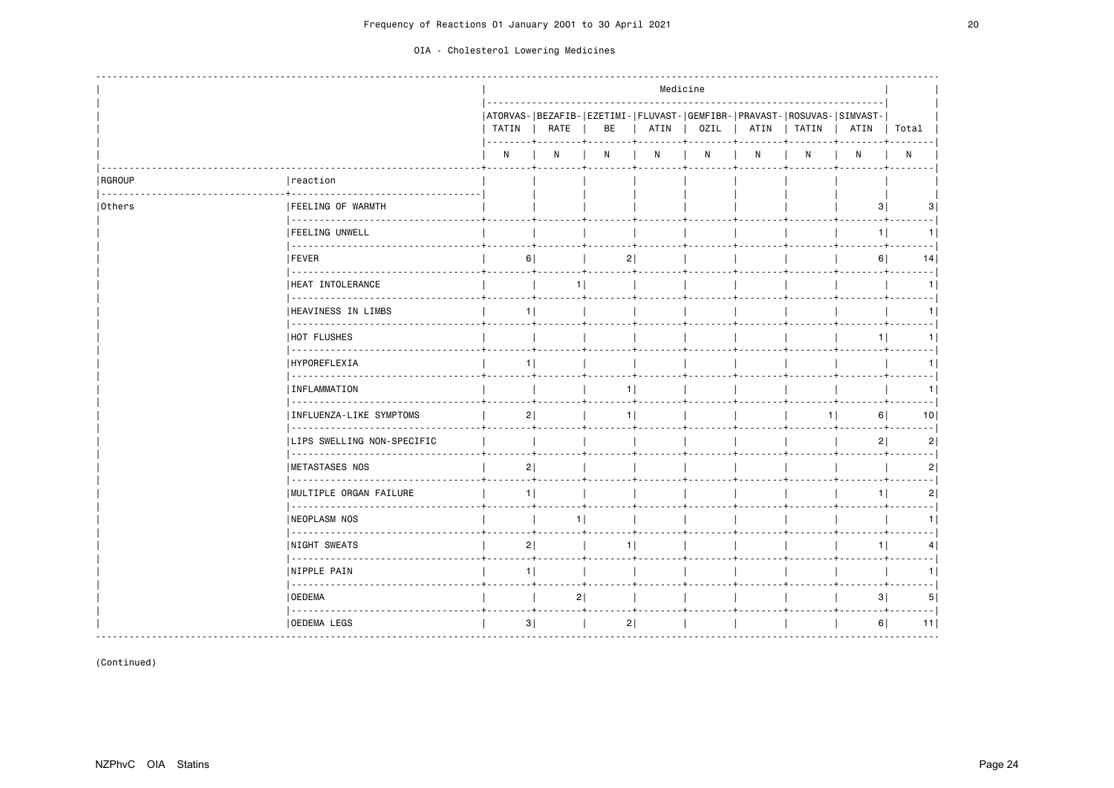|        |                                                           |       |                |    | Medicine |              |                                                                                 |       |                |                 |
|--------|-----------------------------------------------------------|-------|----------------|----|----------|--------------|---------------------------------------------------------------------------------|-------|----------------|-----------------|
|        |                                                           | TATIN | RATE           | BE | ATIN     | OZIL         | ATORVAS- BEZAFIB- EZETIMI- FLUVAST- GEMFIBR- PRAVAST- ROSUVAS- SIMVAST-<br>ATIN | TATIN | ATIN           | Total           |
|        |                                                           | N     | N              | N  | N        | $\mathsf{N}$ | N                                                                               | N     | N              | ${\sf N}$       |
| RGROUP | reaction                                                  |       |                |    |          |              |                                                                                 |       |                |                 |
| Others | <b>FEELING OF WARMTH</b><br>  - - - - - - - - - - - -     |       |                |    |          |              |                                                                                 |       | 3              |                 |
|        | <b> FEELING UNWELL</b><br>  1111111                       |       |                |    |          |              |                                                                                 |       | 1 <sup>1</sup> |                 |
|        | <b>FEVER</b><br>                                          | 6     |                | 2  |          |              |                                                                                 |       | 6              | 14              |
|        | <b>HEAT INTOLERANCE</b><br>  22222222222222               |       | 11             |    |          |              |                                                                                 |       |                |                 |
|        | <b>HEAVINESS IN LIMBS</b><br>  222222222222               | 1.    |                |    |          |              |                                                                                 |       |                |                 |
|        | <b>HOT FLUSHES</b><br>  22222222                          |       |                |    |          |              |                                                                                 |       |                |                 |
|        | HYPOREFLEXIA<br>.                                         | 1     |                |    |          |              |                                                                                 |       |                |                 |
|        | INFLAMMATION<br>  - - - - - - - - - - - -                 |       |                | 11 |          |              |                                                                                 |       |                |                 |
|        | INFLUENZA-LIKE SYMPTOMS                                   | 2     |                | 11 |          |              |                                                                                 | 11    | 6              | 10 <sub>1</sub> |
|        | LIPS SWELLING NON-SPECIFIC                                |       |                |    |          |              |                                                                                 |       | 2              | 2               |
|        | <b>IMETASTASES NOS</b><br>.                               | 2     |                |    |          |              |                                                                                 |       |                | 2               |
|        | MULTIPLE ORGAN FAILURE<br>  - - - - - - - - - - - - - - - | 11    |                |    |          |              |                                                                                 |       | 1              | 2               |
|        | <b>NEOPLASM NOS</b><br>  222222222                        |       | 1              |    |          |              |                                                                                 |       |                |                 |
|        | <b>NIGHT SWEATS</b><br>.                                  | 2     |                | 1  |          |              |                                                                                 |       | 1 <sup>1</sup> | 4               |
|        | <b>NIPPLE PAIN</b><br>                                    | 1     |                |    |          |              |                                                                                 |       |                | 1               |
|        | <b>OEDEMA</b><br>  222222222                              |       | 2 <sup>1</sup> |    |          |              |                                                                                 |       | 3              | 5               |
|        | <b>OEDEMA LEGS</b>                                        | 3     |                | 2  |          |              |                                                                                 |       | 6              | 11              |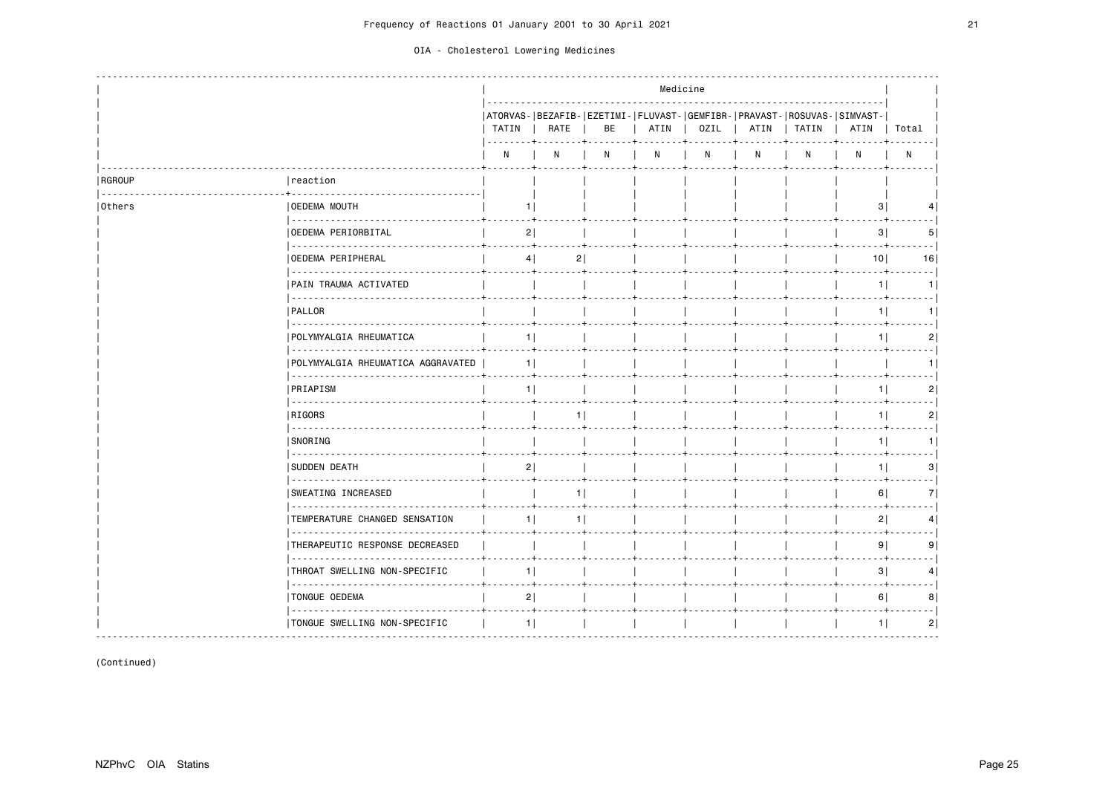|               |                                            |                |                                                                                 |    |      | Medicine |      |       |                 |                |
|---------------|--------------------------------------------|----------------|---------------------------------------------------------------------------------|----|------|----------|------|-------|-----------------|----------------|
|               |                                            | TATIN          | ATORVAS- BEZAFIB- EZETIMI- FLUVAST- GEMFIBR- PRAVAST- ROSUVAS- SIMVAST-<br>RATE | BE | ATIN | OZIL     | ATIN | TATIN | ATIN            | Total          |
|               |                                            | N              | N                                                                               | N  | N    | N        | N    | N     | N               | N              |
| <b>RGROUP</b> | reaction                                   |                |                                                                                 |    |      |          |      |       |                 |                |
| Others        | <b>OEDEMA MOUTH</b><br><u>.</u>            |                | 1                                                                               |    |      |          |      |       | 3               |                |
|               | OEDEMA PERIORBITAL<br><u>.</u>             | 2              |                                                                                 |    |      |          |      |       | 3               | 5              |
|               | <b>OEDEMA PERIPHERAL</b>                   |                | 2 <br>4                                                                         |    |      |          |      |       | 10 <sup>1</sup> | 16             |
|               | PAIN TRAUMA ACTIVATED                      |                |                                                                                 |    |      |          |      |       | 1               | 1              |
|               | .<br>  PALLOR                              |                |                                                                                 |    |      |          |      |       | 1               | 1              |
|               | .<br>POLYMYALGIA RHEUMATICA                | 1              |                                                                                 |    |      |          |      |       | 1               | 2              |
|               | POLYMYALGIA RHEUMATICA AGGRAVATED          |                | 1 <sup>1</sup>                                                                  |    |      |          |      |       |                 |                |
|               | .<br>PRIAPISM                              | 1 <sup>1</sup> |                                                                                 |    |      |          |      |       | 1               | 2              |
|               | .<br>RIGORS                                |                |                                                                                 |    |      |          |      |       | 1 <sup>1</sup>  | 2              |
|               | .<br>SNORING                               |                |                                                                                 |    |      |          |      |       | 1               | 1 <sup>1</sup> |
|               | <b>SUDDEN DEATH</b>                        | 2              |                                                                                 |    |      |          |      |       | 1 <sup>1</sup>  | 3              |
|               | <b>SWEATING INCREASED</b>                  |                | 1                                                                               |    |      |          |      |       | 6               | 7              |
|               | .<br>TEMPERATURE CHANGED SENSATION         |                | 1<br>1                                                                          |    |      |          |      |       | 2               | 4              |
|               | THERAPEUTIC RESPONSE DECREASED             |                |                                                                                 |    |      |          |      |       | 9               | 9              |
|               | THROAT SWELLING NON-SPECIFIC               | 1              |                                                                                 |    |      |          |      |       | 3               | 4              |
|               | TONGUE OEDEMA                              | 2              | $+$                                                                             |    |      |          |      |       | 6               | 8              |
|               | <u>.</u><br>  TONGUE SWELLING NON-SPECIFIC |                | $1$                                                                             |    |      |          |      |       | 1               | 2              |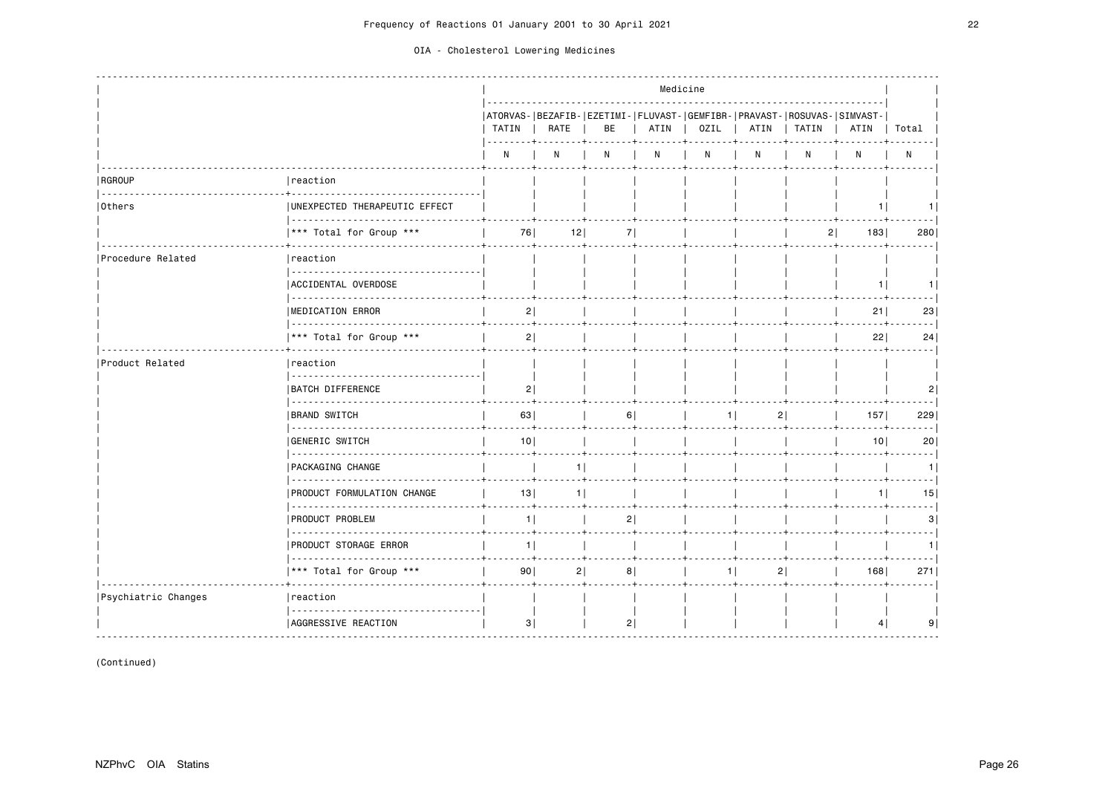|                     |                                    |                       |                |    |      | Medicine |                |                |                                                                                 |           |
|---------------------|------------------------------------|-----------------------|----------------|----|------|----------|----------------|----------------|---------------------------------------------------------------------------------|-----------|
|                     |                                    | TATIN<br><u>. + .</u> | RATE           | BE | ATIN | OZIL     | ATIN           | TATIN          | ATORVAS- BEZAFIB- EZETIMI- FLUVAST- GEMFIBR- PRAVAST- ROSUVAS- SIMVAST-<br>ATIN | Total     |
|                     |                                    | N                     | N              | N  | N    | N        | N <sub>1</sub> | N              | N                                                                               | N         |
| <b>RGROUP</b>       | reaction                           |                       |                |    |      |          |                |                |                                                                                 |           |
| Others              | UNEXPECTED THERAPEUTIC EFFECT<br>. |                       |                |    |      |          |                |                | 1.                                                                              |           |
|                     | *** Total for Group ***            | 76                    | 12             | 71 |      |          |                | 2 <sup>1</sup> | 183                                                                             | 280       |
| Procedure Related   | reaction                           |                       |                |    |      |          |                |                |                                                                                 |           |
|                     | ACCIDENTAL OVERDOSE<br>.           |                       |                |    |      |          |                |                | 1                                                                               | 1         |
|                     | MEDICATION ERROR                   | 2                     |                |    |      |          |                |                | 21                                                                              | 23        |
|                     | *** Total for Group ***            | 2                     |                |    |      |          |                |                | 22                                                                              | 24        |
| Product Related     | Ireaction                          |                       |                |    |      |          |                |                |                                                                                 |           |
|                     | <b>BATCH DIFFERENCE</b>            | $\mathsf{2}$          |                |    |      |          |                |                |                                                                                 | 2         |
|                     | <b>BRAND SWITCH</b>                | 63                    |                | 6  |      | 11       |                |                | 157                                                                             | 229       |
|                     | GENERIC SWITCH                     | 10 <sup>1</sup>       |                |    |      |          |                |                | 10 <sup>1</sup>                                                                 | . 1<br>20 |
|                     | PACKAGING CHANGE                   |                       | 1              |    |      |          |                |                |                                                                                 | . 1<br>1  |
|                     | .<br>PRODUCT FORMULATION CHANGE    | 13                    | 1 <sup>1</sup> |    |      |          |                |                | 1                                                                               | 15        |
|                     | <b>PRODUCT PROBLEM</b>             | 1                     |                | 2  |      |          |                |                |                                                                                 | 3         |
|                     | <b>PRODUCT STORAGE ERROR</b>       | 1                     |                |    |      |          |                |                |                                                                                 | 1         |
|                     | *** Total for Group ***            | 90                    | 2              | 8  |      | $1$      |                | 2              | 168                                                                             | 271       |
| Psychiatric Changes | reaction                           |                       |                |    |      |          |                |                |                                                                                 |           |
|                     | AGGRESSIVE REACTION                | 3                     |                | 2  |      |          |                |                | 4                                                                               | 9         |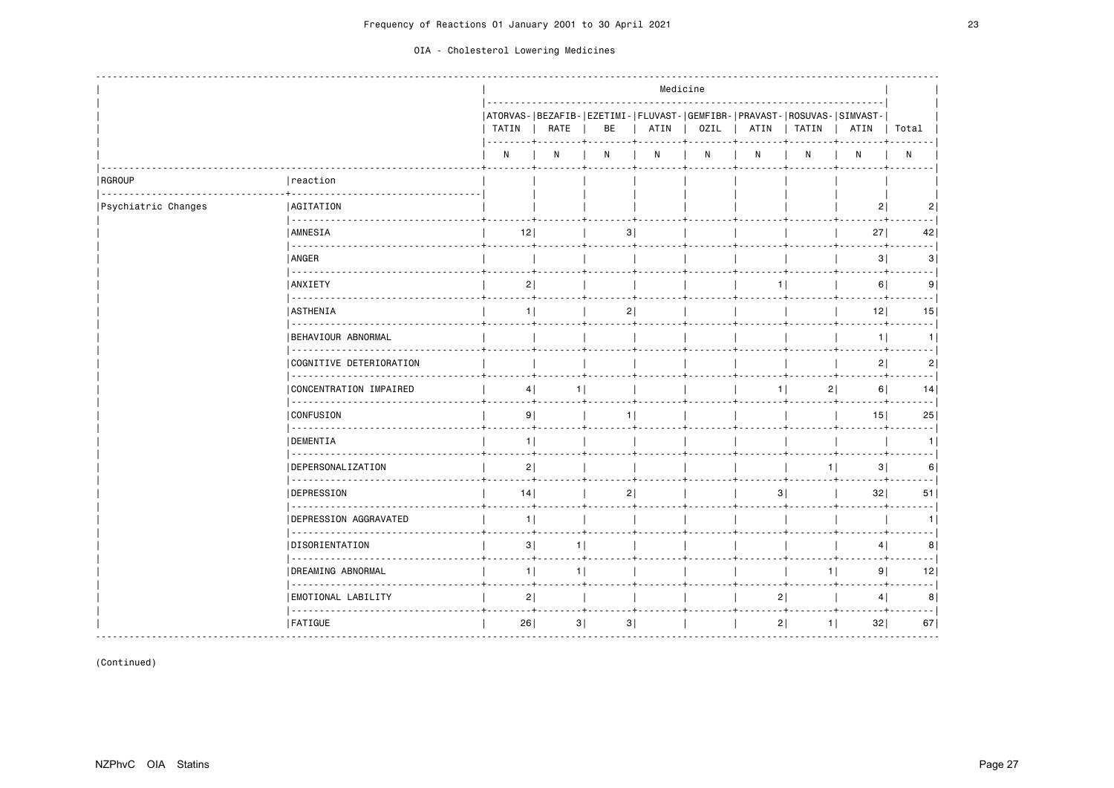|  | OIA - Cholesterol Lowering Medicines |  |  |
|--|--------------------------------------|--|--|
|--|--------------------------------------|--|--|

|                     |                                       |                 |                 |                                                                               |      | Medicine |      |                |                     |                |
|---------------------|---------------------------------------|-----------------|-----------------|-------------------------------------------------------------------------------|------|----------|------|----------------|---------------------|----------------|
|                     |                                       | TATIN<br>-----+ | RATE            | ATORVAS- BEZAFIB- EZETIMI- FLUVAST- GEMFIBR- PRAVAST- ROSUVAS- SIMVAST-<br>BE | ATIN | OZIL     | ATIN | TATIN          | ATIN                | Total          |
|                     |                                       | N               | N               | N                                                                             | N    | N        | N    | N              | N                   | ${\sf N}$      |
| RGROUP              | reaction                              |                 |                 |                                                                               |      |          |      |                |                     |                |
| Psychiatric Changes | <b>AGITATION</b><br>.                 |                 |                 |                                                                               |      |          |      |                | 2                   | $\overline{2}$ |
|                     | AMNESIA                               | 12              |                 | 3                                                                             |      |          |      |                | 27 <sup>1</sup>     | 42             |
|                     | ANGER                                 |                 |                 |                                                                               |      |          |      |                | 3                   | 3              |
|                     | <b>ANXIETY</b><br>.                   | 2               |                 |                                                                               |      |          | 1    |                | 6                   | 9              |
|                     | <b>ASTHENIA</b>                       | 1               |                 | 2                                                                             |      |          |      |                | 12                  | 15             |
|                     | BEHAVIOUR ABNORMAL                    |                 |                 |                                                                               |      |          |      |                | 1                   | 1              |
|                     | COGNITIVE DETERIORATION<br>.          |                 |                 |                                                                               |      |          |      |                | 2                   | 2              |
|                     | CONCENTRATION IMPAIRED                | 4               | $1$  <br>. 4    |                                                                               |      |          | 11   | 2              | 6                   | 14             |
|                     | <b>CONFUSION</b><br>.                 | 9               |                 | 1                                                                             |      |          |      |                | 15                  | 25             |
|                     | <b>DEMENTIA</b>                       | 1               |                 |                                                                               |      |          |      |                |                     | 11             |
|                     | <b>DEPERSONALIZATION</b><br><u>.</u>  | 2               |                 |                                                                               |      |          |      |                | 1 <sup>1</sup><br>3 | 6              |
|                     | DEPRESSION<br>.                       | 14              |                 | 2                                                                             |      |          | 3    |                | 32                  | 51             |
|                     | <b>DEPRESSION AGGRAVATED</b>          | 1               |                 |                                                                               |      |          |      |                |                     | 1.             |
|                     | <b>DISORIENTATION</b><br>.            | 3               | 1 <sup>1</sup>  |                                                                               |      |          |      |                | 4                   | 8              |
|                     | DREAMING ABNORMAL<br>.                | 1               | $1$             |                                                                               |      |          |      | 1 <sup>1</sup> | 9                   | 12             |
|                     | <b>EMOTIONAL LABILITY</b><br><u>.</u> | 2               | $- - - - - + -$ |                                                                               |      |          | 21   | .              | 4                   | 8              |
|                     | <b>FATIGUE</b>                        | 26              | 3               | 3                                                                             |      |          | 2    | $1$            | 32                  | 67             |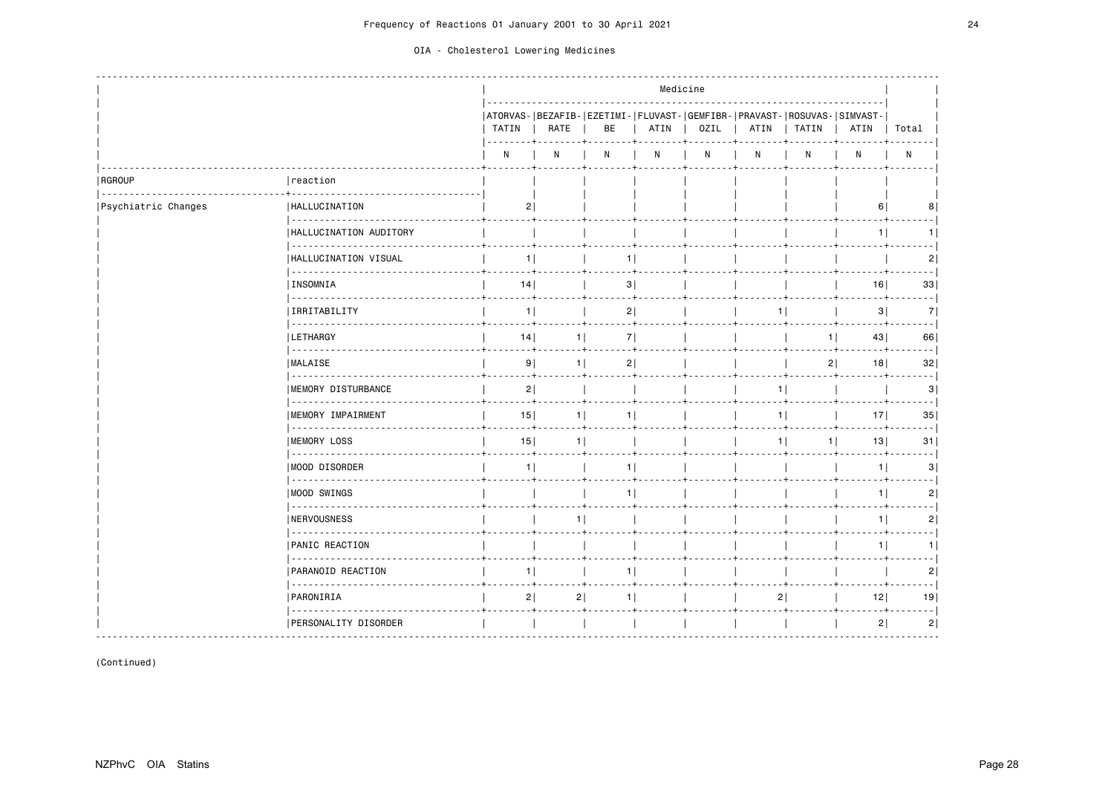|                     |                                  | Medicine       |                |                                                                               |      |              |      |          |                 |                            |
|---------------------|----------------------------------|----------------|----------------|-------------------------------------------------------------------------------|------|--------------|------|----------|-----------------|----------------------------|
|                     |                                  | TATIN          | RATE           | ATORVAS- BEZAFIB- EZETIMI- FLUVAST- GEMFIBR- PRAVAST- ROSUVAS- SIMVAST-<br>BE | ATIN | 0ZIL         | ATIN | TATIN    | ATIN            | Total                      |
|                     |                                  | N              | N              | N                                                                             | N    | $\mathsf{N}$ | N    | N        | $\mathsf{N}$    | N                          |
| RGROUP              | reaction                         |                |                |                                                                               |      |              |      |          |                 |                            |
| Psychiatric Changes | HALLUCINATION<br><u>.</u>        | 2              |                |                                                                               |      |              |      |          | 6               | 8                          |
|                     | HALLUCINATION AUDITORY           |                |                |                                                                               |      |              |      |          | 1               |                            |
|                     | HALLUCINATION VISUAL             | 1 <sup>1</sup> |                | 1                                                                             |      |              |      |          |                 | 2                          |
|                     | INSOMNIA                         | 14             |                | 3                                                                             |      |              |      |          | 16              | 33                         |
|                     | .<br>IRRITABILITY                | 1              |                | 2                                                                             |      |              | 1 I  |          | 3               | 7                          |
|                     | .<br><b>LETHARGY</b>             | 14             | 1              | 7                                                                             |      |              |      | 1        | 43              | 66                         |
|                     | <b>MALAISE</b>                   | 9              | 1              | 2                                                                             |      |              |      | 2        | 18              | 32                         |
|                     | .<br><b>IMEMORY DISTURBANCE</b>  | 2              |                |                                                                               |      |              |      | 11       |                 | 3                          |
|                     | .<br>MEMORY IMPAIRMENT           | 15             | 1              | 1 <sup>1</sup>                                                                |      |              |      | 11       | 17 <sup>1</sup> | 35                         |
|                     | .<br><b>IMEMORY LOSS</b>         | 15             | 1 <sup>1</sup> |                                                                               |      |              |      | 11<br>11 | 13              | $\sim$ $\sim$ $\sim$<br>31 |
|                     | MOOD DISORDER                    | 1              |                | 1 <sub>1</sub>                                                                |      |              |      |          | $1$             | 3                          |
|                     | .<br> MOOD SWINGS                |                |                | 11                                                                            |      |              |      |          | 1               | 2                          |
|                     | .<br>NERVOUSNESS                 |                |                |                                                                               |      |              |      |          | 1               | 2                          |
|                     | .<br><b>PANIC REACTION</b>       |                |                |                                                                               |      |              |      |          | 1               | 1                          |
|                     | PARANOID REACTION                | 1              |                | 1                                                                             |      |              |      |          |                 | 2                          |
|                     | .<br>PARONIRIA                   | 2              | 2              | 1 <sub>1</sub>                                                                |      |              | 2    |          | 12              | 19                         |
|                     | .<br><b>PERSONALITY DISORDER</b> |                |                |                                                                               |      |              |      |          | 2               | 2                          |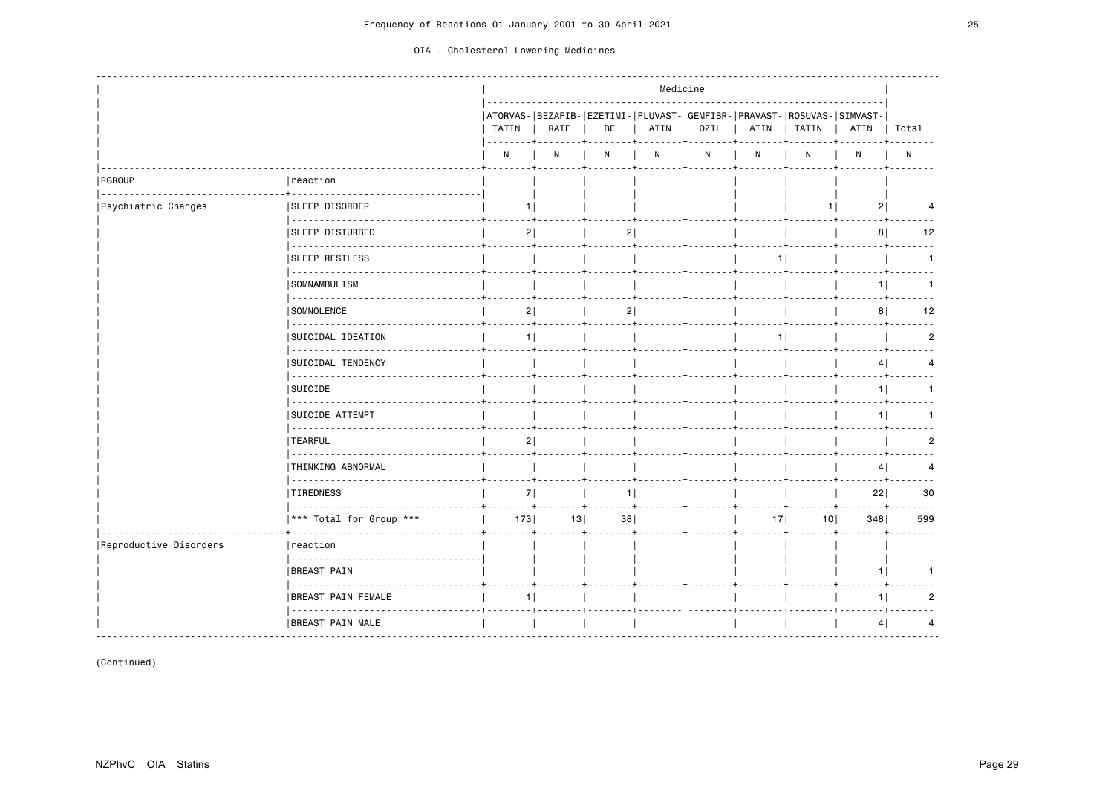|                        |                                     |              |      |    | Medicine |             |      |                                                                                  |                |                |
|------------------------|-------------------------------------|--------------|------|----|----------|-------------|------|----------------------------------------------------------------------------------|----------------|----------------|
|                        |                                     | TATIN        | RATE | BE |          | ATIN   OZIL | ATIN | ATORVAS- BEZAFIB- EZETIMI- FLUVAST- GEMFIBR- PRAVAST- ROSUVAS- SIMVAST-<br>TATIN | ATIN           | Total          |
|                        |                                     | $\mathsf{N}$ | N    | N  | N        | N           | N    | N                                                                                | N              | N              |
| RGROUP                 | reaction                            |              |      |    |          |             |      |                                                                                  |                |                |
| Psychiatric Changes    | <b>SLEEP DISORDER</b>               | 11           |      |    |          |             |      | 11                                                                               | 2              | 4              |
|                        | <b>SLEEP DISTURBED</b>              | 2            |      | 2  |          |             |      |                                                                                  | 8              | 12             |
|                        | <u>.</u><br><b>SLEEP RESTLESS</b>   |              |      |    |          |             |      |                                                                                  |                | ----1<br>1     |
|                        | SOMNAMBULISM                        |              |      |    |          |             |      |                                                                                  | 1              | 1              |
|                        | .<br>SOMNOLENCE                     | 2            |      | 2  |          |             |      |                                                                                  | 8 <sup>1</sup> | المحمد<br>12   |
|                        | .<br>SUICIDAL IDEATION              | 1            |      |    |          |             | 11   |                                                                                  |                | 2              |
|                        | <b>SUICIDAL TENDENCY</b>            |              |      |    |          |             |      |                                                                                  | 4              | 4              |
|                        | .<br>SUICIDE                        |              |      |    |          |             |      |                                                                                  | 1              | 1              |
|                        | .<br><b>SUICIDE ATTEMPT</b>         |              |      |    |          |             |      |                                                                                  | 1              | 1              |
|                        | <b>TEARFUL</b>                      | 2            |      |    |          |             |      |                                                                                  |                | - - 1<br>2     |
|                        | THINKING ABNORMAL                   |              |      |    |          |             |      |                                                                                  | 4              | $- - - 1$<br>4 |
|                        | .<br><b>TIREDNESS</b>               | 7            |      | 1  |          |             |      |                                                                                  | 22             | 30             |
|                        | *** Total for Group ***             | 173          | 13   | 38 |          |             | 17   | 101                                                                              | 348            | 599            |
| Reproductive Disorders | reaction                            |              |      |    |          |             |      |                                                                                  |                |                |
|                        | <b>BREAST PAIN</b>                  |              |      |    |          |             |      |                                                                                  | 1              | 1              |
|                        | <b>BREAST PAIN FEMALE</b>           | 1            |      |    |          |             |      |                                                                                  | 1              | 2              |
|                        | <u>.</u><br><b>BREAST PAIN MALE</b> |              |      |    |          |             |      |                                                                                  | 4              | 4              |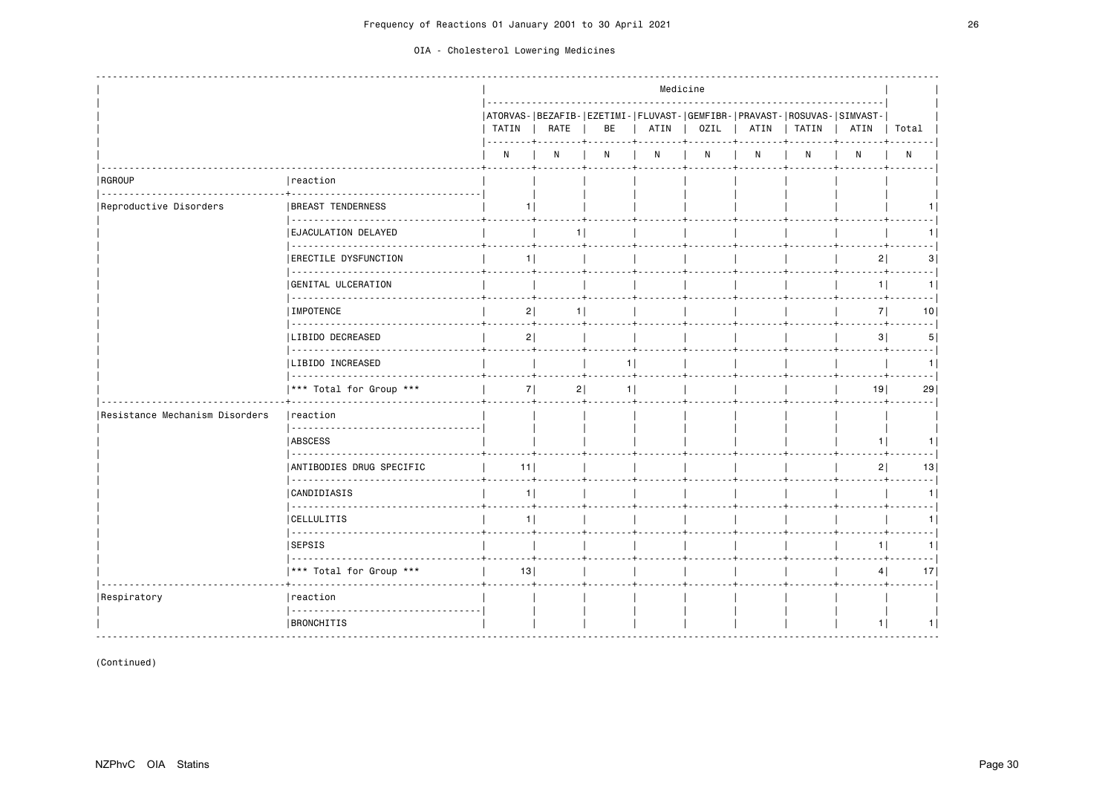|                                |                                               |       |      |    | Medicine |              |   |                                                                                         |      |                            |
|--------------------------------|-----------------------------------------------|-------|------|----|----------|--------------|---|-----------------------------------------------------------------------------------------|------|----------------------------|
|                                |                                               | TATIN | RATE | BE | ATIN     | OZIL         |   | ATORVAS- BEZAFIB- EZETIMI- FLUVAST- GEMFIBR- PRAVAST- ROSUVAS- SIMVAST-<br>ATIN   TATIN | ATIN | Total                      |
|                                |                                               | N     | N    | N  | N        | $\mathsf{N}$ | N | N                                                                                       | N    | N                          |
| RGROUP                         | reaction                                      |       |      |    |          |              |   |                                                                                         |      |                            |
| Reproductive Disorders         | <b>BREAST TENDERNESS</b>                      | 11    |      |    |          |              |   |                                                                                         |      |                            |
|                                | EJACULATION DELAYED                           |       | 1    |    |          |              |   |                                                                                         |      | 11                         |
|                                | -------------<br><b> ERECTILE DYSFUNCTION</b> | 1     |      |    |          |              |   |                                                                                         | 2    | 3                          |
|                                | GENITAL ULCERATION                            |       |      |    |          |              |   |                                                                                         | 1    | 1                          |
|                                | IMPOTENCE                                     | 2     | 11   |    |          |              |   |                                                                                         | 7    | $\sim$ $\sim$ $\sim$<br>10 |
|                                | LIBIDO DECREASED                              | 2     |      |    |          |              |   |                                                                                         | 3    | $\sim$ $\sim$ $\sim$<br>5  |
|                                | LIBIDO INCREASED                              |       |      | 1  |          |              |   |                                                                                         |      | 1                          |
|                                | *** Total for Group ***                       | 7     | 2    | 1  |          |              |   |                                                                                         | 19   | 29                         |
| Resistance Mechanism Disorders | reaction                                      |       |      |    |          |              |   |                                                                                         |      |                            |
|                                | <b>ABSCESS</b>                                |       |      |    |          |              |   |                                                                                         | 1    | 1 I                        |
|                                | ANTIBODIES DRUG SPECIFIC<br><b></b>           | 11    |      |    |          |              |   |                                                                                         | 2    | 13                         |
|                                | <b>CANDIDIASIS</b>                            | 1     |      |    |          |              |   |                                                                                         |      | 1                          |
|                                | <b>CELLULITIS</b>                             | 11    |      |    |          |              |   |                                                                                         |      | 11                         |
|                                | <b>SEPSIS</b>                                 |       |      |    |          |              |   |                                                                                         | 11   | 1                          |
|                                | *** Total for Group ***                       | 13    |      |    |          |              |   |                                                                                         | 4    | 17                         |
| Respiratory                    | reaction                                      |       |      |    |          |              |   |                                                                                         |      |                            |
|                                | <b>BRONCHITIS</b>                             |       |      |    |          |              |   |                                                                                         | 1    | 1                          |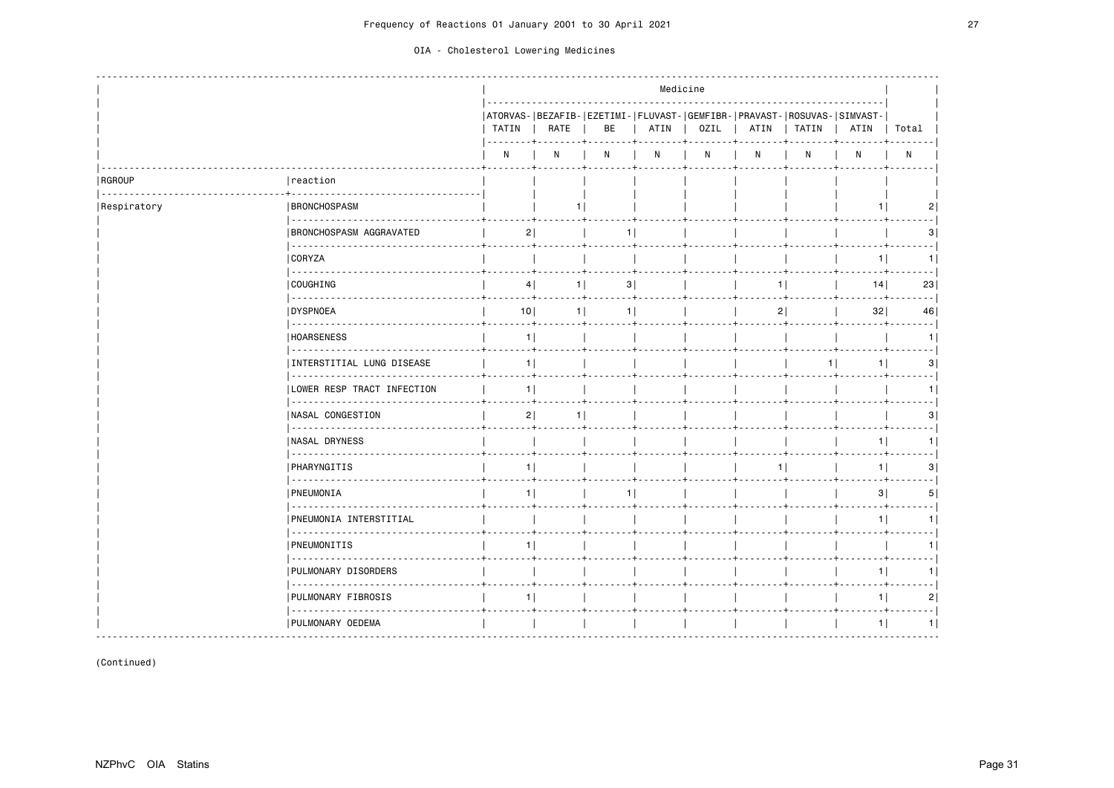|  | OIA - Cholesterol Lowering Medicines |  |  |
|--|--------------------------------------|--|--|
|--|--------------------------------------|--|--|

|               |                                                                                                                                                                                                                                                                                                                                                                                                                                                                                                    |                |                |                                                                               |      | Medicine    |   |              |                |                |
|---------------|----------------------------------------------------------------------------------------------------------------------------------------------------------------------------------------------------------------------------------------------------------------------------------------------------------------------------------------------------------------------------------------------------------------------------------------------------------------------------------------------------|----------------|----------------|-------------------------------------------------------------------------------|------|-------------|---|--------------|----------------|----------------|
|               |                                                                                                                                                                                                                                                                                                                                                                                                                                                                                                    | TATIN          | RATE           | ATORVAS- BEZAFIB- EZETIMI- FLUVAST- GEMFIBR- PRAVAST- ROSUVAS- SIMVAST-<br>BE | ATIN | <b>OZIL</b> |   | ATIN   TATIN | ATIN   Total   |                |
|               |                                                                                                                                                                                                                                                                                                                                                                                                                                                                                                    | N              | N              | N                                                                             | N    | ${\sf N}$   | N | Ν            | N              | $\mathsf{N}$   |
| <b>RGROUP</b> | reaction                                                                                                                                                                                                                                                                                                                                                                                                                                                                                           |                |                |                                                                               |      |             |   |              |                |                |
| Respiratory   | <b>BRONCHOSPASM</b>                                                                                                                                                                                                                                                                                                                                                                                                                                                                                |                |                |                                                                               |      |             |   |              | 1              | 2              |
|               | 2222222222222<br><b>BRONCHOSPASM AGGRAVATED</b>                                                                                                                                                                                                                                                                                                                                                                                                                                                    | 2              |                | 11                                                                            |      |             |   |              |                | 31             |
|               | 22222222<br>  CORYZA                                                                                                                                                                                                                                                                                                                                                                                                                                                                               |                |                |                                                                               |      |             |   |              | 1 <sup>1</sup> | 1.             |
|               | <u>.</u><br>  COUGHING                                                                                                                                                                                                                                                                                                                                                                                                                                                                             | 4              | $1$            | 3                                                                             |      |             | 1 |              | 14             | 23             |
|               | $\begin{array}{cccccccccccccc} \multicolumn{2}{c}{} & \multicolumn{2}{c}{} & \multicolumn{2}{c}{} & \multicolumn{2}{c}{} & \multicolumn{2}{c}{} & \multicolumn{2}{c}{} & \multicolumn{2}{c}{} & \multicolumn{2}{c}{} & \multicolumn{2}{c}{} & \multicolumn{2}{c}{} & \multicolumn{2}{c}{} & \multicolumn{2}{c}{} & \multicolumn{2}{c}{} & \multicolumn{2}{c}{} & \multicolumn{2}{c}{} & \multicolumn{2}{c}{} & \multicolumn{2}{c}{} & \multicolumn{2}{c}{} & \multicolumn{2}{c}{} & \$<br>DYSPNOEA | 10             | 1 <sup>1</sup> | 1 <sup>1</sup>                                                                |      |             | 2 |              | 32             | 46             |
|               | 222222222<br><b>HOARSENESS</b>                                                                                                                                                                                                                                                                                                                                                                                                                                                                     | 1              |                |                                                                               |      |             |   |              |                | 1              |
|               | INTERSTITIAL LUNG DISEASE                                                                                                                                                                                                                                                                                                                                                                                                                                                                          | 1              |                |                                                                               |      |             |   | $1$          | 1              | 3              |
|               | .<br> LOWER RESP TRACT INFECTION                                                                                                                                                                                                                                                                                                                                                                                                                                                                   | 1 <sup>1</sup> |                |                                                                               |      |             |   |              |                | 1.             |
|               | - - - - - - - - - - -<br>  NASAL CONGESTION                                                                                                                                                                                                                                                                                                                                                                                                                                                        | 2              |                |                                                                               |      |             |   |              |                | з              |
|               | 22222222222223<br><b>NASAL DRYNESS</b>                                                                                                                                                                                                                                                                                                                                                                                                                                                             |                |                |                                                                               |      |             |   |              | 11             |                |
|               | .<br><b>PHARYNGITIS</b>                                                                                                                                                                                                                                                                                                                                                                                                                                                                            | 1              |                |                                                                               |      |             | 1 |              | 1 <sup>1</sup> | 3              |
|               | <u>.</u><br><b>PNEUMONIA</b>                                                                                                                                                                                                                                                                                                                                                                                                                                                                       | 1              |                | 11                                                                            |      |             |   |              | 3              | 5              |
|               | .<br>PNEUMONIA INTERSTITIAL                                                                                                                                                                                                                                                                                                                                                                                                                                                                        |                |                |                                                                               |      |             |   |              | 1 <sup>1</sup> | 1 <sup>1</sup> |
|               | .<br><b>PNEUMONITIS</b>                                                                                                                                                                                                                                                                                                                                                                                                                                                                            | 1              |                |                                                                               |      |             |   |              |                |                |
|               | PULMONARY DISORDERS                                                                                                                                                                                                                                                                                                                                                                                                                                                                                |                |                |                                                                               |      |             |   |              | 1              | 1              |
|               | .<br>  PULMONARY FIBROSIS                                                                                                                                                                                                                                                                                                                                                                                                                                                                          | 1              |                |                                                                               |      |             |   |              | 1              | 2              |
|               | .<br>  PULMONARY OEDEMA                                                                                                                                                                                                                                                                                                                                                                                                                                                                            |                |                |                                                                               |      |             |   |              | 1              | 1              |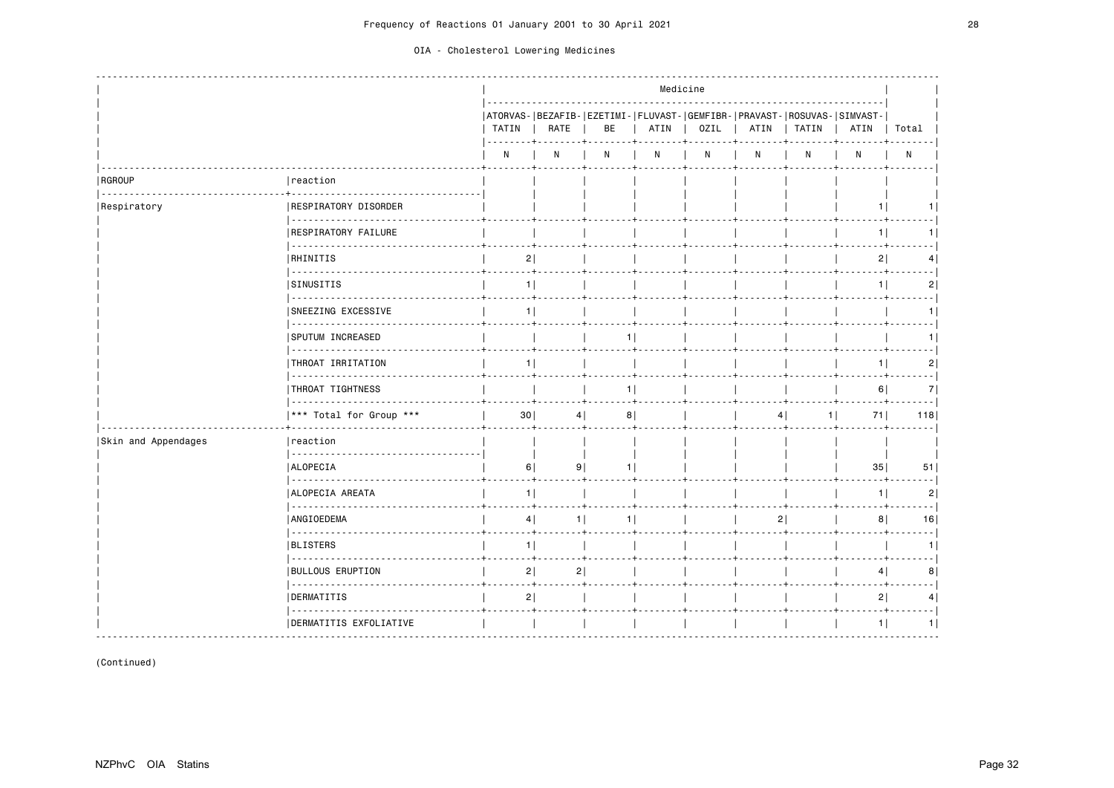|                     |                                     |                            |                      |                | Medicine |      |      |       |                                                                                 |            |
|---------------------|-------------------------------------|----------------------------|----------------------|----------------|----------|------|------|-------|---------------------------------------------------------------------------------|------------|
|                     |                                     | TATIN<br>$- - - - - - - +$ | RATE                 | BE             | ATIN     | OZIL | ATIN | TATIN | ATORVAS- BEZAFIB- EZETIMI- FLUVAST- GEMFIBR- PRAVAST- ROSUVAS- SIMVAST-<br>ATIN | Total      |
|                     |                                     | N                          | N                    | N              | N        | N    | N    | N     | N                                                                               | N          |
| RGROUP              | reaction                            |                            |                      |                |          |      |      |       |                                                                                 |            |
| Respiratory         | <b>RESPIRATORY DISORDER</b>         |                            |                      |                |          |      |      |       | 1.                                                                              | 11         |
|                     | .<br><b>RESPIRATORY FAILURE</b>     |                            |                      |                |          |      |      |       | 1                                                                               | 1          |
|                     | <b>RHINITIS</b>                     | 2                          |                      |                |          |      |      |       | 2                                                                               | 4          |
|                     | SINUSITIS                           | 1                          |                      |                |          |      |      |       | 1                                                                               | 2          |
|                     | .<br><b>SNEEZING EXCESSIVE</b>      | 1                          |                      |                |          |      |      |       |                                                                                 | 1          |
|                     | <u>.</u><br><b>SPUTUM INCREASED</b> |                            |                      | 1 <sup>1</sup> |          |      |      |       |                                                                                 | 1          |
|                     | THROAT IRRITATION                   |                            | 1 <sup>1</sup>       |                |          |      |      |       | 1                                                                               | 2          |
|                     | .<br>THROAT TIGHTNESS               |                            |                      | 1              |          |      |      |       | 6                                                                               | --- 1<br>7 |
|                     | .<br>*** Total for Group ***        | 30                         | 4                    | 8              |          |      |      |       | 71                                                                              | 118        |
| Skin and Appendages | reaction                            |                            |                      |                |          |      |      |       |                                                                                 |            |
|                     | <b>ALOPECIA</b>                     | 6                          | 9                    | 1              |          |      |      |       | 35                                                                              | 51         |
|                     | <u>.</u><br>ALOPECIA AREATA         | 1                          |                      |                |          |      |      |       | 1                                                                               | 2          |
|                     | ANGIOEDEMA                          |                            | 4 <br>1 <sup>1</sup> | 11             |          |      |      | 2     | 8 <sup>1</sup>                                                                  | 16         |
|                     | .<br>BLISTERS                       | 1                          |                      |                |          |      |      |       |                                                                                 | $- -$<br>1 |
|                     | <b>BULLOUS ERUPTION</b>             | 2                          | 2                    |                |          |      |      |       | 4                                                                               | 8          |
|                     | .<br>DERMATITIS                     | 2                          |                      |                |          |      |      |       | 2                                                                               | 4          |
|                     | .<br>DERMATITIS EXFOLIATIVE         |                            |                      |                |          |      |      |       | 1                                                                               | 1          |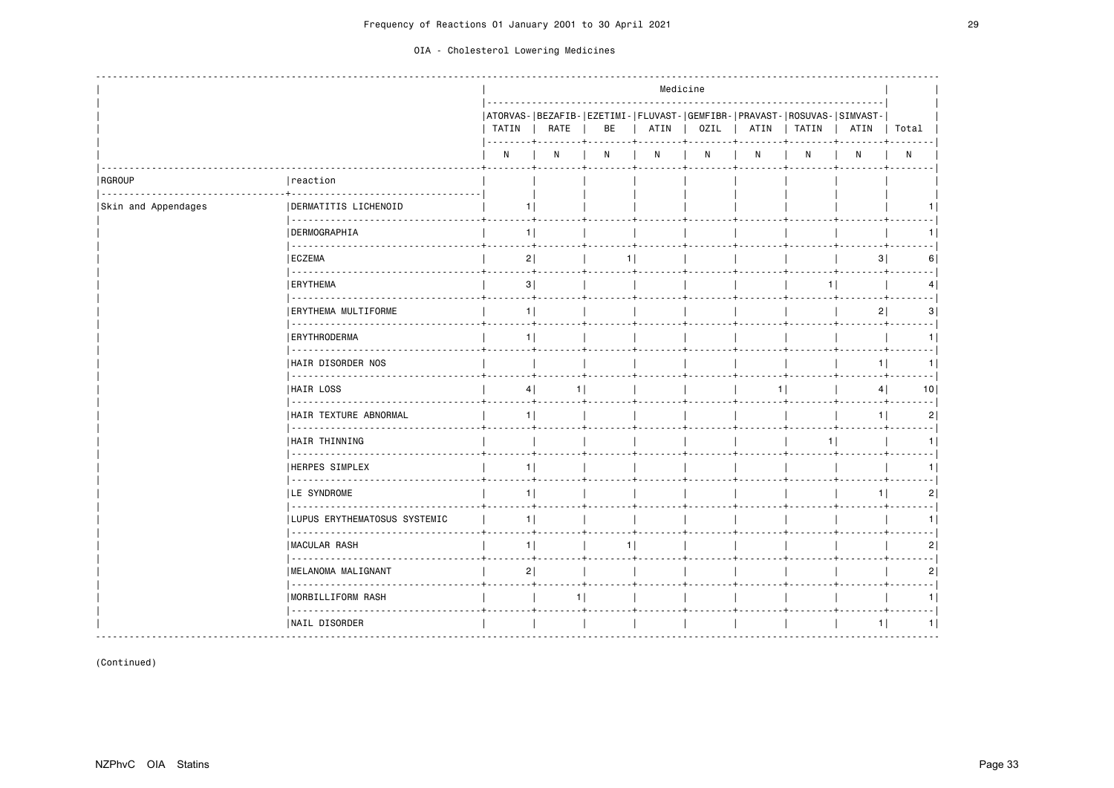|                     |                                        |                |      |    | Medicine |      |      |                                                                                  |                |                 |
|---------------------|----------------------------------------|----------------|------|----|----------|------|------|----------------------------------------------------------------------------------|----------------|-----------------|
|                     |                                        | TATIN          | RATE | BE | ATIN     | OZIL | ATIN | ATORVAS- BEZAFIB- EZETIMI- FLUVAST- GEMFIBR- PRAVAST- ROSUVAS- SIMVAST-<br>TATIN | ATIN           | Total           |
|                     |                                        | N              | N    | N  | N        | N    | N    | N                                                                                | N              | $\mathsf{N}$    |
| RGROUP<br><u>.</u>  | reaction                               |                |      |    |          |      |      |                                                                                  |                |                 |
| Skin and Appendages | DERMATITIS LICHENOID                   | 1 I            |      |    |          |      |      |                                                                                  |                |                 |
|                     | <b>DERMOGRAPHIA</b>                    | 1              |      |    |          |      |      |                                                                                  |                |                 |
|                     | .<br><b>ECZEMA</b>                     | 2              |      | 1  |          |      |      |                                                                                  | 3              | 6               |
|                     | <b>ERYTHEMA</b>                        | 3              |      |    |          |      |      | 1                                                                                |                | 4               |
|                     | <u>.</u><br>ERYTHEMA MULTIFORME        | 1 <sup>1</sup> |      |    |          |      |      |                                                                                  | 2              | 3               |
|                     | .<br><b>ERYTHRODERMA</b>               | 1              |      |    |          |      |      |                                                                                  |                |                 |
|                     | <b>HAIR DISORDER NOS</b>               |                |      |    |          |      |      |                                                                                  | 1 <sup>1</sup> | 1 I             |
|                     | <u>.</u><br>HAIR LOSS                  | 4              | 1 I  |    |          |      | 11   |                                                                                  | 4              | 10 <sub>1</sub> |
|                     | .<br><b>HAIR TEXTURE ABNORMAL</b>      | 1              |      |    |          |      |      |                                                                                  | 1 <sup>1</sup> | $\overline{2}$  |
|                     | .<br>HAIR THINNING                     |                |      |    |          |      |      | 11                                                                               |                |                 |
|                     | <u>.</u><br><b>HERPES SIMPLEX</b>      | 1              |      |    |          |      |      |                                                                                  |                |                 |
|                     | <u>.</u><br><b>LE SYNDROME</b>         | 1              |      |    |          |      |      |                                                                                  | 1              | 2               |
|                     | .<br>  LUPUS ERYTHEMATOSUS SYSTEMIC    | 1              |      |    |          |      |      |                                                                                  |                |                 |
|                     | <b>MACULAR RASH</b>                    | 11             |      | 1  |          |      |      |                                                                                  |                | 2               |
|                     | 1.1.1.1.1.1.1.1<br> MELANOMA MALIGNANT | 2              |      |    |          |      |      |                                                                                  |                |                 |
|                     | .<br>MORBILLIFORM RASH                 |                | $-+$ |    |          |      |      |                                                                                  |                |                 |
|                     | .<br> NAIL DISORDER                    |                |      |    |          |      |      |                                                                                  | 1              | 1 <sup>1</sup>  |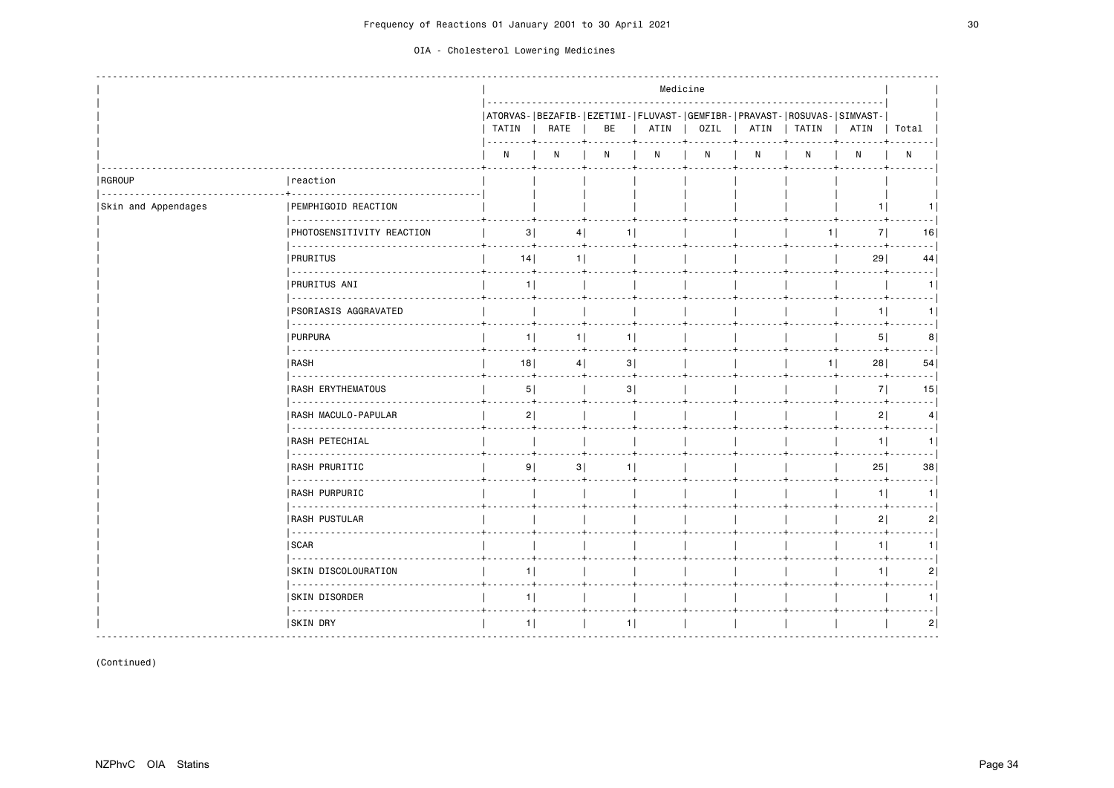|                     |                                   | Medicine       |                |                                                                               |      |      |   |              |      |                |
|---------------------|-----------------------------------|----------------|----------------|-------------------------------------------------------------------------------|------|------|---|--------------|------|----------------|
|                     |                                   | TATIN          | RATE           | ATORVAS- BEZAFIB- EZETIMI- FLUVAST- GEMFIBR- PRAVAST- ROSUVAS- SIMVAST-<br>BE | ATIN | OZIL |   | ATIN   TATIN | ATIN | Total          |
|                     |                                   | N              | N              | N                                                                             | N    | N    | N | N            | N    | $\mathsf{N}$   |
| RGROUP              | reaction                          |                |                |                                                                               |      |      |   |              |      |                |
| Skin and Appendages | PEMPHIGOID REACTION               |                |                |                                                                               |      |      |   |              | 1.   |                |
|                     | .<br>PHOTOSENSITIVITY REACTION    | 3              | 4              | 11                                                                            |      |      |   | 1            | 7    | 16             |
|                     | <b>PRURITUS</b>                   | 14             | 1 <sup>1</sup> |                                                                               |      |      |   |              | 29   | 44             |
|                     | <b>PRURITUS ANI</b>               | 1              |                |                                                                               |      |      |   |              |      | 1.             |
|                     | .<br><b>PSORIASIS AGGRAVATED</b>  |                |                |                                                                               |      |      |   |              | 11   | 1 <sup>1</sup> |
|                     | <b>PURPURA</b>                    | 1              | 1              | 1 <sub>1</sub>                                                                |      |      |   |              | 5    | 8              |
|                     | RASH                              | 18             | 4              | 3                                                                             |      |      |   | 1            | 28   | 54             |
|                     | <b>RASH ERYTHEMATOUS</b>          | 5              |                | 3                                                                             |      |      |   |              | 7    | 15             |
|                     | <u>.</u><br>RASH MACULO-PAPULAR   | 2              |                |                                                                               |      |      |   |              | 2    | 4              |
|                     | <u>.</u><br><b>RASH PETECHIAL</b> |                |                |                                                                               |      |      |   |              | 1    | 1.             |
|                     | .<br><b>RASH PRURITIC</b>         | 9              | 3              | 1                                                                             |      |      |   |              | 25   | 38             |
|                     | .<br><b>RASH PURPURIC</b>         |                |                |                                                                               |      |      |   |              | 1    | 11             |
|                     | .<br><b>RASH PUSTULAR</b>         |                |                |                                                                               |      |      |   |              | 2    | 2              |
|                     | .<br>SCAR                         |                |                |                                                                               |      |      |   |              | 1    | 1 <sup>1</sup> |
|                     | <b>SKIN DISCOLOURATION</b>        | 1 <sup>1</sup> |                |                                                                               |      |      |   |              | 1    | 2              |
|                     | <u>.</u><br><b>SKIN DISORDER</b>  | 1              |                |                                                                               |      |      |   |              |      |                |
|                     | .<br><b>SKIN DRY</b>              | 1              |                | 1                                                                             |      |      |   |              |      | 2              |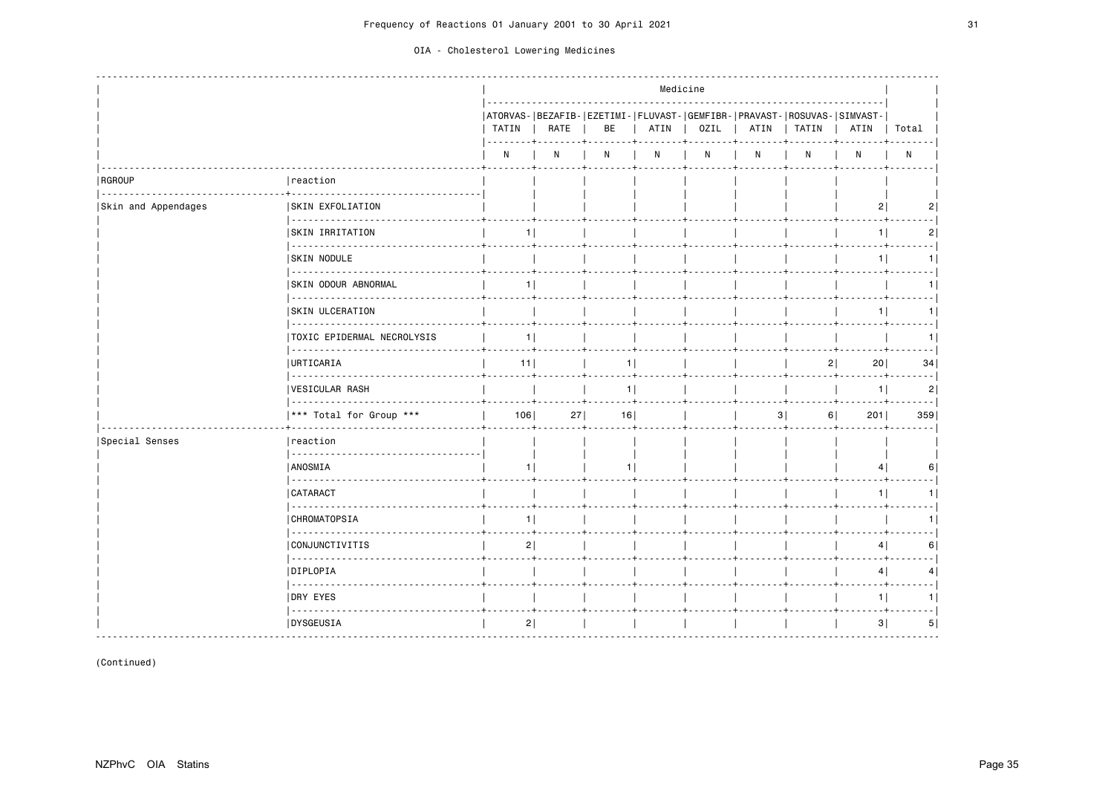|                     |                                        | Medicine       |      |                                |      |      |      |                                                                                  |                |            |
|---------------------|----------------------------------------|----------------|------|--------------------------------|------|------|------|----------------------------------------------------------------------------------|----------------|------------|
|                     |                                        | TATIN          | RATE | BE                             | ATIN | OZIL | ATIN | ATORVAS- BEZAFIB- EZETIMI- FLUVAST- GEMFIBR- PRAVAST- ROSUVAS- SIMVAST-<br>TATIN | ATIN           | Total      |
|                     |                                        | $\mathsf{N}$   | N    | N                              | N    | N    | N    | N                                                                                | N              | ${\sf N}$  |
| RGROUP<br>.         | reaction                               |                |      |                                |      |      |      |                                                                                  |                |            |
| Skin and Appendages | <b>SKIN EXFOLIATION</b>                |                |      |                                |      |      |      |                                                                                  | 2              |            |
|                     | <b>SKIN IRRITATION</b>                 | 11             |      |                                |      |      |      |                                                                                  | 1 <sup>1</sup> | 2          |
|                     | .<br><b>SKIN NODULE</b>                |                |      |                                |      |      |      |                                                                                  | 11             | 1          |
|                     | <b>SKIN ODOUR ABNORMAL</b>             | 1              |      |                                |      |      |      |                                                                                  |                | 1          |
|                     | <u>.</u><br><b>SKIN ULCERATION</b>     |                |      |                                |      |      |      |                                                                                  | 1              | 1          |
|                     | .<br><b>TOXIC EPIDERMAL NECROLYSIS</b> | 1 <sup>1</sup> |      |                                |      |      |      |                                                                                  |                | 1          |
|                     | <b>URTICARIA</b>                       | 11             |      | 1                              |      |      |      | 2                                                                                | 20             | 34         |
|                     | <b>VESICULAR RASH</b>                  |                |      | 1 <br><b><i><u>ALL</u></i></b> |      |      |      |                                                                                  | 1              | .<br>2     |
|                     | *** Total for Group ***                | 106            | 27   | 16                             |      |      | 3    | 6                                                                                | 201            | . 1<br>359 |
| Special Senses      | Ireaction                              |                |      |                                |      |      |      |                                                                                  |                |            |
|                     | ANOSMIA                                | 11             |      | 1                              |      |      |      |                                                                                  | 4              | 6          |
|                     | CATARACT<br>.                          |                |      |                                |      |      |      |                                                                                  | 1              | 1          |
|                     | .<br><b>CHROMATOPSIA</b>               | 1              |      |                                |      |      |      |                                                                                  |                | 1          |
|                     | <b>CONJUNCTIVITIS</b>                  | 2              |      |                                |      |      |      |                                                                                  | 4              | 6          |
|                     | .<br> DIPLOPIA                         |                |      |                                |      |      |      |                                                                                  | 4              | 4          |
|                     | 22222222222<br>DRY EYES                |                |      |                                |      |      |      |                                                                                  | 11             | 1          |
|                     | .<br>  DYSGEUSIA                       | 2              |      |                                |      |      |      |                                                                                  | 3              | 5          |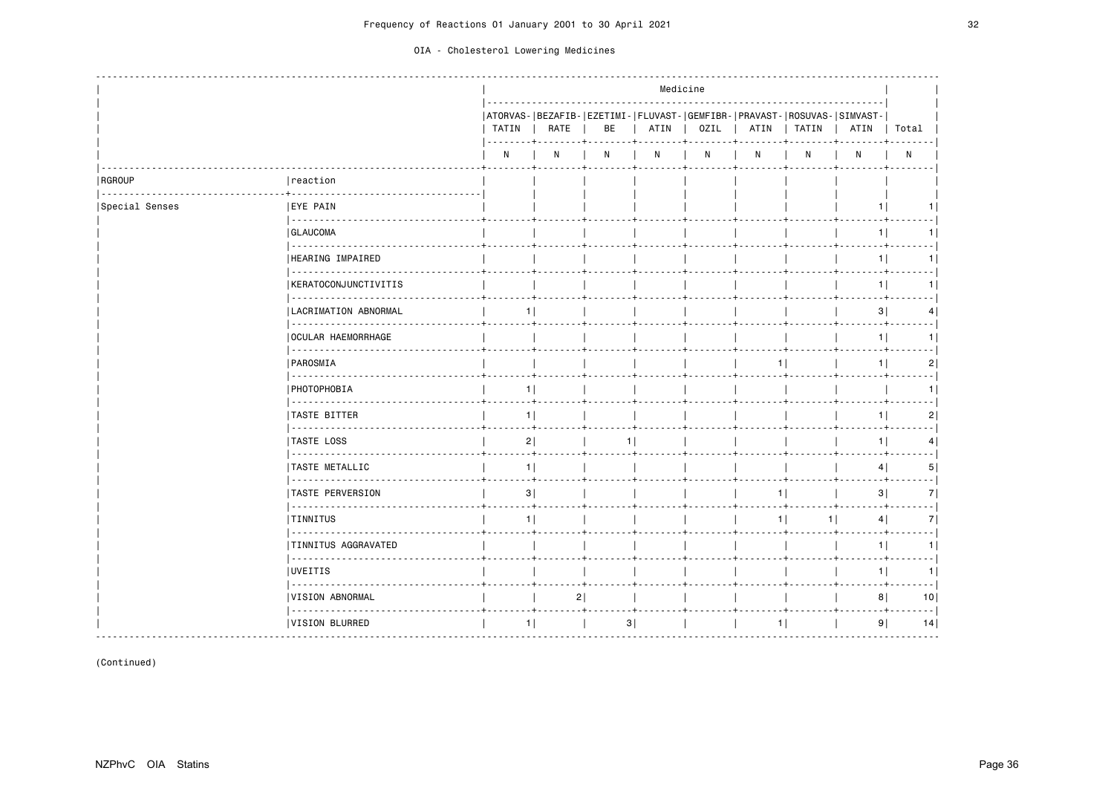|                         |                                                         | Medicine                                                                                                                                                                                 |      |                                                                               |      |      |      |       |                |                 |
|-------------------------|---------------------------------------------------------|------------------------------------------------------------------------------------------------------------------------------------------------------------------------------------------|------|-------------------------------------------------------------------------------|------|------|------|-------|----------------|-----------------|
|                         |                                                         | TATIN<br>$\frac{1}{2} \left( \frac{1}{2} \right) \left( \frac{1}{2} \right) \left( \frac{1}{2} \right) \left( \frac{1}{2} \right) \left( \frac{1}{2} \right) \left( \frac{1}{2} \right)$ | RATE | ATORVAS- BEZAFIB- EZETIMI- FLUVAST- GEMFIBR- PRAVAST- ROSUVAS- SIMVAST-<br>BE | ATIN | OZIL | ATIN | TATIN | ATIN           | Total           |
|                         |                                                         | N                                                                                                                                                                                        | N    | N                                                                             | N    | N    | N    | N     | N              | $\mathsf{N}$    |
| RGROUP<br>1.1.1.1.1.1.1 | reaction                                                |                                                                                                                                                                                          |      |                                                                               |      |      |      |       |                |                 |
| Special Senses          | <b>IEYE PAIN</b><br>                                    |                                                                                                                                                                                          |      |                                                                               |      |      |      |       | 1 <sup>1</sup> |                 |
|                         | <b>GLAUCOMA</b>                                         |                                                                                                                                                                                          |      |                                                                               |      |      |      |       | 1              |                 |
|                         | $\omega$ is $\omega$ in $\omega$ in<br>HEARING IMPAIRED |                                                                                                                                                                                          |      |                                                                               |      |      |      |       | 1              | 11              |
|                         | .<br>KERATOCONJUNCTIVITIS                               |                                                                                                                                                                                          |      |                                                                               |      |      |      |       | 1              | 1               |
|                         | .<br>  LACRIMATION ABNORMAL                             | 1.                                                                                                                                                                                       |      |                                                                               |      |      |      |       | 3              | $\vert 4 \vert$ |
|                         | .<br><b>OCULAR HAEMORRHAGE</b>                          |                                                                                                                                                                                          |      |                                                                               |      |      |      |       | - 4<br>1       | 1.              |
|                         | $\omega$ is a set .<br>PAROSMIA                         |                                                                                                                                                                                          |      |                                                                               |      |      | 1    |       | 1              | 2               |
|                         | .<br>  PHOTOPHOBIA                                      | 11                                                                                                                                                                                       |      |                                                                               |      |      |      |       |                |                 |
|                         | .<br><b>TASTE BITTER</b>                                | 11                                                                                                                                                                                       |      |                                                                               |      |      |      |       | 1 <sup>1</sup> | 2               |
|                         | .<br><b>TASTE LOSS</b>                                  | 2                                                                                                                                                                                        |      | 1 <sup>1</sup>                                                                |      |      |      |       | 1 <sup>1</sup> | 4               |
|                         | <u>.</u><br><b>TASTE METALLIC</b>                       | 1                                                                                                                                                                                        |      |                                                                               |      |      |      |       | 4              | 5               |
|                         | 22222222222<br><b>TASTE PERVERSION</b>                  | 3                                                                                                                                                                                        |      |                                                                               |      |      | 11   |       | 3              | 7               |
|                         | .<br><b>TINNITUS</b>                                    | 1 <sup>1</sup>                                                                                                                                                                           |      |                                                                               |      |      | 11   | 11    | 4              | 7               |
|                         | <b>TINNITUS AGGRAVATED</b>                              |                                                                                                                                                                                          |      |                                                                               |      |      |      |       | 1              | 1               |
|                         | <u>.</u><br><b>IUVEITIS</b>                             |                                                                                                                                                                                          |      |                                                                               |      |      |      |       | 1 <sup>1</sup> | 1               |
|                         | 222222222222<br><b>VISION ABNORMAL</b>                  |                                                                                                                                                                                          | 2    |                                                                               |      |      |      |       | 8              | 10 <sub>1</sub> |
|                         | .<br><b>VISION BLURRED</b>                              | 1                                                                                                                                                                                        |      | 3                                                                             |      |      | 1    |       | 9              | 14              |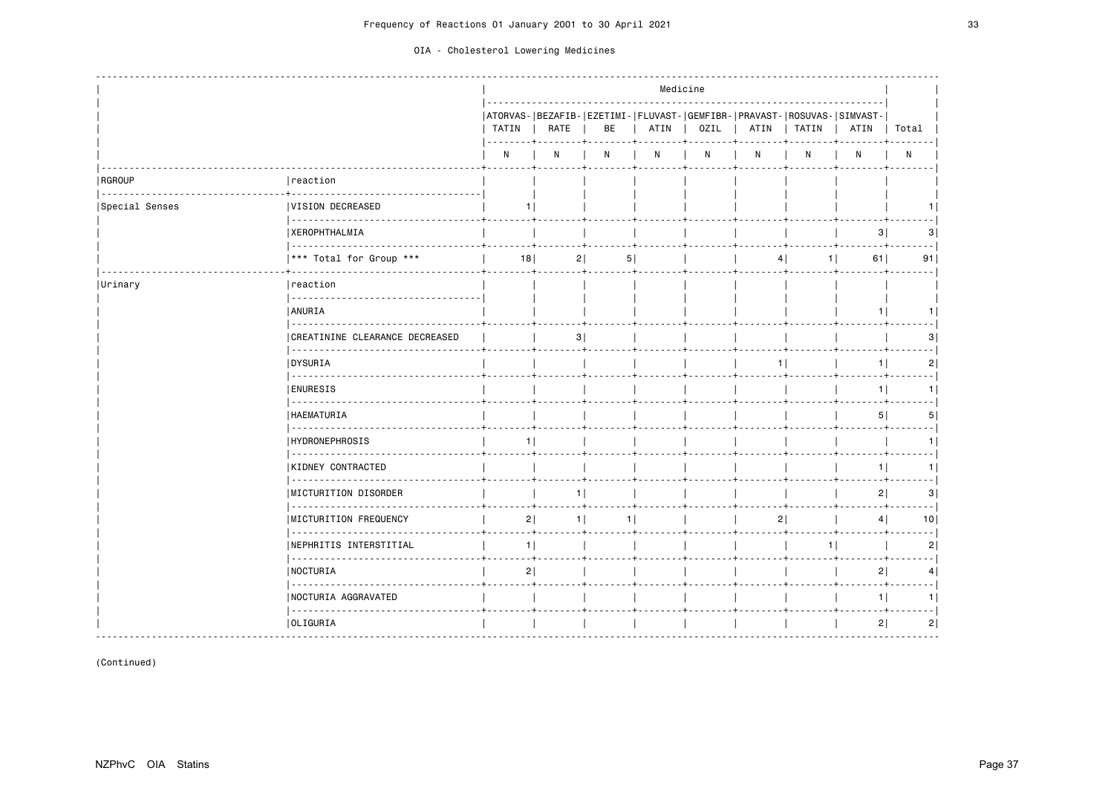|                |                                                    | Medicine       |                |                |      |      |                |                                                                                    |                |                 |
|----------------|----------------------------------------------------|----------------|----------------|----------------|------|------|----------------|------------------------------------------------------------------------------------|----------------|-----------------|
|                |                                                    | TATIN          | RATE           | BE             | ATIN | OZIL | ATIN           | ATORVAS- BEZAFIB- EZETIMI- FLUVAST- GEMFIBR- PRAVAST- ROSUVAS- SIMVAST-<br>  TATIN | ATIN           | Total           |
|                |                                                    | N              | N              | N              | N    | N    | N              | N                                                                                  | N              | $\mathsf{N}$    |
| RGROUP         | reaction                                           |                |                |                |      |      |                |                                                                                    |                |                 |
| Special Senses | <b>VISION DECREASED</b>                            | 11             |                |                |      |      |                |                                                                                    |                |                 |
|                | <b>XEROPHTHALMIA</b>                               |                |                |                |      |      |                |                                                                                    | 3              | 3               |
|                | *** Total for Group ***                            | 18             | 2              | 5              |      |      |                | $1$  <br>4                                                                         | 61             | 91              |
| Urinary        | reaction                                           |                |                |                |      |      |                |                                                                                    |                |                 |
|                | <b>ANURIA</b>                                      |                |                |                |      |      |                |                                                                                    | 11             |                 |
|                | .<br>CREATININE CLEARANCE DECREASED<br>$- - - - -$ |                | 3              |                |      |      |                |                                                                                    |                |                 |
|                | <b>DYSURIA</b><br><u>.</u>                         |                |                |                |      |      | 11             |                                                                                    | 11             | 2               |
|                | <b>ENURESIS</b>                                    |                |                |                |      |      |                |                                                                                    | 1              |                 |
|                | <b>HAEMATURIA</b>                                  |                |                |                |      |      |                |                                                                                    | 5 <sup>1</sup> | 5.              |
|                | .<br><b>HYDRONEPHROSIS</b><br>.                    | 1 <sup>1</sup> |                |                |      |      |                |                                                                                    |                |                 |
|                | KIDNEY CONTRACTED<br><u>.</u>                      |                |                |                |      |      |                |                                                                                    | 1 <sup>1</sup> | 1 I             |
|                | MICTURITION DISORDER<br><u>.</u>                   |                | 11             |                |      |      |                |                                                                                    | 2              | 3               |
|                | <b>IMICTURITION FREQUENCY</b>                      | 2              | 1 <sup>1</sup> | 1 <sup>1</sup> |      |      | 2 <sup>1</sup> |                                                                                    | 4 <sup>1</sup> | 10 <sub>1</sub> |
|                | <b>NEPHRITIS INTERSTITIAL</b><br><u>.</u>          | 1              |                |                |      |      |                | 1                                                                                  |                | 2               |
|                | NOCTURIA<br>  222222222222223                      | 2 <br>- 4      |                |                |      |      |                |                                                                                    | 2              | 4               |
|                | <b>NOCTURIA AGGRAVATED</b>                         |                |                |                |      |      |                |                                                                                    | 1              |                 |
|                | OLIGURIA                                           |                |                |                |      |      |                |                                                                                    | 2              | 2               |